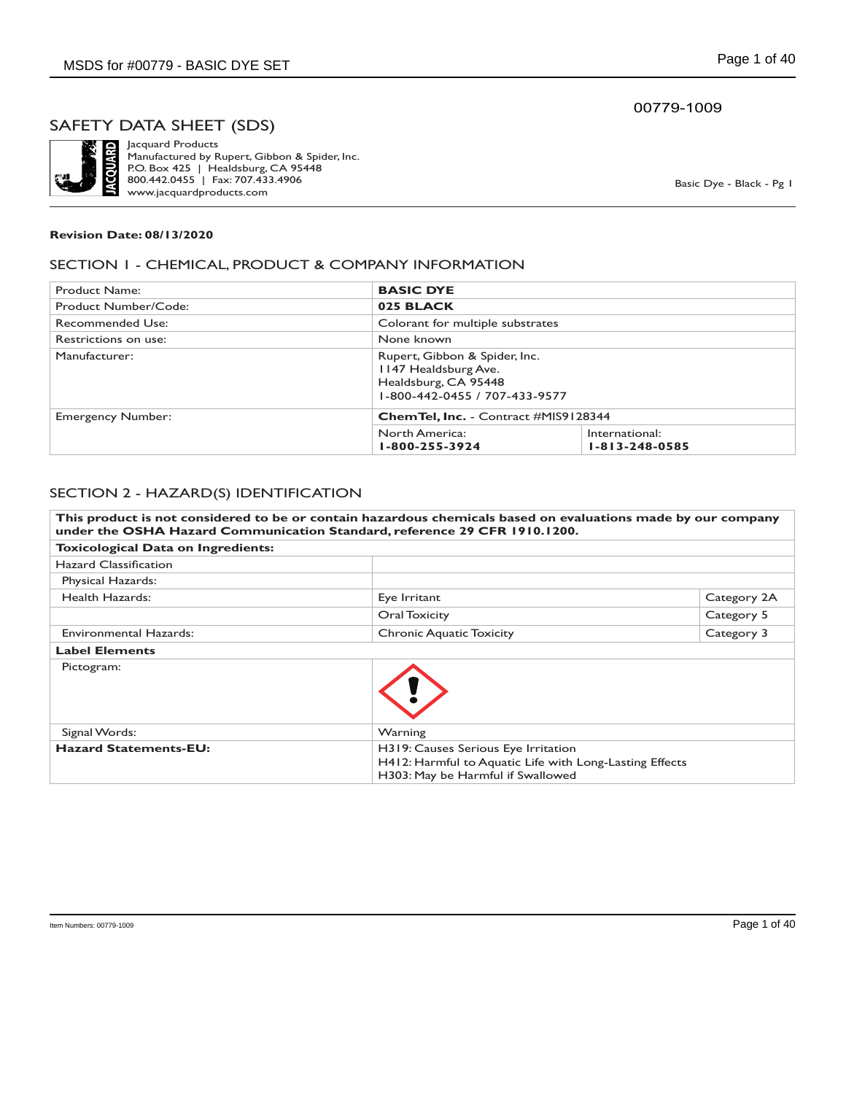

Jacquard Products Manufactured by Rupert, Gibbon & Spider, Inc. P.O. Box 425 | Healdsburg, CA 95448 800.442.0455 | Fax: 707.433.4906 www.jacquardproducts.com

Basic Dye - Black - Pg 1

#### **Revision Date: 08/13/2020**

#### SECTION 1 - CHEMICAL, PRODUCT & COMPANY INFORMATION

| Product Name:            | <b>BASIC DYE</b>                             |                                                                |  |
|--------------------------|----------------------------------------------|----------------------------------------------------------------|--|
| Product Number/Code:     | 025 BLACK                                    |                                                                |  |
| Recommended Use:         |                                              | Colorant for multiple substrates                               |  |
| Restrictions on use:     | None known                                   |                                                                |  |
| Manufacturer:            | 1147 Healdsburg Ave.<br>Healdsburg, CA 95448 | Rupert, Gibbon & Spider, Inc.<br>1-800-442-0455 / 707-433-9577 |  |
| <b>Emergency Number:</b> | <b>ChemTel, Inc.</b> - Contract #MIS9128344  |                                                                |  |
|                          | North America:<br>1-800-255-3924             | International:<br>$1 - 813 - 248 - 0585$                       |  |

#### SECTION 2 - HAZARD(S) IDENTIFICATION

**This product is not considered to be or contain hazardous chemicals based on evaluations made by our company under the OSHA Hazard Communication Standard, reference 29 CFR 1910.1200. Toxicological Data on Ingredients:** Hazard Classification Physical Hazards: Health Hazards: Eye Irritant Exercise Category 2A **Oral Toxicity** Category 5 Environmental Hazards: The Category 3 Chronic Aquatic Toxicity Category 3 Category 3 **Label Elements** Pictogram: Signal Words: Warning **Hazard Statements-EU:** H319: Causes Serious Eye Irritation H412: Harmful to Aquatic Life with Long-Lasting Effects H303: May be Harmful if Swallowed

#### 00779-1009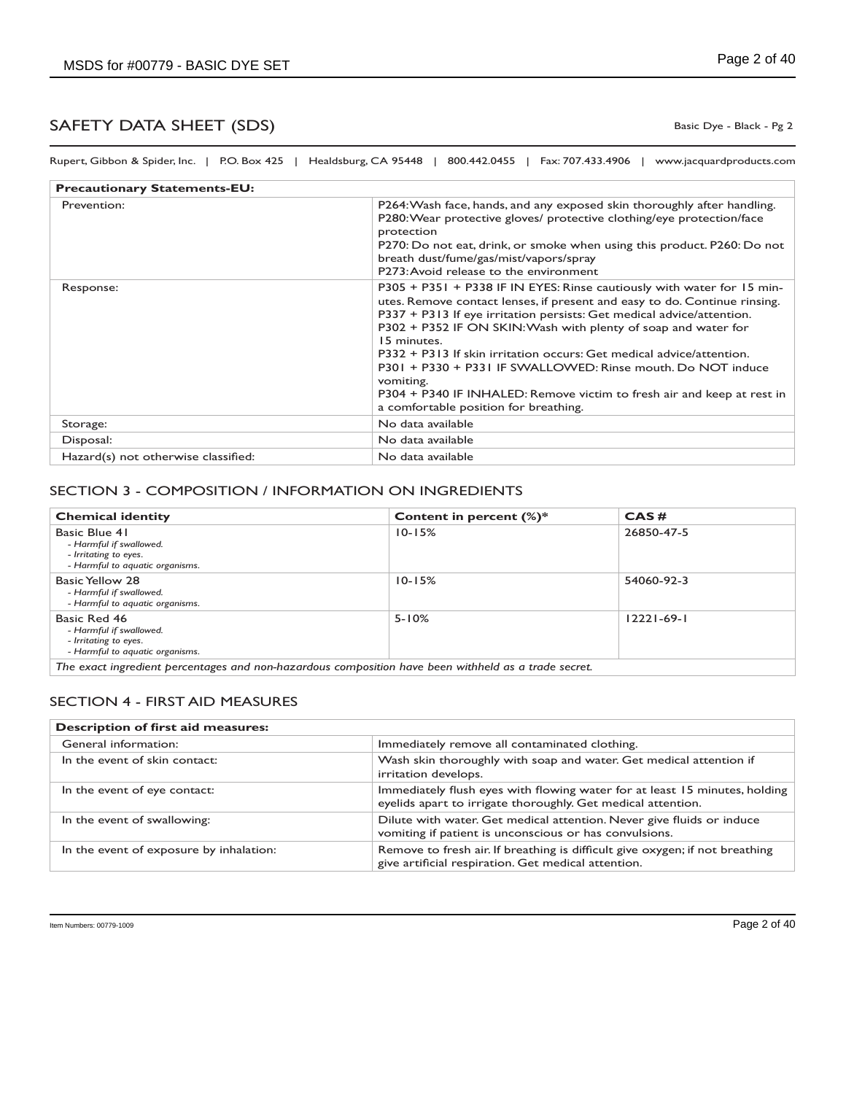Basic Dye - Black - Pg 2

Rupert, Gibbon & Spider, Inc. | P.O. Box 425 | Healdsburg, CA 95448 | 800.442.0455 | Fax: 707.433.4906 | www.jacquardproducts.com

| <b>Precautionary Statements-EU:</b> |                                                                                                                                                                                                                                                                                                                                                                                                                                                                                                                                                                                      |
|-------------------------------------|--------------------------------------------------------------------------------------------------------------------------------------------------------------------------------------------------------------------------------------------------------------------------------------------------------------------------------------------------------------------------------------------------------------------------------------------------------------------------------------------------------------------------------------------------------------------------------------|
| Prevention:                         | P264: Wash face, hands, and any exposed skin thoroughly after handling.<br>P280: Wear protective gloves/ protective clothing/eye protection/face<br>protection<br>P270: Do not eat, drink, or smoke when using this product. P260: Do not<br>breath dust/fume/gas/mist/vapors/spray<br>P273: Avoid release to the environment                                                                                                                                                                                                                                                        |
| Response:                           | P305 + P351 + P338 IF IN EYES: Rinse cautiously with water for 15 min-<br>utes. Remove contact lenses, if present and easy to do. Continue rinsing.<br>P337 + P313 If eye irritation persists: Get medical advice/attention.<br>P302 + P352 IF ON SKIN: Wash with plenty of soap and water for<br>15 minutes.<br>P332 + P313 If skin irritation occurs: Get medical advice/attention.<br>P301 + P330 + P331 IF SWALLOWED: Rinse mouth. Do NOT induce<br>vomiting.<br>P304 + P340 IF INHALED: Remove victim to fresh air and keep at rest in<br>a comfortable position for breathing. |
| Storage:                            | No data available                                                                                                                                                                                                                                                                                                                                                                                                                                                                                                                                                                    |
| Disposal:                           | No data available                                                                                                                                                                                                                                                                                                                                                                                                                                                                                                                                                                    |
| Hazard(s) not otherwise classified: | No data available                                                                                                                                                                                                                                                                                                                                                                                                                                                                                                                                                                    |

### SECTION 3 - COMPOSITION / INFORMATION ON INGREDIENTS

| <b>Chemical identity</b>                                                                             | Content in percent $(\%)^*$                                                                         | CAS#             |
|------------------------------------------------------------------------------------------------------|-----------------------------------------------------------------------------------------------------|------------------|
| Basic Blue 41<br>- Harmful if swallowed.<br>- Irritating to eyes.<br>- Harmful to aquatic organisms. | $10 - 15%$                                                                                          | 26850-47-5       |
| Basic Yellow 28<br>- Harmful if swallowed.<br>- Harmful to aquatic organisms.                        | $10 - 15%$                                                                                          | 54060-92-3       |
| Basic Red 46<br>- Harmful if swallowed.<br>- Irritating to eyes.<br>- Harmful to aquatic organisms.  | $5 - 10%$                                                                                           | $12221 - 69 - 1$ |
|                                                                                                      | The exact ingredient percentages and non-hazardous composition have been withheld as a trade secret |                  |

*The exact ingredient percentages and non-hazardous composition have been withheld as a trade secret.*

### SECTION 4 - FIRST AID MEASURES

### **Description of first aid measures:**

| General information:                    | Immediately remove all contaminated clothing.                                                                                              |
|-----------------------------------------|--------------------------------------------------------------------------------------------------------------------------------------------|
| In the event of skin contact:           | Wash skin thoroughly with soap and water. Get medical attention if<br>irritation develops.                                                 |
| In the event of eye contact:            | Immediately flush eyes with flowing water for at least 15 minutes, holding<br>eyelids apart to irrigate thoroughly. Get medical attention. |
| In the event of swallowing:             | Dilute with water. Get medical attention. Never give fluids or induce<br>vomiting if patient is unconscious or has convulsions.            |
| In the event of exposure by inhalation: | Remove to fresh air. If breathing is difficult give oxygen; if not breathing<br>give artificial respiration. Get medical attention.        |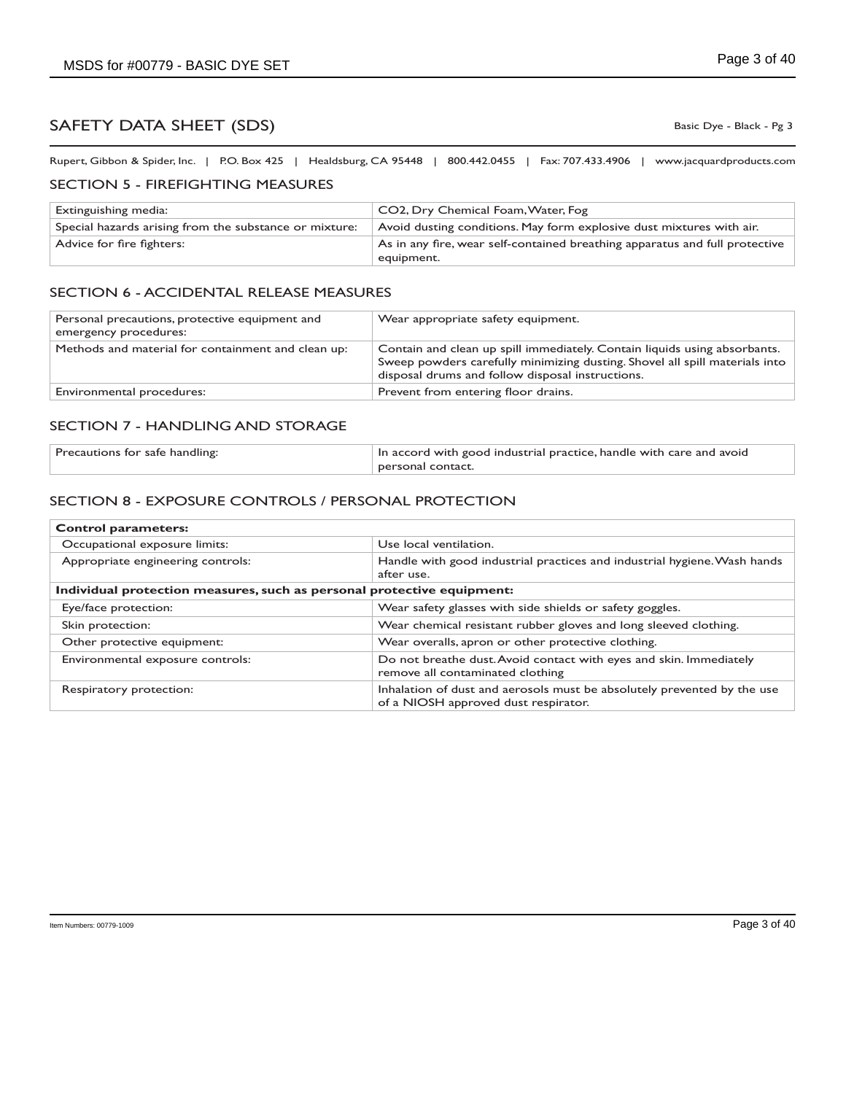Basic Dye - Black - Pg 3

Rupert, Gibbon & Spider, Inc. | P.O. Box 425 | Healdsburg, CA 95448 | 800.442.0455 | Fax: 707.433.4906 | www.jacquardproducts.com

#### SECTION 5 - FIREFIGHTING MEASURES

| Extinguishing media:                                   | CO2, Dry Chemical Foam, Water, Fog                                                        |
|--------------------------------------------------------|-------------------------------------------------------------------------------------------|
| Special hazards arising from the substance or mixture: | Avoid dusting conditions. May form explosive dust mixtures with air.                      |
| Advice for fire fighters:                              | As in any fire, wear self-contained breathing apparatus and full protective<br>equipment. |

#### SECTION 6 - ACCIDENTAL RELEASE MEASURES

| Personal precautions, protective equipment and<br>emergency procedures: | Wear appropriate safety equipment.                                                                                                                                                                           |
|-------------------------------------------------------------------------|--------------------------------------------------------------------------------------------------------------------------------------------------------------------------------------------------------------|
| Methods and material for containment and clean up:                      | Contain and clean up spill immediately. Contain liquids using absorbants.<br>Sweep powders carefully minimizing dusting. Shovel all spill materials into<br>disposal drums and follow disposal instructions. |
| Environmental procedures:                                               | Prevent from entering floor drains.                                                                                                                                                                          |

#### SECTION 7 - HANDLING AND STORAGE

| Precautions for safe handling: | In accord with good industrial practice, handle with care and avoid |
|--------------------------------|---------------------------------------------------------------------|
|                                | personal contact.                                                   |

### SECTION 8 - EXPOSURE CONTROLS / PERSONAL PROTECTION

| <b>Control parameters:</b>                                             |                                                                                                                 |  |
|------------------------------------------------------------------------|-----------------------------------------------------------------------------------------------------------------|--|
| Occupational exposure limits:                                          | Use local ventilation.                                                                                          |  |
| Appropriate engineering controls:                                      | Handle with good industrial practices and industrial hygiene. Wash hands<br>after use.                          |  |
| Individual protection measures, such as personal protective equipment: |                                                                                                                 |  |
| Eye/face protection:                                                   | Wear safety glasses with side shields or safety goggles.                                                        |  |
| Skin protection:                                                       | Wear chemical resistant rubber gloves and long sleeved clothing.                                                |  |
| Other protective equipment:                                            | Wear overalls, apron or other protective clothing.                                                              |  |
| Environmental exposure controls:                                       | Do not breathe dust. Avoid contact with eyes and skin. Immediately<br>remove all contaminated clothing          |  |
| Respiratory protection:                                                | Inhalation of dust and aerosols must be absolutely prevented by the use<br>of a NIOSH approved dust respirator. |  |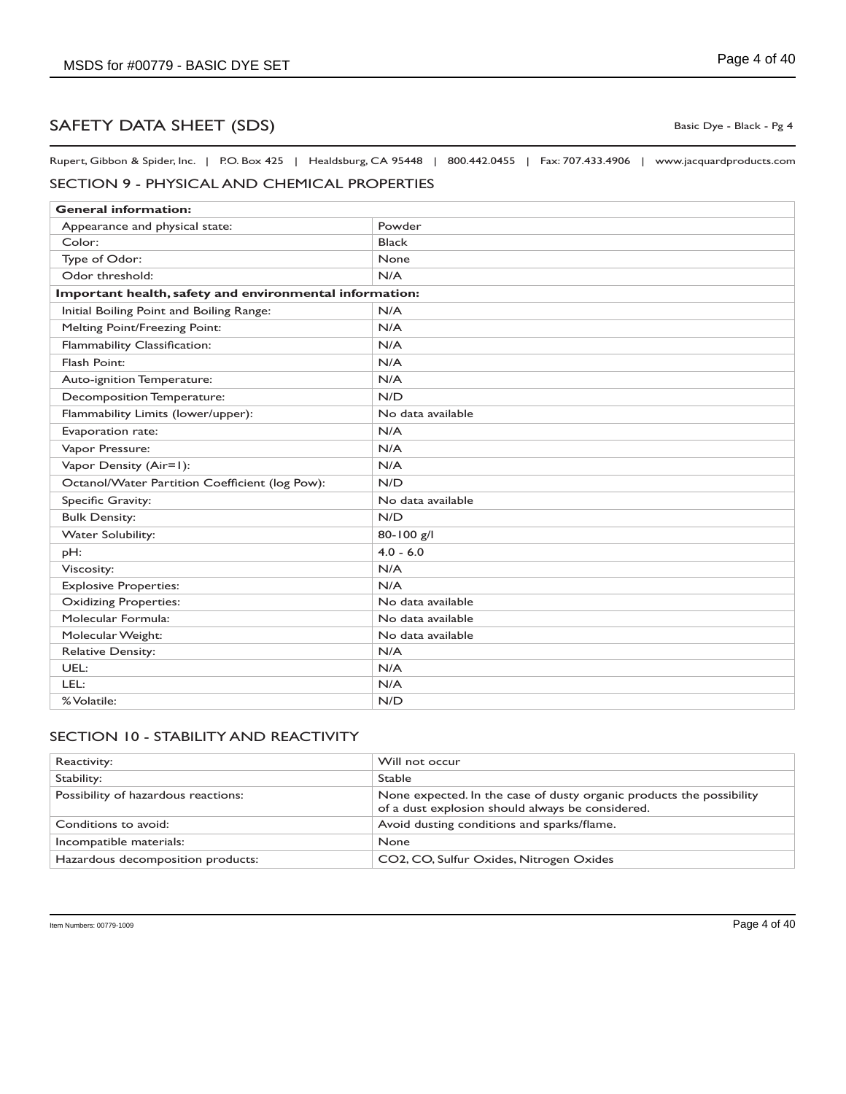Rupert, Gibbon & Spider, Inc. | P.O. Box 425 | Healdsburg, CA 95448 | 800.442.0455 | Fax: 707.433.4906 | www.jacquardproducts.com

## SECTION 9 - PHYSICAL AND CHEMICAL PROPERTIES

| <b>General information:</b>                             |                   |  |
|---------------------------------------------------------|-------------------|--|
| Appearance and physical state:                          | Powder            |  |
| Color:                                                  | <b>Black</b>      |  |
| Type of Odor:                                           | None              |  |
| Odor threshold:                                         | N/A               |  |
| Important health, safety and environmental information: |                   |  |
| Initial Boiling Point and Boiling Range:                | N/A               |  |
| Melting Point/Freezing Point:                           | N/A               |  |
| Flammability Classification:                            | N/A               |  |
| Flash Point:                                            | N/A               |  |
| Auto-ignition Temperature:                              | N/A               |  |
| Decomposition Temperature:                              | N/D               |  |
| Flammability Limits (lower/upper):                      | No data available |  |
| Evaporation rate:                                       | N/A               |  |
| Vapor Pressure:                                         | N/A               |  |
| Vapor Density (Air=1):                                  | N/A               |  |
| Octanol/Water Partition Coefficient (log Pow):          | N/D               |  |
| Specific Gravity:                                       | No data available |  |
| <b>Bulk Density:</b>                                    | N/D               |  |
| <b>Water Solubility:</b>                                | 80-100 g/l        |  |
| pH:                                                     | $4.0 - 6.0$       |  |
| Viscosity:                                              | N/A               |  |
| <b>Explosive Properties:</b>                            | N/A               |  |
| <b>Oxidizing Properties:</b>                            | No data available |  |
| Molecular Formula:                                      | No data available |  |
| Molecular Weight:                                       | No data available |  |
| <b>Relative Density:</b>                                | N/A               |  |
| UEL:                                                    | N/A               |  |
| LEL:                                                    | N/A               |  |
| % Volatile:                                             | N/D               |  |

## SECTION 10 - STABILITY AND REACTIVITY

| Reactivity:                         | Will not occur                                                                                                           |
|-------------------------------------|--------------------------------------------------------------------------------------------------------------------------|
| Stability:                          | <b>Stable</b>                                                                                                            |
| Possibility of hazardous reactions: | None expected. In the case of dusty organic products the possibility<br>of a dust explosion should always be considered. |
| Conditions to avoid:                | Avoid dusting conditions and sparks/flame.                                                                               |
| Incompatible materials:             | None                                                                                                                     |
| Hazardous decomposition products:   | CO2, CO, Sulfur Oxides, Nitrogen Oxides                                                                                  |

Basic Dye - Black - Pg 4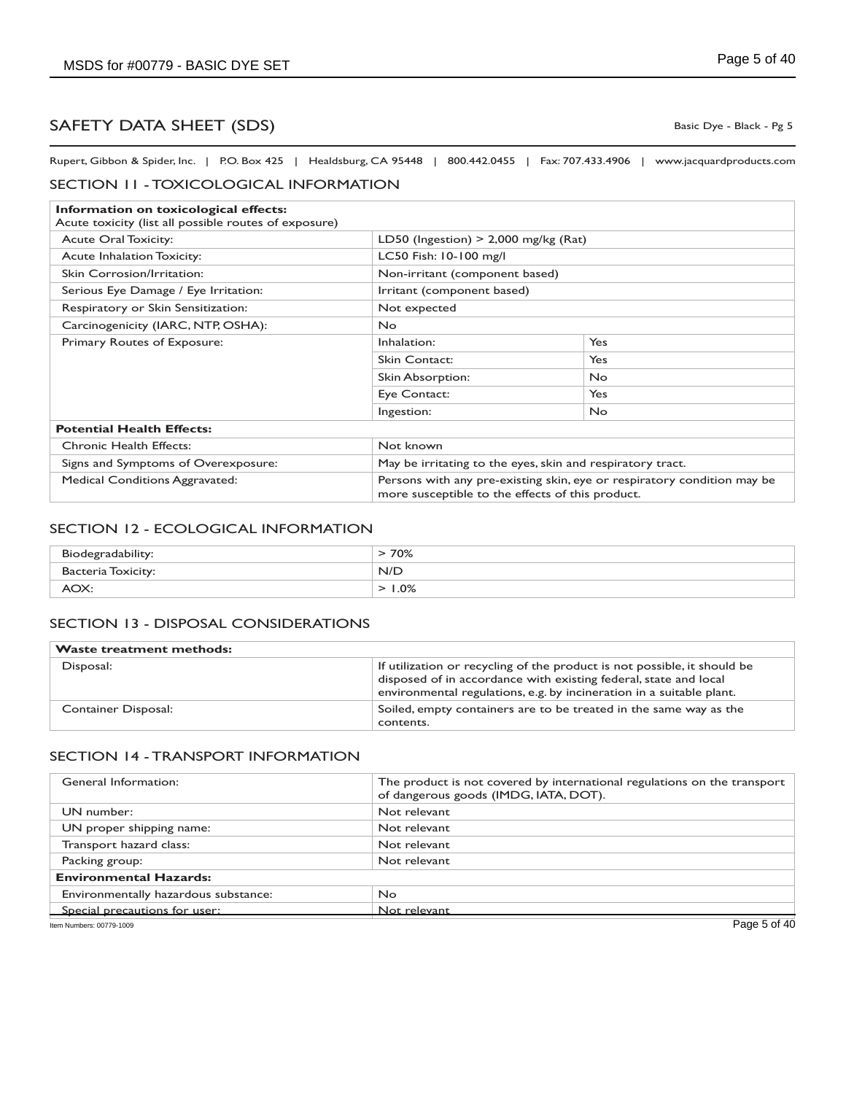Basic Dye - Black - Pg 5

Rupert, Gibbon & Spider, Inc. | P.O. Box 425 | Healdsburg, CA 95448 | 800.442.0455 | Fax: 707.433.4906 | www.jacquardproducts.com

#### SECTION 11 - TOXICOLOGICAL INFORMATION

| Information on toxicological effects:                 |                                                                                                                             |                            |  |
|-------------------------------------------------------|-----------------------------------------------------------------------------------------------------------------------------|----------------------------|--|
| Acute toxicity (list all possible routes of exposure) |                                                                                                                             |                            |  |
| <b>Acute Oral Toxicity:</b>                           | LD50 (Ingestion) $>$ 2,000 mg/kg (Rat)                                                                                      |                            |  |
| <b>Acute Inhalation Toxicity:</b>                     | LC50 Fish: 10-100 mg/l                                                                                                      |                            |  |
| Skin Corrosion/Irritation:                            | Non-irritant (component based)                                                                                              |                            |  |
| Serious Eye Damage / Eye Irritation:                  |                                                                                                                             | Irritant (component based) |  |
| Respiratory or Skin Sensitization:                    | Not expected                                                                                                                |                            |  |
| Carcinogenicity (IARC, NTP, OSHA):                    | <b>No</b>                                                                                                                   |                            |  |
| Primary Routes of Exposure:                           | Inhalation:                                                                                                                 | Yes                        |  |
|                                                       | Skin Contact:                                                                                                               | Yes                        |  |
|                                                       | Skin Absorption:                                                                                                            | <b>No</b>                  |  |
|                                                       | Eye Contact:                                                                                                                | Yes                        |  |
|                                                       | Ingestion:                                                                                                                  | <b>No</b>                  |  |
| <b>Potential Health Effects:</b>                      |                                                                                                                             |                            |  |
| <b>Chronic Health Effects:</b>                        | Not known                                                                                                                   |                            |  |
| Signs and Symptoms of Overexposure:                   | May be irritating to the eyes, skin and respiratory tract.                                                                  |                            |  |
| <b>Medical Conditions Aggravated:</b>                 | Persons with any pre-existing skin, eye or respiratory condition may be<br>more susceptible to the effects of this product. |                            |  |

#### SECTION 12 - ECOLOGICAL INFORMATION

| Biodegradability:  | 70% |
|--------------------|-----|
| Bacteria Toxicity: | N/D |
| AOX.               | .0% |

### SECTION 13 - DISPOSAL CONSIDERATIONS

| <b>Waste treatment methods:</b> |                                                                                                                                                                                                                      |
|---------------------------------|----------------------------------------------------------------------------------------------------------------------------------------------------------------------------------------------------------------------|
| Disposal:                       | If utilization or recycling of the product is not possible, it should be<br>disposed of in accordance with existing federal, state and local<br>environmental regulations, e.g. by incineration in a suitable plant. |
| Container Disposal:             | Soiled, empty containers are to be treated in the same way as the<br>contents.                                                                                                                                       |

#### SECTION 14 - TRANSPORT INFORMATION

| General Information:                 | The product is not covered by international regulations on the transport<br>of dangerous goods (IMDG, IATA, DOT). |
|--------------------------------------|-------------------------------------------------------------------------------------------------------------------|
| UN number:                           | Not relevant                                                                                                      |
| UN proper shipping name:             | Not relevant                                                                                                      |
| Transport hazard class:              | Not relevant                                                                                                      |
| Packing group:                       | Not relevant                                                                                                      |
| <b>Environmental Hazards:</b>        |                                                                                                                   |
| Environmentally hazardous substance: | No.                                                                                                               |
| Special precautions for user:        | Not relevant                                                                                                      |
| Item Numbers: 00779-1009             | Page 5 of 40                                                                                                      |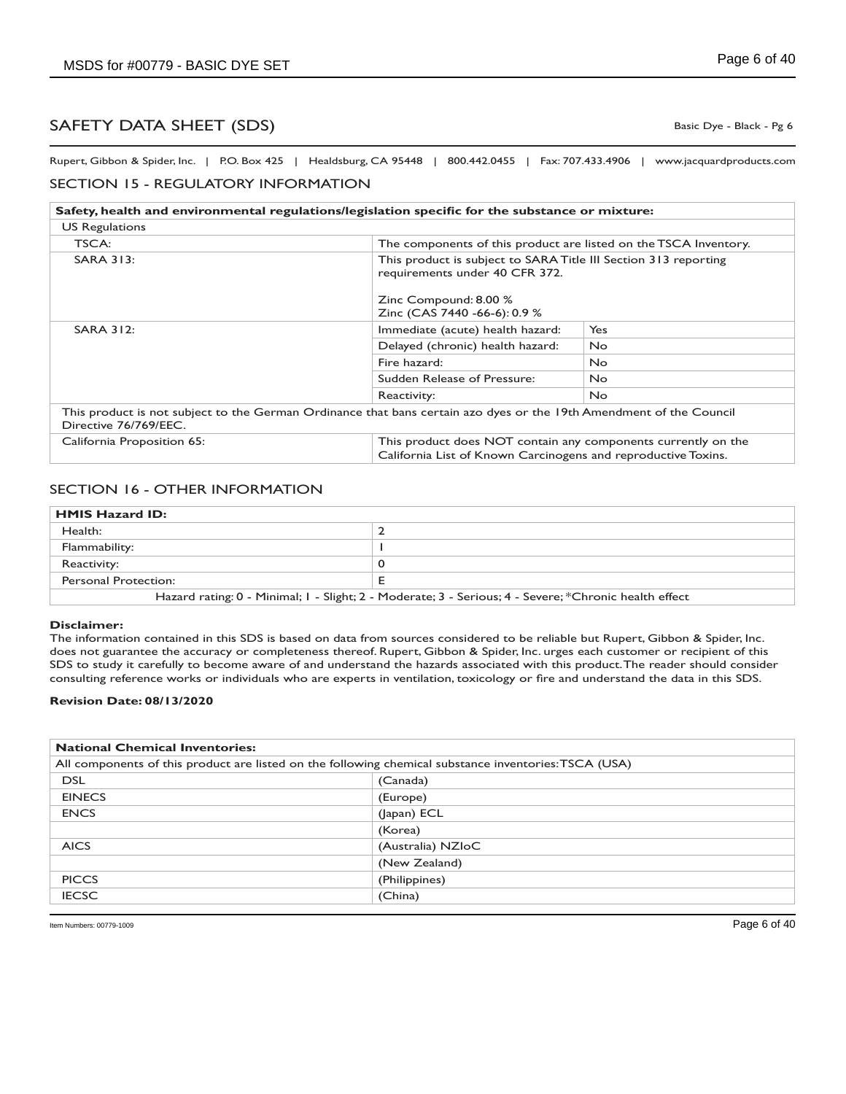Basic Dye - Black - Pg 6

Rupert, Gibbon & Spider, Inc. | P.O. Box 425 | Healdsburg, CA 95448 | 800.442.0455 | Fax: 707.433.4906 | www.jacquardproducts.com

### SECTION 15 - REGULATORY INFORMATION

| Safety, health and environmental regulations/legislation specific for the substance or mixture:                                              |                                                                                                                                |                                                                  |  |
|----------------------------------------------------------------------------------------------------------------------------------------------|--------------------------------------------------------------------------------------------------------------------------------|------------------------------------------------------------------|--|
| <b>US Regulations</b>                                                                                                                        |                                                                                                                                |                                                                  |  |
| TSCA:                                                                                                                                        |                                                                                                                                | The components of this product are listed on the TSCA Inventory. |  |
| <b>SARA 313:</b>                                                                                                                             | This product is subject to SARA Title III Section 313 reporting<br>requirements under 40 CFR 372.                              |                                                                  |  |
|                                                                                                                                              | Zinc Compound: 8.00 %<br>Zinc (CAS 7440 -66-6): 0.9 %                                                                          |                                                                  |  |
| <b>SARA 312:</b>                                                                                                                             | Immediate (acute) health hazard:                                                                                               | Yes                                                              |  |
|                                                                                                                                              | Delayed (chronic) health hazard:                                                                                               | <b>No</b>                                                        |  |
|                                                                                                                                              | Fire hazard:                                                                                                                   | No.                                                              |  |
|                                                                                                                                              | Sudden Release of Pressure:                                                                                                    | <b>No</b>                                                        |  |
|                                                                                                                                              | Reactivity:                                                                                                                    | No.                                                              |  |
| This product is not subject to the German Ordinance that bans certain azo dyes or the 19th Amendment of the Council<br>Directive 76/769/EEC. |                                                                                                                                |                                                                  |  |
| California Proposition 65:                                                                                                                   | This product does NOT contain any components currently on the<br>California List of Known Carcinogens and reproductive Toxins. |                                                                  |  |

#### SECTION 16 - OTHER INFORMATION

| <b>HMIS Hazard ID:</b>                                                                                |  |
|-------------------------------------------------------------------------------------------------------|--|
| Health:                                                                                               |  |
| Flammability:                                                                                         |  |
| Reactivity:                                                                                           |  |
| Personal Protection:                                                                                  |  |
| Hazard rating: 0 - Minimal; I - Slight; 2 - Moderate; 3 - Serious; 4 - Severe; *Chronic health effect |  |

#### **Disclaimer:**

The information contained in this SDS is based on data from sources considered to be reliable but Rupert, Gibbon & Spider, Inc. does not guarantee the accuracy or completeness thereof. Rupert, Gibbon & Spider, Inc. urges each customer or recipient of this SDS to study it carefully to become aware of and understand the hazards associated with this product. The reader should consider consulting reference works or individuals who are experts in ventilation, toxicology or fire and understand the data in this SDS.

#### **Revision Date: 08/13/2020**

| <b>National Chemical Inventories:</b>                                                                 |                   |  |
|-------------------------------------------------------------------------------------------------------|-------------------|--|
| All components of this product are listed on the following chemical substance inventories: TSCA (USA) |                   |  |
| <b>DSL</b>                                                                                            | (Canada)          |  |
| <b>EINECS</b>                                                                                         | (Europe)          |  |
| <b>ENCS</b>                                                                                           | (Japan) ECL       |  |
|                                                                                                       | (Korea)           |  |
| <b>AICS</b>                                                                                           | (Australia) NZIoC |  |
|                                                                                                       | (New Zealand)     |  |
| <b>PICCS</b>                                                                                          | (Philippines)     |  |
| <b>IECSC</b>                                                                                          | (China)           |  |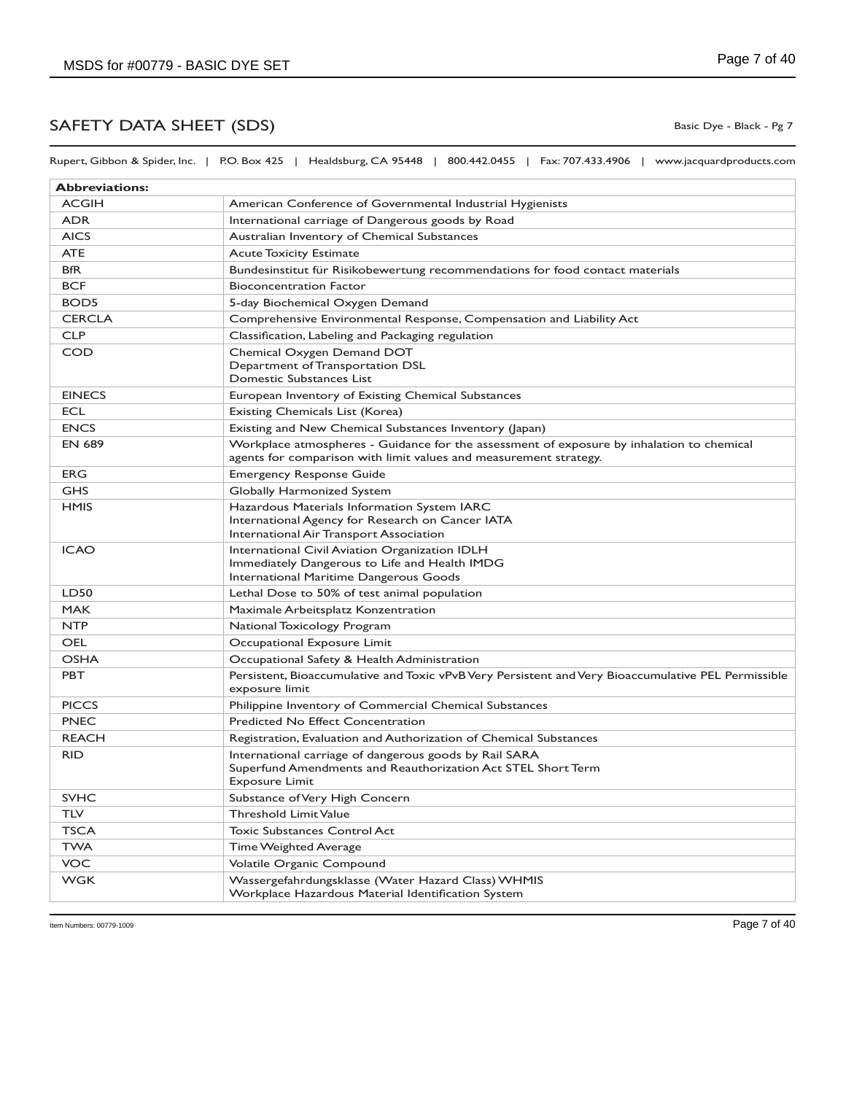Rupert, Gibbon & Spider, Inc. | P.O. Box 425 | Healdsburg, CA 95448 | 800.442.0455 | Fax: 707.433.4906 | www.jacquardproducts.com

| <b>Abbreviations:</b> |                                                                                                                                                                |
|-----------------------|----------------------------------------------------------------------------------------------------------------------------------------------------------------|
| <b>ACGIH</b>          | American Conference of Governmental Industrial Hygienists                                                                                                      |
| <b>ADR</b>            | International carriage of Dangerous goods by Road                                                                                                              |
| <b>AICS</b>           | Australian Inventory of Chemical Substances                                                                                                                    |
| <b>ATE</b>            | <b>Acute Toxicity Estimate</b>                                                                                                                                 |
| <b>BfR</b>            | Bundesinstitut für Risikobewertung recommendations for food contact materials                                                                                  |
| <b>BCF</b>            | <b>Bioconcentration Factor</b>                                                                                                                                 |
| BOD <sub>5</sub>      | 5-day Biochemical Oxygen Demand                                                                                                                                |
| <b>CERCLA</b>         | Comprehensive Environmental Response, Compensation and Liability Act                                                                                           |
| <b>CLP</b>            | Classification, Labeling and Packaging regulation                                                                                                              |
| <b>COD</b>            | Chemical Oxygen Demand DOT<br>Department of Transportation DSL<br>Domestic Substances List                                                                     |
| <b>EINECS</b>         | European Inventory of Existing Chemical Substances                                                                                                             |
| <b>ECL</b>            | Existing Chemicals List (Korea)                                                                                                                                |
| <b>ENCS</b>           | Existing and New Chemical Substances Inventory (Japan)                                                                                                         |
| <b>EN 689</b>         | Workplace atmospheres - Guidance for the assessment of exposure by inhalation to chemical<br>agents for comparison with limit values and measurement strategy. |
| <b>ERG</b>            | <b>Emergency Response Guide</b>                                                                                                                                |
| <b>GHS</b>            | Globally Harmonized System                                                                                                                                     |
| <b>HMIS</b>           | Hazardous Materials Information System IARC<br>International Agency for Research on Cancer IATA<br>International Air Transport Association                     |
| <b>ICAO</b>           | International Civil Aviation Organization IDLH<br>Immediately Dangerous to Life and Health IMDG<br>International Maritime Dangerous Goods                      |
| LD50                  | Lethal Dose to 50% of test animal population                                                                                                                   |
| <b>MAK</b>            | Maximale Arbeitsplatz Konzentration                                                                                                                            |
| <b>NTP</b>            | National Toxicology Program                                                                                                                                    |
| OEL                   | Occupational Exposure Limit                                                                                                                                    |
| <b>OSHA</b>           | Occupational Safety & Health Administration                                                                                                                    |
| <b>PBT</b>            | Persistent, Bioaccumulative and Toxic vPvB Very Persistent and Very Bioaccumulative PEL Permissible<br>exposure limit                                          |
| <b>PICCS</b>          | Philippine Inventory of Commercial Chemical Substances                                                                                                         |
| <b>PNEC</b>           | Predicted No Effect Concentration                                                                                                                              |
| <b>REACH</b>          | Registration, Evaluation and Authorization of Chemical Substances                                                                                              |
| <b>RID</b>            | International carriage of dangerous goods by Rail SARA<br>Superfund Amendments and Reauthorization Act STEL Short Term<br><b>Exposure Limit</b>                |
| <b>SVHC</b>           | Substance of Very High Concern                                                                                                                                 |
| TLV                   | <b>Threshold Limit Value</b>                                                                                                                                   |
| <b>TSCA</b>           | <b>Toxic Substances Control Act</b>                                                                                                                            |
| <b>TWA</b>            | Time Weighted Average                                                                                                                                          |
| VOC                   | Volatile Organic Compound                                                                                                                                      |
| <b>WGK</b>            | Wassergefahrdungsklasse (Water Hazard Class) WHMIS<br>Workplace Hazardous Material Identification System                                                       |

Basic Dye - Black - Pg 7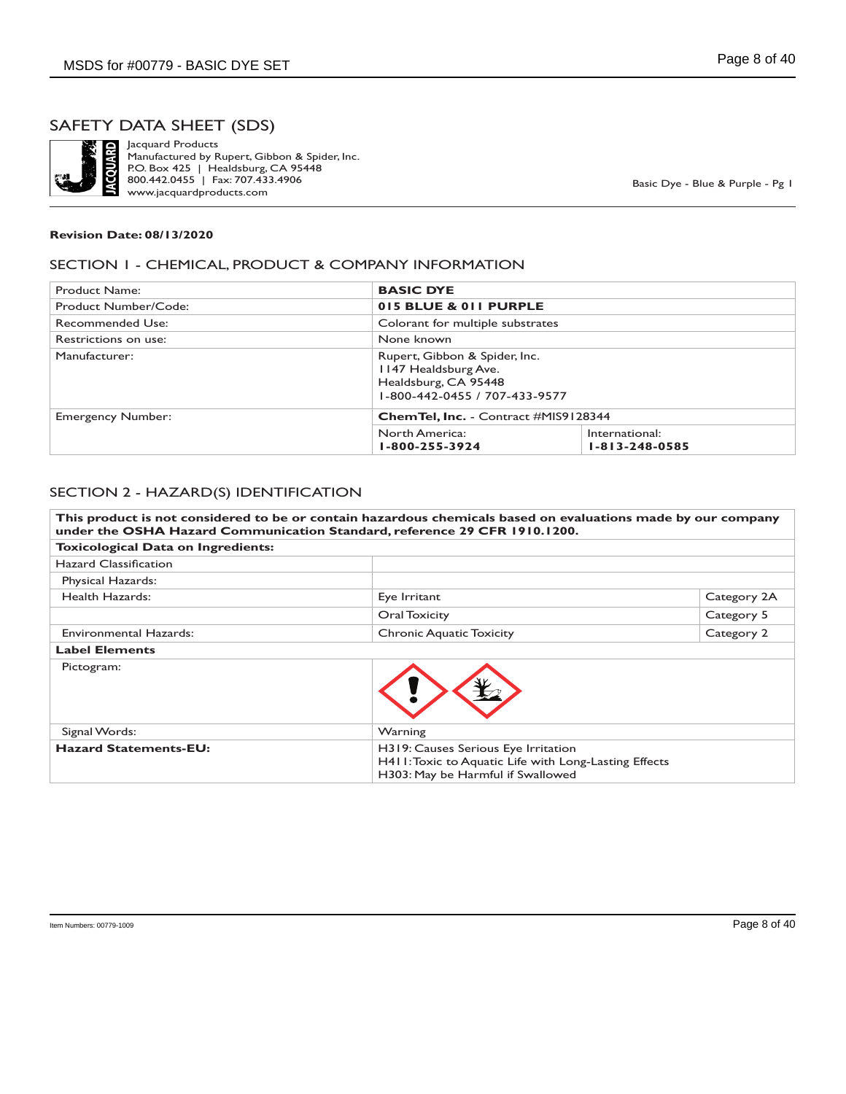

Jacquard Products Manufactured by Rupert, Gibbon & Spider, Inc. P.O. Box 425 | Healdsburg, CA 95448 800.442.0455 | Fax: 707.433.4906 www.jacquardproducts.com

Basic Dye - Blue & Purple - Pg 1

#### **Revision Date: 08/13/2020**

#### SECTION 1 - CHEMICAL, PRODUCT & COMPANY INFORMATION

| Product Name:            | <b>BASIC DYE</b>                             |                                                                |  |
|--------------------------|----------------------------------------------|----------------------------------------------------------------|--|
| Product Number/Code:     |                                              | 015 BLUE & 011 PURPLE                                          |  |
| Recommended Use:         |                                              | Colorant for multiple substrates                               |  |
| Restrictions on use:     | None known                                   |                                                                |  |
| Manufacturer:            | 1147 Healdsburg Ave.<br>Healdsburg, CA 95448 | Rupert, Gibbon & Spider, Inc.<br>1-800-442-0455 / 707-433-9577 |  |
| <b>Emergency Number:</b> |                                              | <b>ChemTel, Inc.</b> - Contract #MIS9128344                    |  |
|                          | North America:<br>1-800-255-3924             | International:<br>$1 - 813 - 248 - 0585$                       |  |

#### SECTION 2 - HAZARD(S) IDENTIFICATION

**This product is not considered to be or contain hazardous chemicals based on evaluations made by our company under the OSHA Hazard Communication Standard, reference 29 CFR 1910.1200. Toxicological Data on Ingredients:** Hazard Classification Physical Hazards: Health Hazards: Eye Irritant Exercise Category 2A **Oral Toxicity** Category 5 Environmental Hazards: Chronic Aquatic Toxicity Category 2 **Label Elements** Pictogram: Signal Words: Warning **Hazard Statements-EU:** H319: Causes Serious Eye Irritation H411: Toxic to Aquatic Life with Long-Lasting Effects H303: May be Harmful if Swallowed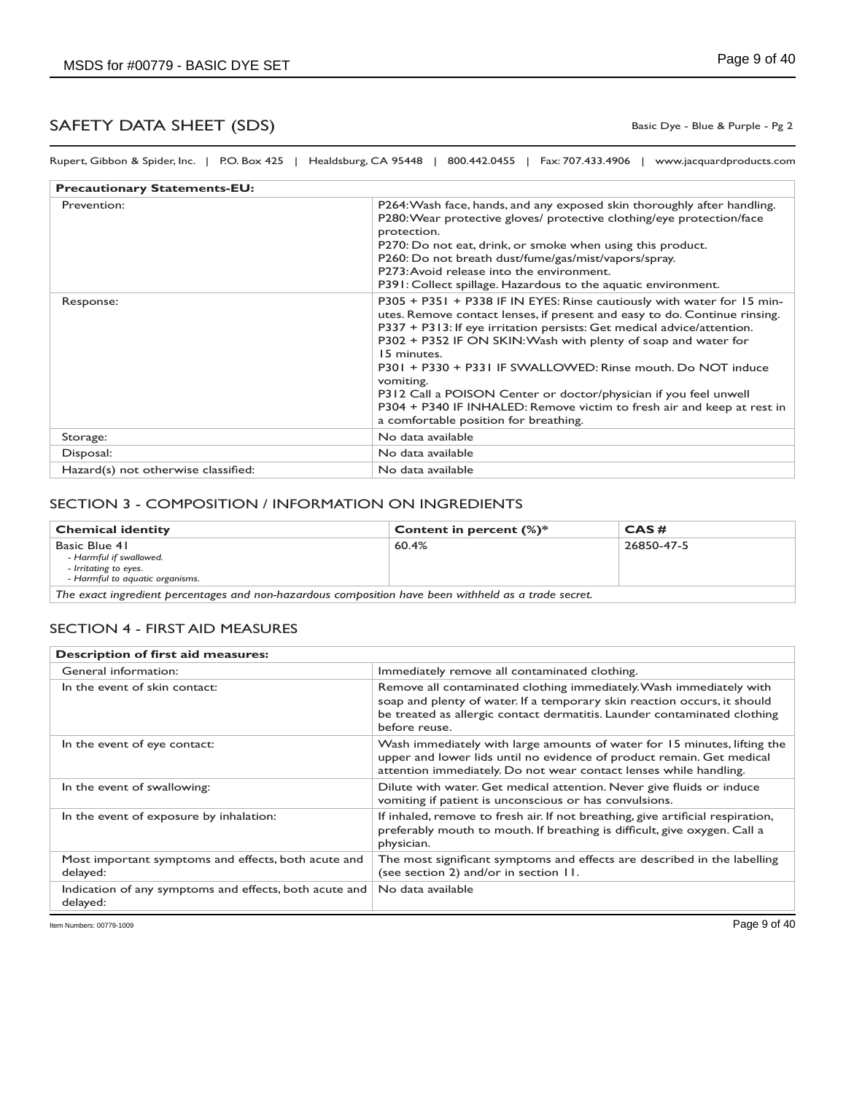Basic Dye - Blue & Purple - Pg 2

Rupert, Gibbon & Spider, Inc. | P.O. Box 425 | Healdsburg, CA 95448 | 800.442.0455 | Fax: 707.433.4906 | www.jacquardproducts.com

| <b>Precautionary Statements-EU:</b> |                                                                                                                                                                                                                                                                                                                                                                                                                                                                                                                                                                                   |  |
|-------------------------------------|-----------------------------------------------------------------------------------------------------------------------------------------------------------------------------------------------------------------------------------------------------------------------------------------------------------------------------------------------------------------------------------------------------------------------------------------------------------------------------------------------------------------------------------------------------------------------------------|--|
| Prevention:                         | P264: Wash face, hands, and any exposed skin thoroughly after handling.<br>P280: Wear protective gloves/ protective clothing/eye protection/face<br>protection.<br>P270: Do not eat, drink, or smoke when using this product.<br>P260: Do not breath dust/fume/gas/mist/vapors/spray.<br>P273: Avoid release into the environment.<br>P391: Collect spillage. Hazardous to the aquatic environment.                                                                                                                                                                               |  |
| Response:                           | P305 + P351 + P338 IF IN EYES: Rinse cautiously with water for 15 min-<br>utes. Remove contact lenses, if present and easy to do. Continue rinsing.<br>P337 + P313: If eye irritation persists: Get medical advice/attention.<br>P302 + P352 IF ON SKIN: Wash with plenty of soap and water for<br>15 minutes.<br>P301 + P330 + P331 IF SWALLOWED: Rinse mouth, Do NOT induce<br>vomiting.<br>P312 Call a POISON Center or doctor/physician if you feel unwell<br>P304 + P340 IF INHALED: Remove victim to fresh air and keep at rest in<br>a comfortable position for breathing. |  |
| Storage:                            | No data available                                                                                                                                                                                                                                                                                                                                                                                                                                                                                                                                                                 |  |
| Disposal:                           | No data available                                                                                                                                                                                                                                                                                                                                                                                                                                                                                                                                                                 |  |
| Hazard(s) not otherwise classified: | No data available                                                                                                                                                                                                                                                                                                                                                                                                                                                                                                                                                                 |  |

### SECTION 3 - COMPOSITION / INFORMATION ON INGREDIENTS

| <b>Chemical identity</b>                                                                             | Content in percent $(\%)^*$ | CAS#       |
|------------------------------------------------------------------------------------------------------|-----------------------------|------------|
| Basic Blue 41<br>- Harmful if swallowed.<br>- Irritating to eyes.<br>- Harmful to aguatic organisms. | 60.4%                       | 26850-47-5 |
| The exact ingredient percentages and non-hazardous composition have been withheld as a trade secret  |                             |            |

*The exact ingredient percentages and non-hazardous composition have been withheld as a trade secret.*

#### SECTION 4 - FIRST AID MEASURES

| Description of first aid measures:                                 |                                                                                                                                                                                                                                              |  |
|--------------------------------------------------------------------|----------------------------------------------------------------------------------------------------------------------------------------------------------------------------------------------------------------------------------------------|--|
| General information:                                               | Immediately remove all contaminated clothing.                                                                                                                                                                                                |  |
| In the event of skin contact:                                      | Remove all contaminated clothing immediately. Wash immediately with<br>soap and plenty of water. If a temporary skin reaction occurs, it should<br>be treated as allergic contact dermatitis. Launder contaminated clothing<br>before reuse. |  |
| In the event of eye contact:                                       | Wash immediately with large amounts of water for 15 minutes, lifting the<br>upper and lower lids until no evidence of product remain. Get medical<br>attention immediately. Do not wear contact lenses while handling.                       |  |
| In the event of swallowing:                                        | Dilute with water. Get medical attention. Never give fluids or induce<br>vomiting if patient is unconscious or has convulsions.                                                                                                              |  |
| In the event of exposure by inhalation:                            | If inhaled, remove to fresh air. If not breathing, give artificial respiration,<br>preferably mouth to mouth. If breathing is difficult, give oxygen. Call a<br>physician.                                                                   |  |
| Most important symptoms and effects, both acute and<br>delayed:    | The most significant symptoms and effects are described in the labelling<br>(see section 2) and/or in section 11.                                                                                                                            |  |
| Indication of any symptoms and effects, both acute and<br>delayed: | No data available                                                                                                                                                                                                                            |  |

Item Numbers: 00779-1009 Page 9 of 40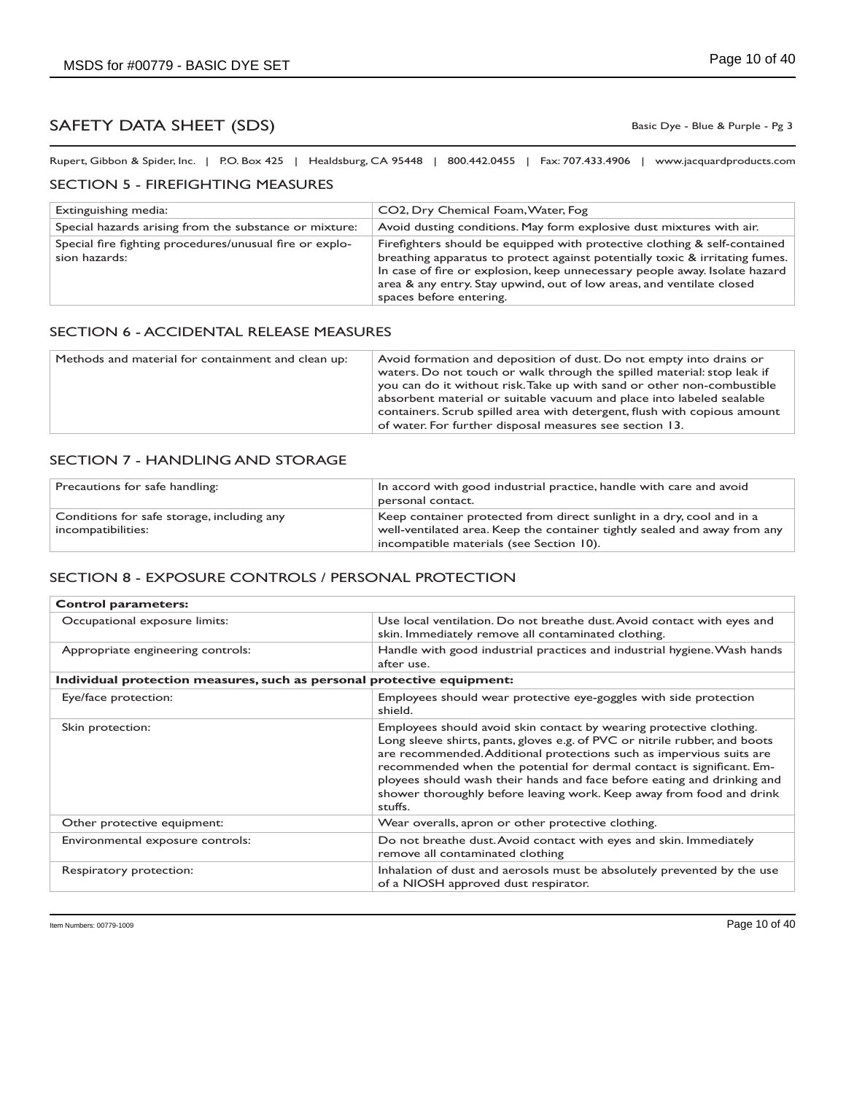Basic Dye - Blue & Purple - Pg 3

Rupert, Gibbon & Spider, Inc. | P.O. Box 425 | Healdsburg, CA 95448 | 800.442.0455 | Fax: 707.433.4906 | www.jacquardproducts.com

#### SECTION 5 - FIREFIGHTING MEASURES

| Extinguishing media:                                                     | CO2, Dry Chemical Foam, Water, Fog                                                                                                                                                                                                                                                                                                          |
|--------------------------------------------------------------------------|---------------------------------------------------------------------------------------------------------------------------------------------------------------------------------------------------------------------------------------------------------------------------------------------------------------------------------------------|
| Special hazards arising from the substance or mixture:                   | Avoid dusting conditions. May form explosive dust mixtures with air.                                                                                                                                                                                                                                                                        |
| Special fire fighting procedures/unusual fire or explo-<br>sion hazards: | Firefighters should be equipped with protective clothing & self-contained<br>breathing apparatus to protect against potentially toxic & irritating fumes.<br>In case of fire or explosion, keep unnecessary people away. Isolate hazard<br>area & any entry. Stay upwind, out of low areas, and ventilate closed<br>spaces before entering. |

#### SECTION 6 - ACCIDENTAL RELEASE MEASURES

| Avoid formation and deposition of dust. Do not empty into drains or<br>waters. Do not touch or walk through the spilled material: stop leak if<br>you can do it without risk. Take up with sand or other non-combustible<br>absorbent material or suitable vacuum and place into labeled sealable<br>containers. Scrub spilled area with detergent, flush with copious amount<br>of water. For further disposal measures see section 13. |
|------------------------------------------------------------------------------------------------------------------------------------------------------------------------------------------------------------------------------------------------------------------------------------------------------------------------------------------------------------------------------------------------------------------------------------------|
|                                                                                                                                                                                                                                                                                                                                                                                                                                          |

#### SECTION 7 - HANDLING AND STORAGE

| Precautions for safe handling:                                   | In accord with good industrial practice, handle with care and avoid<br>personal contact.                                                                                                       |
|------------------------------------------------------------------|------------------------------------------------------------------------------------------------------------------------------------------------------------------------------------------------|
| Conditions for safe storage, including any<br>incompatibilities: | Keep container protected from direct sunlight in a dry, cool and in a<br>well-ventilated area. Keep the container tightly sealed and away from any<br>incompatible materials (see Section 10). |

### SECTION 8 - EXPOSURE CONTROLS / PERSONAL PROTECTION

| <b>Control parameters:</b>                                             |                                                                                                                                                                                                                                                                                                                                                                                                                                                                  |
|------------------------------------------------------------------------|------------------------------------------------------------------------------------------------------------------------------------------------------------------------------------------------------------------------------------------------------------------------------------------------------------------------------------------------------------------------------------------------------------------------------------------------------------------|
| Occupational exposure limits:                                          | Use local ventilation. Do not breathe dust. Avoid contact with eyes and<br>skin. Immediately remove all contaminated clothing.                                                                                                                                                                                                                                                                                                                                   |
| Appropriate engineering controls:                                      | Handle with good industrial practices and industrial hygiene. Wash hands<br>after use.                                                                                                                                                                                                                                                                                                                                                                           |
| Individual protection measures, such as personal protective equipment: |                                                                                                                                                                                                                                                                                                                                                                                                                                                                  |
| Eye/face protection:                                                   | Employees should wear protective eye-goggles with side protection<br>shield.                                                                                                                                                                                                                                                                                                                                                                                     |
| Skin protection:                                                       | Employees should avoid skin contact by wearing protective clothing.<br>Long sleeve shirts, pants, gloves e.g. of PVC or nitrile rubber, and boots<br>are recommended. Additional protections such as impervious suits are<br>recommended when the potential for dermal contact is significant. Em-<br>ployees should wash their hands and face before eating and drinking and<br>shower thoroughly before leaving work. Keep away from food and drink<br>stuffs. |
| Other protective equipment:                                            | Wear overalls, apron or other protective clothing.                                                                                                                                                                                                                                                                                                                                                                                                               |
| Environmental exposure controls:                                       | Do not breathe dust. Avoid contact with eyes and skin. Immediately<br>remove all contaminated clothing                                                                                                                                                                                                                                                                                                                                                           |
| Respiratory protection:                                                | Inhalation of dust and aerosols must be absolutely prevented by the use<br>of a NIOSH approved dust respirator.                                                                                                                                                                                                                                                                                                                                                  |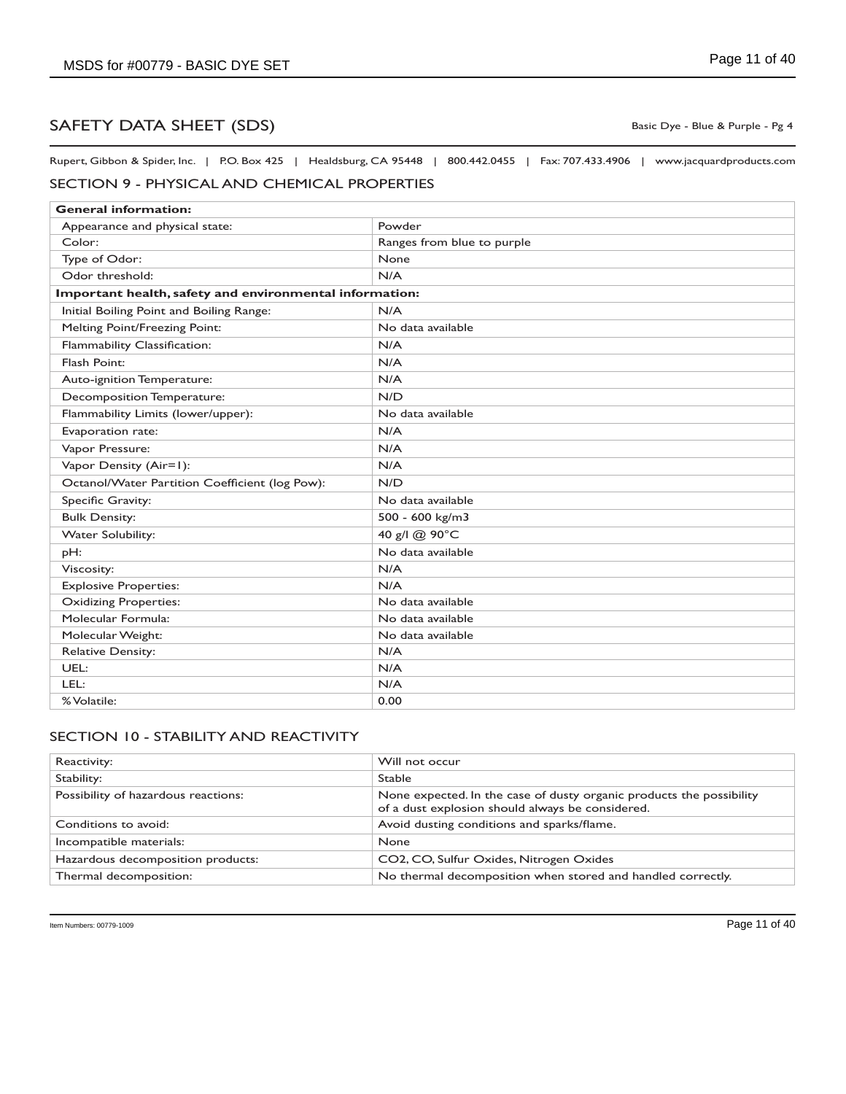Basic Dye - Blue & Purple - Pg 4

Rupert, Gibbon & Spider, Inc. | P.O. Box 425 | Healdsburg, CA 95448 | 800.442.0455 | Fax: 707.433.4906 | www.jacquardproducts.com

### SECTION 9 - PHYSICAL AND CHEMICAL PROPERTIES

| <b>General information:</b>                             |                            |
|---------------------------------------------------------|----------------------------|
| Appearance and physical state:                          | Powder                     |
| Color:                                                  | Ranges from blue to purple |
| Type of Odor:                                           | None                       |
| Odor threshold:                                         | N/A                        |
| Important health, safety and environmental information: |                            |
| Initial Boiling Point and Boiling Range:                | N/A                        |
| Melting Point/Freezing Point:                           | No data available          |
| Flammability Classification:                            | N/A                        |
| Flash Point:                                            | N/A                        |
| Auto-ignition Temperature:                              | N/A                        |
| Decomposition Temperature:                              | N/D                        |
| Flammability Limits (lower/upper):                      | No data available          |
| Evaporation rate:                                       | N/A                        |
| Vapor Pressure:                                         | N/A                        |
| Vapor Density (Air=1):                                  | N/A                        |
| Octanol/Water Partition Coefficient (log Pow):          | N/D                        |
| Specific Gravity:                                       | No data available          |
| <b>Bulk Density:</b>                                    | 500 - 600 kg/m3            |
| Water Solubility:                                       | 40 g/l @ 90°C              |
| pH:                                                     | No data available          |
| Viscosity:                                              | N/A                        |
| <b>Explosive Properties:</b>                            | N/A                        |
| <b>Oxidizing Properties:</b>                            | No data available          |
| Molecular Formula:                                      | No data available          |
| Molecular Weight:                                       | No data available          |
| <b>Relative Density:</b>                                | N/A                        |
| UEL:                                                    | N/A                        |
| LEL:                                                    | N/A                        |
| % Volatile:                                             | 0.00                       |

## SECTION 10 - STABILITY AND REACTIVITY

| Reactivity:                         | Will not occur                                                                                                           |
|-------------------------------------|--------------------------------------------------------------------------------------------------------------------------|
| Stability:                          | <b>Stable</b>                                                                                                            |
| Possibility of hazardous reactions: | None expected. In the case of dusty organic products the possibility<br>of a dust explosion should always be considered. |
| Conditions to avoid:                | Avoid dusting conditions and sparks/flame.                                                                               |
| Incompatible materials:             | <b>None</b>                                                                                                              |
| Hazardous decomposition products:   | CO2, CO, Sulfur Oxides, Nitrogen Oxides                                                                                  |
| Thermal decomposition:              | No thermal decomposition when stored and handled correctly.                                                              |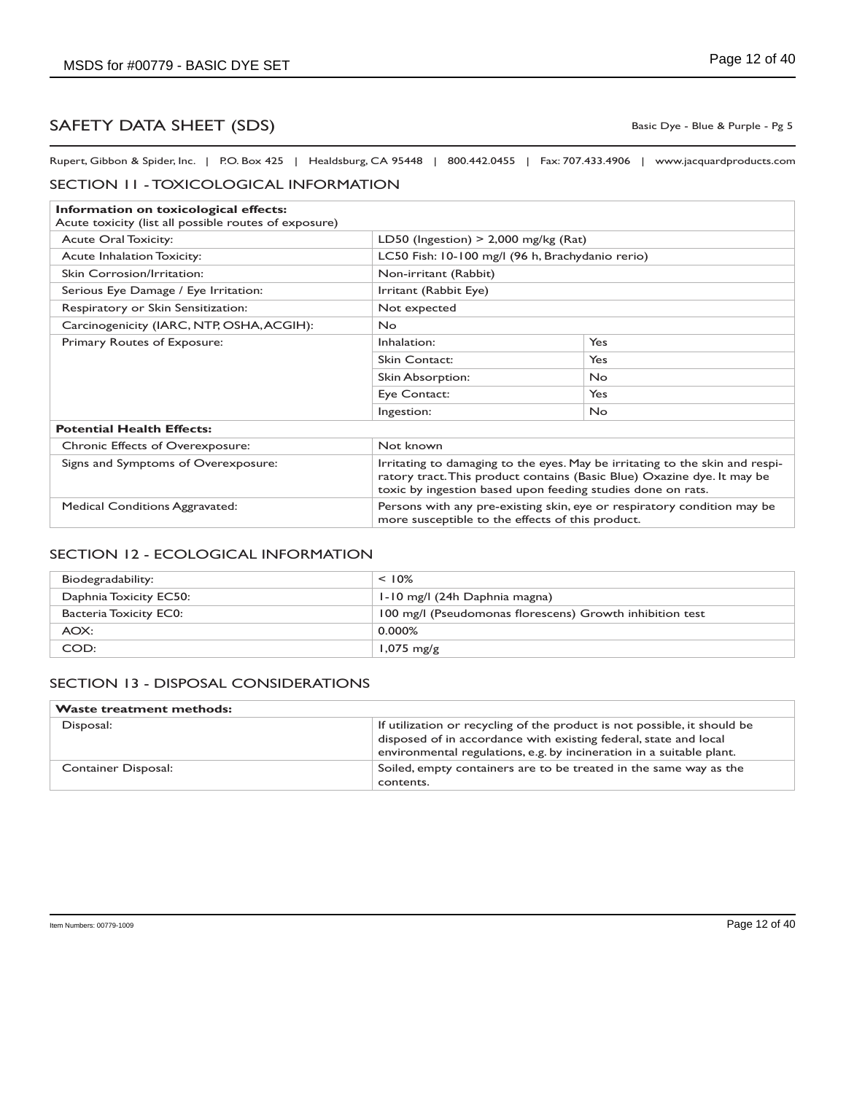Basic Dye - Blue & Purple - Pg 5

Rupert, Gibbon & Spider, Inc. | P.O. Box 425 | Healdsburg, CA 95448 | 800.442.0455 | Fax: 707.433.4906 | www.jacquardproducts.com

#### SECTION 11 - TOXICOLOGICAL INFORMATION

| Information on toxicological effects:<br>Acute toxicity (list all possible routes of exposure) |                                                                                                                                                                                                                        |            |
|------------------------------------------------------------------------------------------------|------------------------------------------------------------------------------------------------------------------------------------------------------------------------------------------------------------------------|------------|
| <b>Acute Oral Toxicity:</b>                                                                    | LD50 (Ingestion) $>$ 2,000 mg/kg (Rat)                                                                                                                                                                                 |            |
| <b>Acute Inhalation Toxicity:</b>                                                              | LC50 Fish: 10-100 mg/l (96 h, Brachydanio rerio)                                                                                                                                                                       |            |
| Skin Corrosion/Irritation:                                                                     | Non-irritant (Rabbit)                                                                                                                                                                                                  |            |
| Serious Eye Damage / Eye Irritation:                                                           | Irritant (Rabbit Eye)                                                                                                                                                                                                  |            |
| Respiratory or Skin Sensitization:                                                             | Not expected                                                                                                                                                                                                           |            |
| Carcinogenicity (IARC, NTP, OSHA, ACGIH):                                                      | No.                                                                                                                                                                                                                    |            |
| Primary Routes of Exposure:                                                                    | Inhalation:                                                                                                                                                                                                            | Yes        |
|                                                                                                | <b>Skin Contact:</b>                                                                                                                                                                                                   | Yes        |
|                                                                                                | Skin Absorption:                                                                                                                                                                                                       | No.        |
|                                                                                                | Eye Contact:                                                                                                                                                                                                           | <b>Yes</b> |
|                                                                                                | Ingestion:                                                                                                                                                                                                             | <b>No</b>  |
| <b>Potential Health Effects:</b>                                                               |                                                                                                                                                                                                                        |            |
| <b>Chronic Effects of Overexposure:</b>                                                        | Not known                                                                                                                                                                                                              |            |
| Signs and Symptoms of Overexposure:                                                            | Irritating to damaging to the eyes. May be irritating to the skin and respi-<br>ratory tract. This product contains (Basic Blue) Oxazine dye. It may be<br>toxic by ingestion based upon feeding studies done on rats. |            |
| <b>Medical Conditions Aggravated:</b>                                                          | Persons with any pre-existing skin, eye or respiratory condition may be<br>more susceptible to the effects of this product.                                                                                            |            |

#### SECTION 12 - ECOLOGICAL INFORMATION

| Biodegradability:      | $< 10\%$                                                 |
|------------------------|----------------------------------------------------------|
| Daphnia Toxicity EC50: | 1-10 mg/l (24h Daphnia magna)                            |
| Bacteria Toxicity EC0: | 100 mg/l (Pseudomonas florescens) Growth inhibition test |
| AOX:                   | $0.000\%$                                                |
| COD:                   | $1,075$ mg/g                                             |

### SECTION 13 - DISPOSAL CONSIDERATIONS

| <b>Waste treatment methods:</b> |                                                                                                                                                                                                                      |
|---------------------------------|----------------------------------------------------------------------------------------------------------------------------------------------------------------------------------------------------------------------|
| Disposal:                       | If utilization or recycling of the product is not possible, it should be<br>disposed of in accordance with existing federal, state and local<br>environmental regulations, e.g. by incineration in a suitable plant. |
| <b>Container Disposal:</b>      | Soiled, empty containers are to be treated in the same way as the<br>contents.                                                                                                                                       |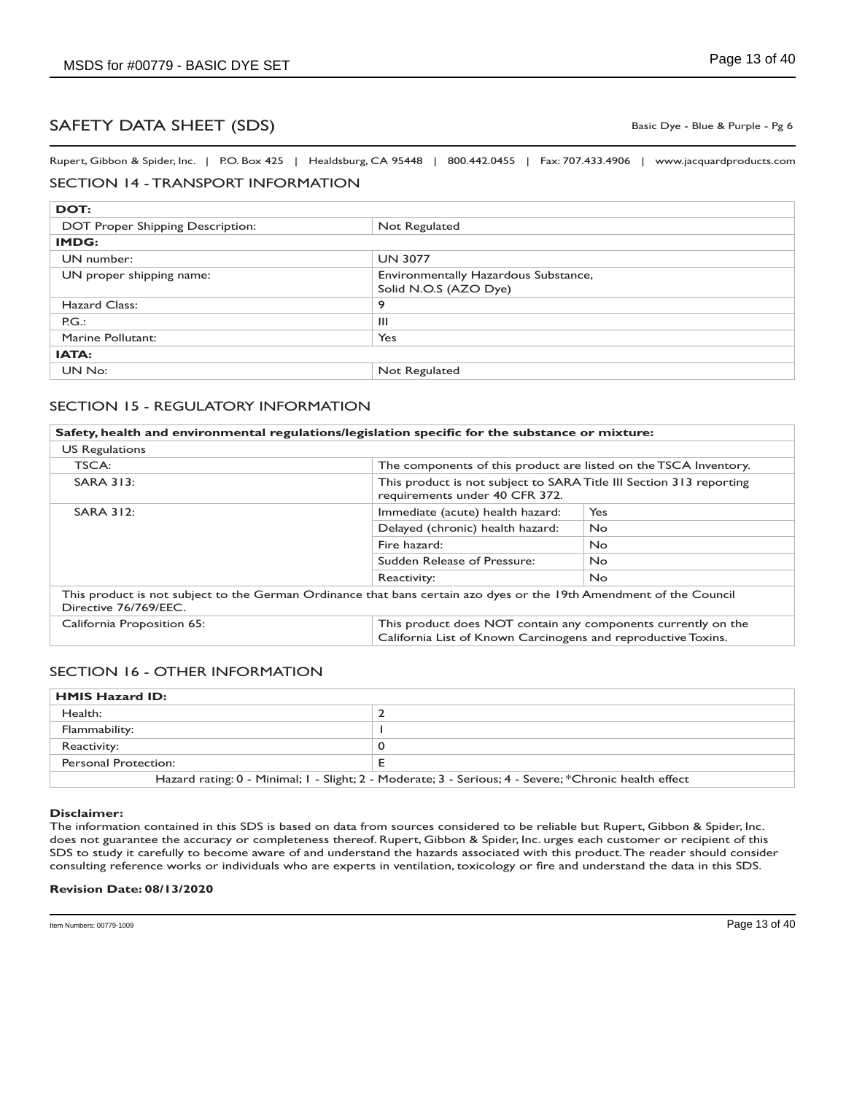Basic Dye - Blue & Purple - Pg 6

Rupert, Gibbon & Spider, Inc. | P.O. Box 425 | Healdsburg, CA 95448 | 800.442.0455 | Fax: 707.433.4906 | www.jacquardproducts.com

## SECTION 14 - TRANSPORT INFORMATION

| DOT:                             |                                                               |
|----------------------------------|---------------------------------------------------------------|
| DOT Proper Shipping Description: | Not Regulated                                                 |
| <b>IMDG:</b>                     |                                                               |
| UN number:                       | <b>UN 3077</b>                                                |
| UN proper shipping name:         | Environmentally Hazardous Substance,<br>Solid N.O.S (AZO Dye) |
| Hazard Class:                    | 9                                                             |
| PG.                              | Ш                                                             |
| Marine Pollutant:                | Yes                                                           |
| <b>IATA:</b>                     |                                                               |
| UN No:                           | Not Regulated                                                 |

### SECTION 15 - REGULATORY INFORMATION

| Safety, health and environmental regulations/legislation specific for the substance or mixture:                                              |                                                                                                                                |     |
|----------------------------------------------------------------------------------------------------------------------------------------------|--------------------------------------------------------------------------------------------------------------------------------|-----|
| <b>US Regulations</b>                                                                                                                        |                                                                                                                                |     |
| TSCA:                                                                                                                                        | The components of this product are listed on the TSCA Inventory.                                                               |     |
| <b>SARA 313:</b>                                                                                                                             | This product is not subject to SARA Title III Section 313 reporting<br>requirements under 40 CFR 372.                          |     |
| <b>SARA 312:</b>                                                                                                                             | Immediate (acute) health hazard:                                                                                               | Yes |
|                                                                                                                                              | Delayed (chronic) health hazard:                                                                                               | No. |
|                                                                                                                                              | Fire hazard:                                                                                                                   | No. |
|                                                                                                                                              | Sudden Release of Pressure:                                                                                                    | No. |
|                                                                                                                                              | Reactivity:                                                                                                                    | No. |
| This product is not subject to the German Ordinance that bans certain azo dyes or the 19th Amendment of the Council<br>Directive 76/769/EEC. |                                                                                                                                |     |
| California Proposition 65:                                                                                                                   | This product does NOT contain any components currently on the<br>California List of Known Carcinogens and reproductive Toxins. |     |

#### SECTION 16 - OTHER INFORMATION

| <b>HMIS Hazard ID:</b>                                                                                |  |
|-------------------------------------------------------------------------------------------------------|--|
| Health:                                                                                               |  |
| Flammability:                                                                                         |  |
| Reactivity:                                                                                           |  |
| Personal Protection:                                                                                  |  |
| Hazard rating: 0 - Minimal; 1 - Slight; 2 - Moderate; 3 - Serious; 4 - Severe; *Chronic health effect |  |

#### **Disclaimer:**

The information contained in this SDS is based on data from sources considered to be reliable but Rupert, Gibbon & Spider, Inc. does not guarantee the accuracy or completeness thereof. Rupert, Gibbon & Spider, Inc. urges each customer or recipient of this SDS to study it carefully to become aware of and understand the hazards associated with this product. The reader should consider consulting reference works or individuals who are experts in ventilation, toxicology or fire and understand the data in this SDS.

#### **Revision Date: 08/13/2020**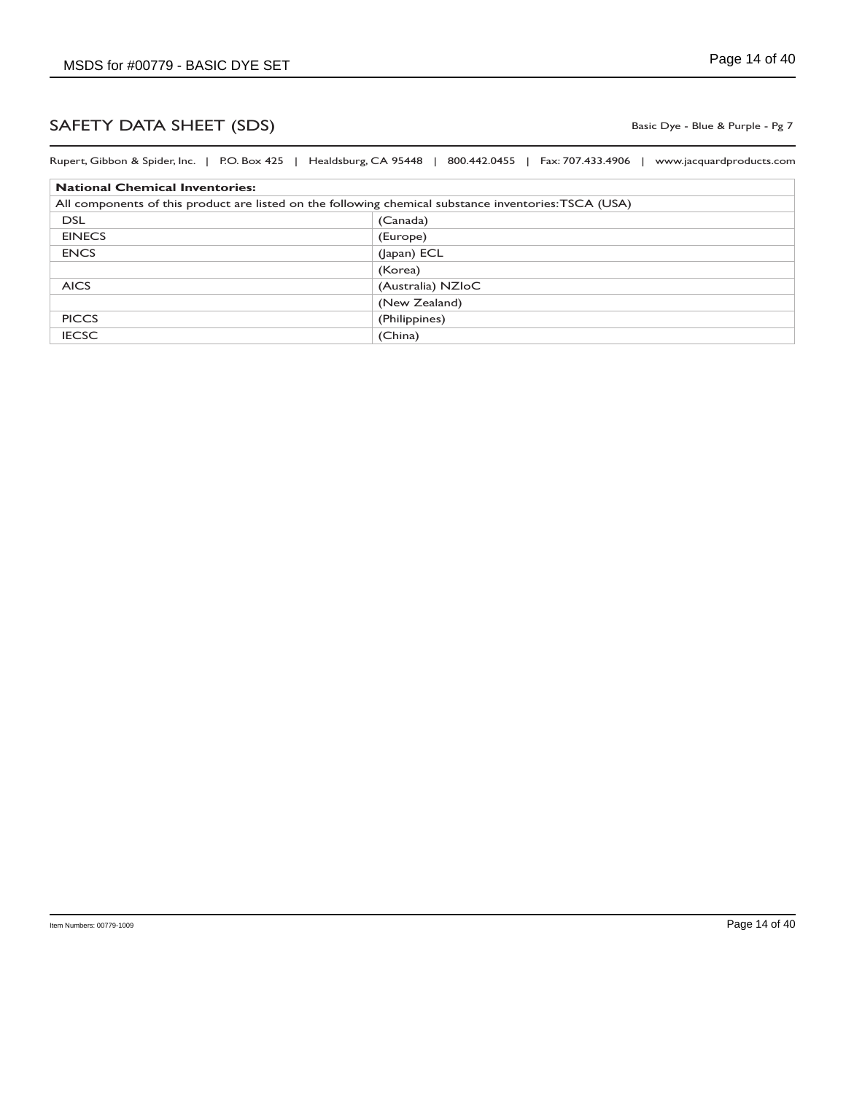Basic Dye - Blue & Purple - Pg 7

| Rupert, Gibbon & Spider, Inc.   P.O. Box 425   Healdsburg, CA 95448                                   | 800.442.0455   Fax: 707.433.4906  <br>www.jacquardproducts.com |
|-------------------------------------------------------------------------------------------------------|----------------------------------------------------------------|
| <b>National Chemical Inventories:</b>                                                                 |                                                                |
| All components of this product are listed on the following chemical substance inventories: TSCA (USA) |                                                                |
| <b>DSL</b>                                                                                            | (Canada)                                                       |
| <b>EINECS</b>                                                                                         | (Europe)                                                       |
| <b>ENCS</b>                                                                                           | (Japan) ECL                                                    |
|                                                                                                       | (Korea)                                                        |
| <b>AICS</b>                                                                                           | (Australia) NZIoC                                              |
|                                                                                                       | (New Zealand)                                                  |
| <b>PICCS</b>                                                                                          | (Philippines)                                                  |
| <b>IECSC</b>                                                                                          | (China)                                                        |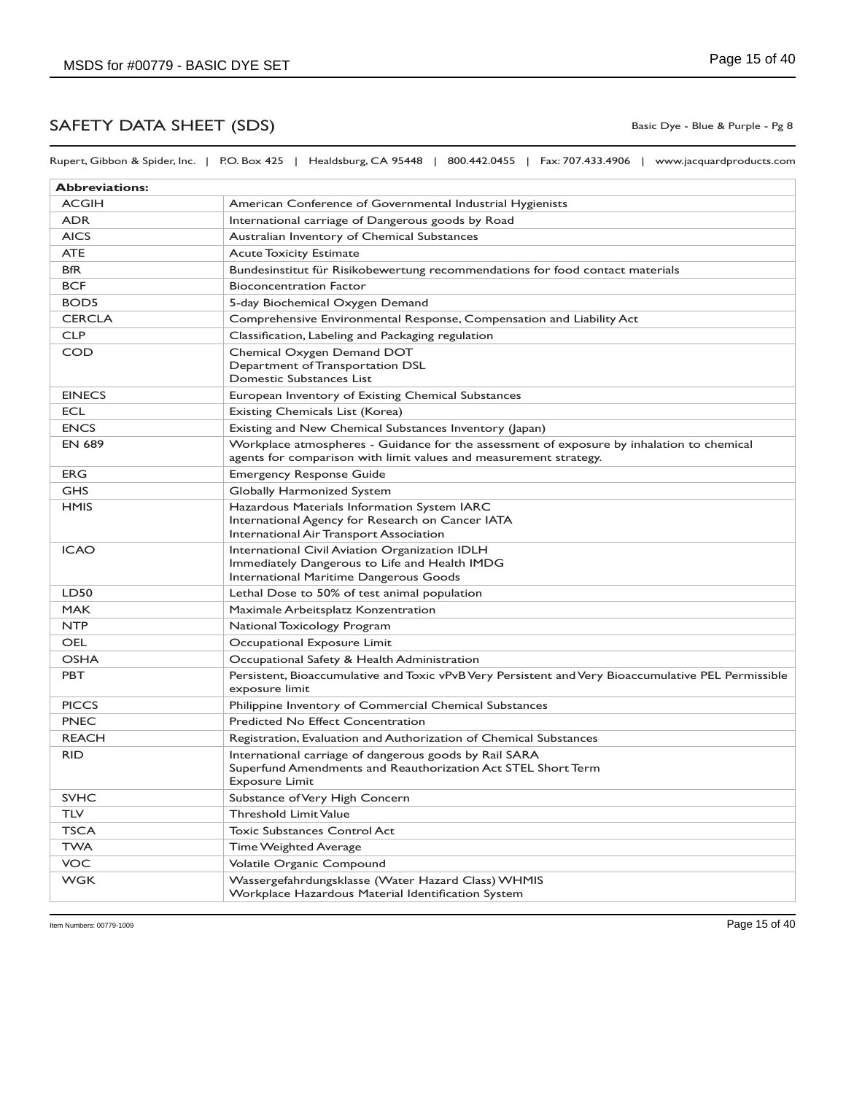Rupert, Gibbon & Spider, Inc. | P.O. Box 425 | Healdsburg, CA 95448 | 800.442.0455 | Fax: 707.433.4906 | www.jacquardproducts.com

| <b>Abbreviations:</b> |                                                                                                                                                                |
|-----------------------|----------------------------------------------------------------------------------------------------------------------------------------------------------------|
| <b>ACGIH</b>          | American Conference of Governmental Industrial Hygienists                                                                                                      |
| <b>ADR</b>            | International carriage of Dangerous goods by Road                                                                                                              |
| <b>AICS</b>           | Australian Inventory of Chemical Substances                                                                                                                    |
| <b>ATE</b>            | <b>Acute Toxicity Estimate</b>                                                                                                                                 |
| <b>BfR</b>            | Bundesinstitut für Risikobewertung recommendations for food contact materials                                                                                  |
| <b>BCF</b>            | <b>Bioconcentration Factor</b>                                                                                                                                 |
| BOD <sub>5</sub>      | 5-day Biochemical Oxygen Demand                                                                                                                                |
| <b>CERCLA</b>         | Comprehensive Environmental Response, Compensation and Liability Act                                                                                           |
| <b>CLP</b>            | Classification, Labeling and Packaging regulation                                                                                                              |
| <b>COD</b>            | Chemical Oxygen Demand DOT<br>Department of Transportation DSL<br>Domestic Substances List                                                                     |
| <b>EINECS</b>         | European Inventory of Existing Chemical Substances                                                                                                             |
| <b>ECL</b>            | Existing Chemicals List (Korea)                                                                                                                                |
| <b>ENCS</b>           | Existing and New Chemical Substances Inventory (Japan)                                                                                                         |
| <b>EN 689</b>         | Workplace atmospheres - Guidance for the assessment of exposure by inhalation to chemical<br>agents for comparison with limit values and measurement strategy. |
| <b>ERG</b>            | <b>Emergency Response Guide</b>                                                                                                                                |
| <b>GHS</b>            | Globally Harmonized System                                                                                                                                     |
| <b>HMIS</b>           | Hazardous Materials Information System IARC<br>International Agency for Research on Cancer IATA<br>International Air Transport Association                     |
| <b>ICAO</b>           | International Civil Aviation Organization IDLH<br>Immediately Dangerous to Life and Health IMDG<br>International Maritime Dangerous Goods                      |
| LD50                  | Lethal Dose to 50% of test animal population                                                                                                                   |
| <b>MAK</b>            | Maximale Arbeitsplatz Konzentration                                                                                                                            |
| <b>NTP</b>            | National Toxicology Program                                                                                                                                    |
| <b>OEL</b>            | Occupational Exposure Limit                                                                                                                                    |
| <b>OSHA</b>           | Occupational Safety & Health Administration                                                                                                                    |
| <b>PBT</b>            | Persistent, Bioaccumulative and Toxic vPvB Very Persistent and Very Bioaccumulative PEL Permissible<br>exposure limit                                          |
| <b>PICCS</b>          | Philippine Inventory of Commercial Chemical Substances                                                                                                         |
| <b>PNEC</b>           | Predicted No Effect Concentration                                                                                                                              |
| <b>REACH</b>          | Registration, Evaluation and Authorization of Chemical Substances                                                                                              |
| <b>RID</b>            | International carriage of dangerous goods by Rail SARA<br>Superfund Amendments and Reauthorization Act STEL Short Term<br><b>Exposure Limit</b>                |
| <b>SVHC</b>           | Substance of Very High Concern                                                                                                                                 |
| <b>TLV</b>            | <b>Threshold Limit Value</b>                                                                                                                                   |
| <b>TSCA</b>           | <b>Toxic Substances Control Act</b>                                                                                                                            |
| <b>TWA</b>            | <b>Time Weighted Average</b>                                                                                                                                   |
| <b>VOC</b>            | Volatile Organic Compound                                                                                                                                      |
| <b>WGK</b>            | Wassergefahrdungsklasse (Water Hazard Class) WHMIS<br>Workplace Hazardous Material Identification System                                                       |

Basic Dye - Blue & Purple - Pg 8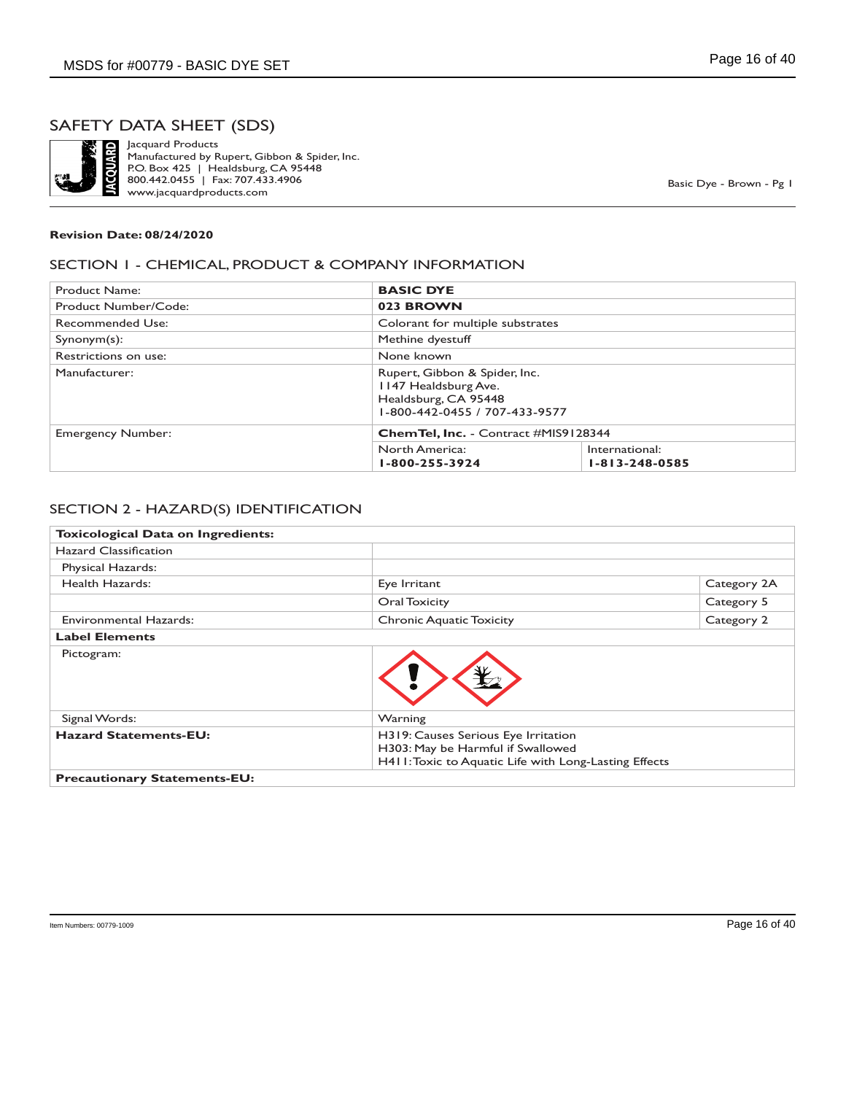

Jacquard Products Manufactured by Rupert, Gibbon & Spider, Inc. P.O. Box 425 | Healdsburg, CA 95448 800.442.0455 | Fax: 707.433.4906 www.jacquardproducts.com

Basic Dye - Brown - Pg 1

#### **Revision Date: 08/24/2020**

#### SECTION 1 - CHEMICAL, PRODUCT & COMPANY INFORMATION

| Product Name:            | <b>BASIC DYE</b>                                                                                               |                                          |  |  |
|--------------------------|----------------------------------------------------------------------------------------------------------------|------------------------------------------|--|--|
| Product Number/Code:     | 023 BROWN                                                                                                      |                                          |  |  |
| Recommended Use:         |                                                                                                                | Colorant for multiple substrates         |  |  |
| $Symonym(s)$ :           | Methine dyestuff                                                                                               |                                          |  |  |
| Restrictions on use:     | None known                                                                                                     |                                          |  |  |
| Manufacturer:            | Rupert, Gibbon & Spider, Inc.<br>1147 Healdsburg Ave.<br>Healdsburg, CA 95448<br>1-800-442-0455 / 707-433-9577 |                                          |  |  |
| <b>Emergency Number:</b> |                                                                                                                | Chem Tel, Inc. - Contract #MIS9128344    |  |  |
|                          | North America:<br>1-800-255-3924                                                                               | International:<br>$1 - 813 - 248 - 0585$ |  |  |

#### SECTION 2 - HAZARD(S) IDENTIFICATION

| <b>Toxicological Data on Ingredients:</b> |                                                                                                                                   |             |
|-------------------------------------------|-----------------------------------------------------------------------------------------------------------------------------------|-------------|
| <b>Hazard Classification</b>              |                                                                                                                                   |             |
| Physical Hazards:                         |                                                                                                                                   |             |
| Health Hazards:                           | Eye Irritant                                                                                                                      | Category 2A |
|                                           | Oral Toxicity                                                                                                                     | Category 5  |
| <b>Environmental Hazards:</b>             | <b>Chronic Aquatic Toxicity</b>                                                                                                   | Category 2  |
| <b>Label Elements</b>                     |                                                                                                                                   |             |
| Pictogram:                                |                                                                                                                                   |             |
| Signal Words:                             | Warning                                                                                                                           |             |
| <b>Hazard Statements-EU:</b>              | H319: Causes Serious Eye Irritation<br>H303: May be Harmful if Swallowed<br>H411: Toxic to Aquatic Life with Long-Lasting Effects |             |
| <b>Precautionary Statements-EU:</b>       |                                                                                                                                   |             |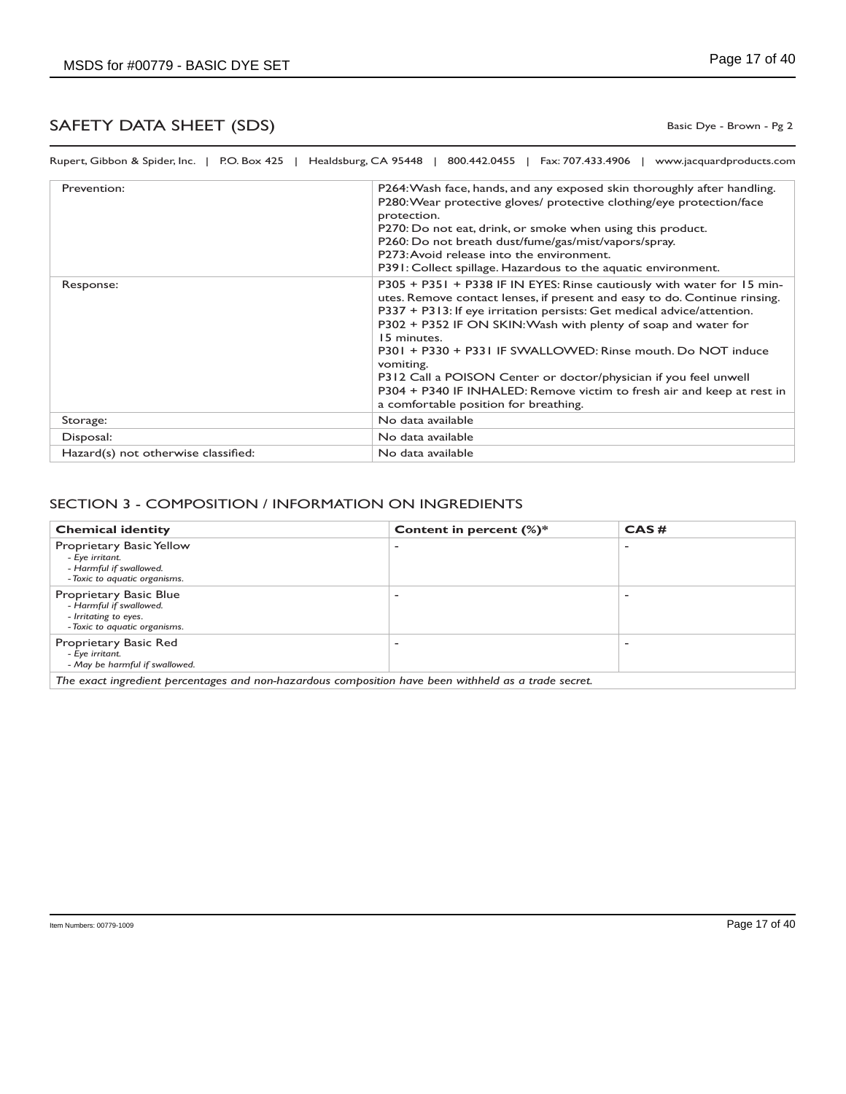Basic Dye - Brown - Pg 2

| Prevention:                         | P264: Wash face, hands, and any exposed skin thoroughly after handling.<br>P280: Wear protective gloves/ protective clothing/eye protection/face<br>protection.<br>P270: Do not eat, drink, or smoke when using this product.<br>P260: Do not breath dust/fume/gas/mist/vapors/spray.<br>P273: Avoid release into the environment.<br>P391: Collect spillage. Hazardous to the aquatic environment.                                                                                                                                                                               |
|-------------------------------------|-----------------------------------------------------------------------------------------------------------------------------------------------------------------------------------------------------------------------------------------------------------------------------------------------------------------------------------------------------------------------------------------------------------------------------------------------------------------------------------------------------------------------------------------------------------------------------------|
| Response:                           | P305 + P351 + P338 IF IN EYES: Rinse cautiously with water for 15 min-<br>utes. Remove contact lenses, if present and easy to do. Continue rinsing.<br>P337 + P313: If eye irritation persists: Get medical advice/attention.<br>P302 + P352 IF ON SKIN: Wash with plenty of soap and water for<br>15 minutes.<br>P301 + P330 + P331 IF SWALLOWED: Rinse mouth. Do NOT induce<br>vomiting.<br>P312 Call a POISON Center or doctor/physician if you feel unwell<br>P304 + P340 IF INHALED: Remove victim to fresh air and keep at rest in<br>a comfortable position for breathing. |
| Storage:                            | No data available                                                                                                                                                                                                                                                                                                                                                                                                                                                                                                                                                                 |
| Disposal:                           | No data available                                                                                                                                                                                                                                                                                                                                                                                                                                                                                                                                                                 |
| Hazard(s) not otherwise classified: | No data available                                                                                                                                                                                                                                                                                                                                                                                                                                                                                                                                                                 |

### SECTION 3 - COMPOSITION / INFORMATION ON INGREDIENTS

| <b>Chemical identity</b>                                                                                    | Content in percent $(\%)^*$ | CAS# |
|-------------------------------------------------------------------------------------------------------------|-----------------------------|------|
| Proprietary Basic Yellow<br>- Eye irritant.<br>- Harmful if swallowed.<br>- Toxic to aquatic organisms.     |                             |      |
| Proprietary Basic Blue<br>- Harmful if swallowed.<br>- Irritating to eyes.<br>- Toxic to aquatic organisms. |                             |      |
| Proprietary Basic Red<br>- Eye irritant.<br>- May be harmful if swallowed.                                  |                             |      |
| The exact ingredient percentages and non-hazardous composition have been withheld as a trade secret.        |                             |      |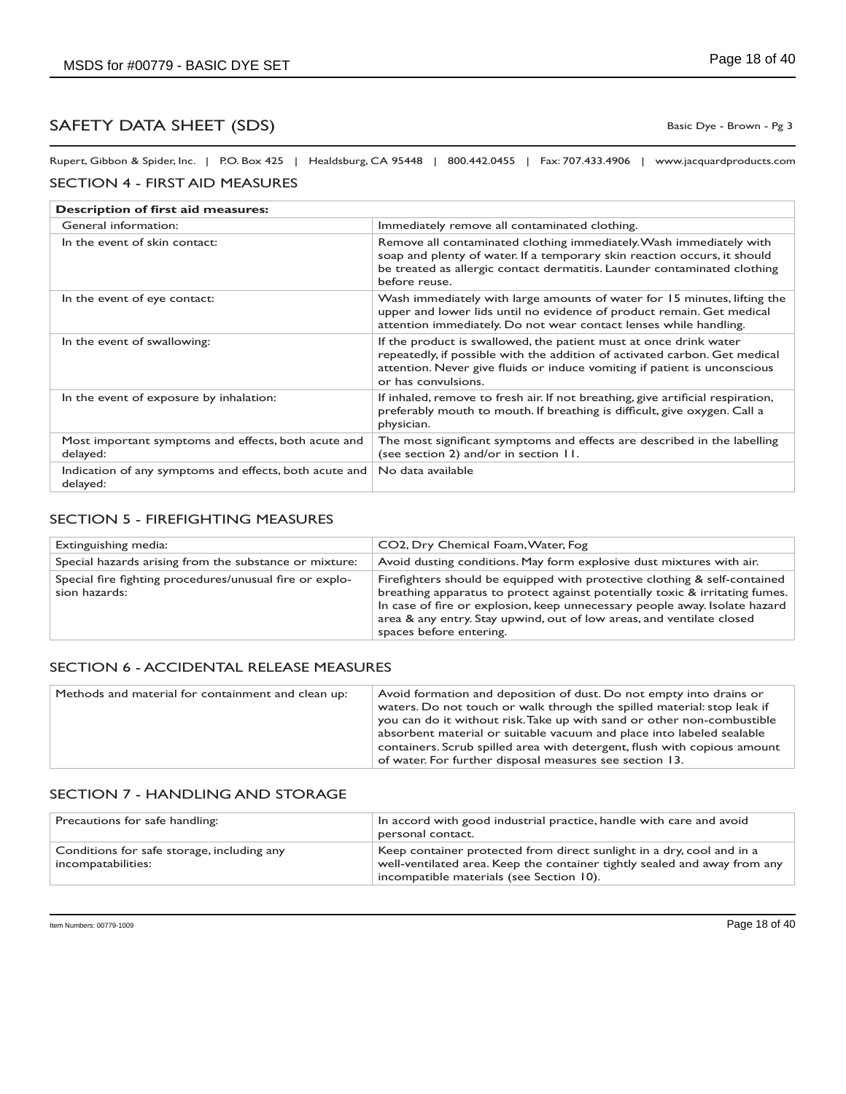Basic Dye - Brown - Pg 3

Rupert, Gibbon & Spider, Inc. | P.O. Box 425 | Healdsburg, CA 95448 | 800.442.0455 | Fax: 707.433.4906 | www.jacquardproducts.com

#### SECTION 4 - FIRST AID MEASURES

| Description of first aid measures:                                 |                                                                                                                                                                                                                                                     |  |
|--------------------------------------------------------------------|-----------------------------------------------------------------------------------------------------------------------------------------------------------------------------------------------------------------------------------------------------|--|
| General information:                                               | Immediately remove all contaminated clothing.                                                                                                                                                                                                       |  |
| In the event of skin contact:                                      | Remove all contaminated clothing immediately. Wash immediately with<br>soap and plenty of water. If a temporary skin reaction occurs, it should<br>be treated as allergic contact dermatitis. Launder contaminated clothing<br>before reuse.        |  |
| In the event of eye contact:                                       | Wash immediately with large amounts of water for 15 minutes, lifting the<br>upper and lower lids until no evidence of product remain. Get medical<br>attention immediately. Do not wear contact lenses while handling.                              |  |
| In the event of swallowing:                                        | If the product is swallowed, the patient must at once drink water<br>repeatedly, if possible with the addition of activated carbon. Get medical<br>attention. Never give fluids or induce vomiting if patient is unconscious<br>or has convulsions. |  |
| In the event of exposure by inhalation:                            | If inhaled, remove to fresh air. If not breathing, give artificial respiration,<br>preferably mouth to mouth. If breathing is difficult, give oxygen. Call a<br>physician.                                                                          |  |
| Most important symptoms and effects, both acute and<br>delayed:    | The most significant symptoms and effects are described in the labelling<br>(see section 2) and/or in section 11.                                                                                                                                   |  |
| Indication of any symptoms and effects, both acute and<br>delayed: | No data available                                                                                                                                                                                                                                   |  |

### SECTION 5 - FIREFIGHTING MEASURES

| Extinguishing media:                                                     | CO2, Dry Chemical Foam, Water, Fog                                                                                                                                                                                                                                                                                                          |
|--------------------------------------------------------------------------|---------------------------------------------------------------------------------------------------------------------------------------------------------------------------------------------------------------------------------------------------------------------------------------------------------------------------------------------|
| Special hazards arising from the substance or mixture:                   | Avoid dusting conditions. May form explosive dust mixtures with air.                                                                                                                                                                                                                                                                        |
| Special fire fighting procedures/unusual fire or explo-<br>sion hazards: | Firefighters should be equipped with protective clothing & self-contained<br>breathing apparatus to protect against potentially toxic & irritating fumes.<br>In case of fire or explosion, keep unnecessary people away. Isolate hazard<br>area & any entry. Stay upwind, out of low areas, and ventilate closed<br>spaces before entering. |

#### SECTION 6 - ACCIDENTAL RELEASE MEASURES

| Methods and material for containment and clean up: | Avoid formation and deposition of dust. Do not empty into drains or<br>waters. Do not touch or walk through the spilled material: stop leak if<br>you can do it without risk. Take up with sand or other non-combustible<br>absorbent material or suitable vacuum and place into labeled sealable<br>containers. Scrub spilled area with detergent, flush with copious amount<br>of water. For further disposal measures see section 13. |
|----------------------------------------------------|------------------------------------------------------------------------------------------------------------------------------------------------------------------------------------------------------------------------------------------------------------------------------------------------------------------------------------------------------------------------------------------------------------------------------------------|
|----------------------------------------------------|------------------------------------------------------------------------------------------------------------------------------------------------------------------------------------------------------------------------------------------------------------------------------------------------------------------------------------------------------------------------------------------------------------------------------------------|

#### SECTION 7 - HANDLING AND STORAGE

| Precautions for safe handling:                                   | In accord with good industrial practice, handle with care and avoid<br>personal contact.                                                                                                       |
|------------------------------------------------------------------|------------------------------------------------------------------------------------------------------------------------------------------------------------------------------------------------|
| Conditions for safe storage, including any<br>incompatabilities: | Keep container protected from direct sunlight in a dry, cool and in a<br>well-ventilated area. Keep the container tightly sealed and away from any<br>incompatible materials (see Section 10). |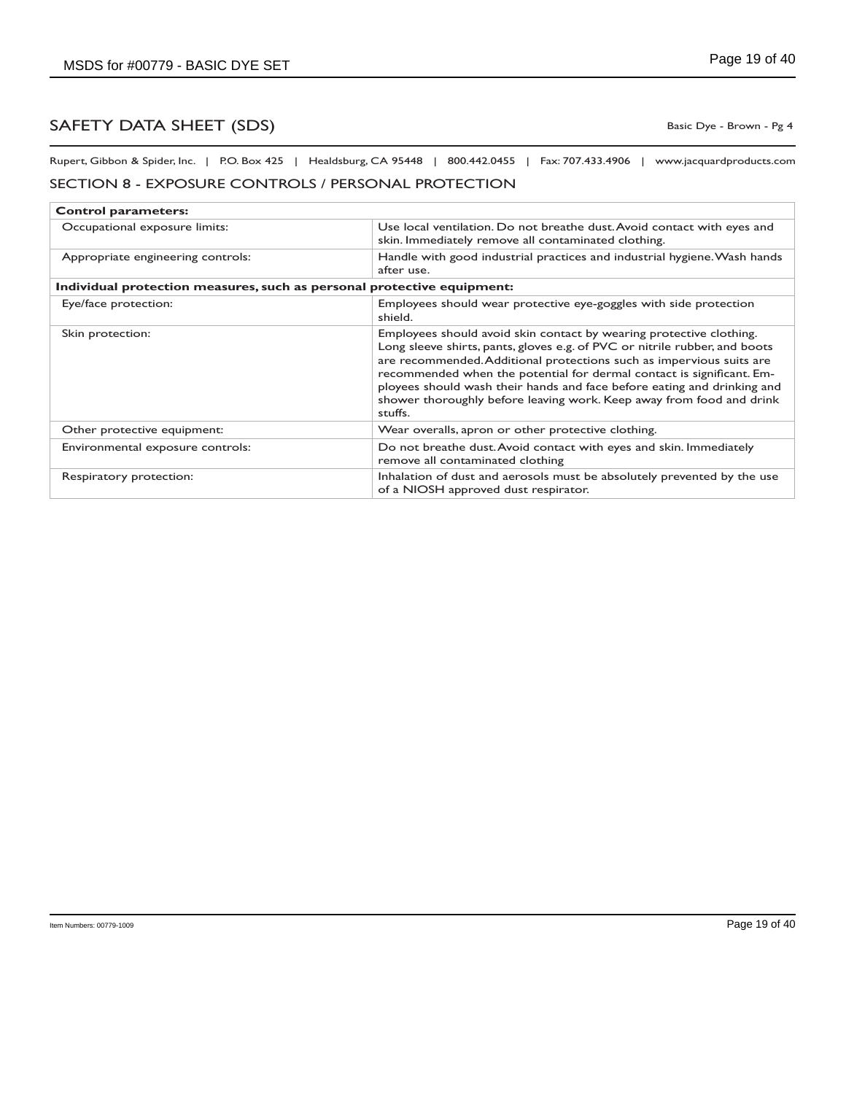Basic Dye - Brown - Pg 4

Rupert, Gibbon & Spider, Inc. | P.O. Box 425 | Healdsburg, CA 95448 | 800.442.0455 | Fax: 707.433.4906 | www.jacquardproducts.com

### SECTION 8 - EXPOSURE CONTROLS / PERSONAL PROTECTION

| <b>Control parameters:</b>                                             |                                                                                                                                                                                                                                                                                                                                                                                                                                                                  |  |
|------------------------------------------------------------------------|------------------------------------------------------------------------------------------------------------------------------------------------------------------------------------------------------------------------------------------------------------------------------------------------------------------------------------------------------------------------------------------------------------------------------------------------------------------|--|
| Occupational exposure limits:                                          | Use local ventilation. Do not breathe dust. Avoid contact with eyes and<br>skin. Immediately remove all contaminated clothing.                                                                                                                                                                                                                                                                                                                                   |  |
| Appropriate engineering controls:                                      | Handle with good industrial practices and industrial hygiene. Wash hands<br>after use.                                                                                                                                                                                                                                                                                                                                                                           |  |
| Individual protection measures, such as personal protective equipment: |                                                                                                                                                                                                                                                                                                                                                                                                                                                                  |  |
| Eye/face protection:                                                   | Employees should wear protective eye-goggles with side protection<br>shield.                                                                                                                                                                                                                                                                                                                                                                                     |  |
| Skin protection:                                                       | Employees should avoid skin contact by wearing protective clothing.<br>Long sleeve shirts, pants, gloves e.g. of PVC or nitrile rubber, and boots<br>are recommended. Additional protections such as impervious suits are<br>recommended when the potential for dermal contact is significant. Em-<br>ployees should wash their hands and face before eating and drinking and<br>shower thoroughly before leaving work. Keep away from food and drink<br>stuffs. |  |
| Other protective equipment:                                            | Wear overalls, apron or other protective clothing.                                                                                                                                                                                                                                                                                                                                                                                                               |  |
| Environmental exposure controls:                                       | Do not breathe dust. Avoid contact with eyes and skin. Immediately<br>remove all contaminated clothing                                                                                                                                                                                                                                                                                                                                                           |  |
| Respiratory protection:                                                | Inhalation of dust and aerosols must be absolutely prevented by the use<br>of a NIOSH approved dust respirator.                                                                                                                                                                                                                                                                                                                                                  |  |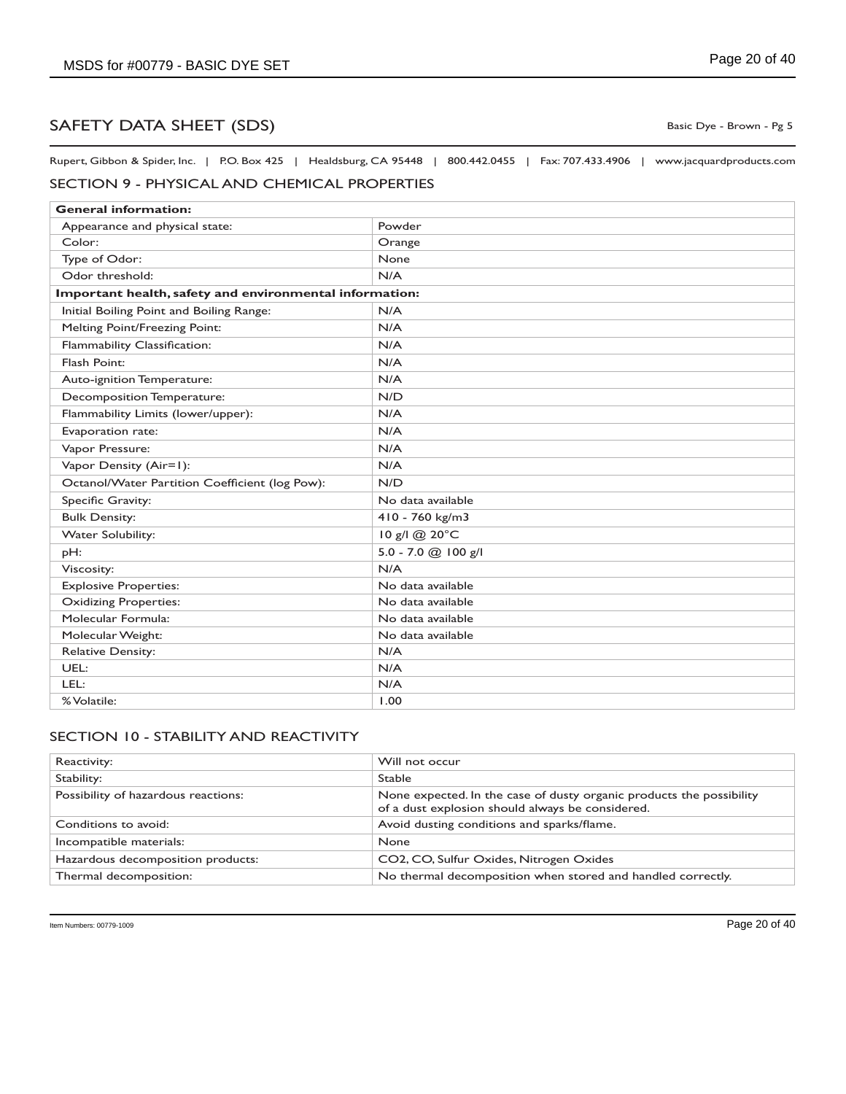Rupert, Gibbon & Spider, Inc. | P.O. Box 425 | Healdsburg, CA 95448 | 800.442.0455 | Fax: 707.433.4906 | www.jacquardproducts.com

## SECTION 9 - PHYSICAL AND CHEMICAL PROPERTIES

| <b>General information:</b>                             |                       |  |
|---------------------------------------------------------|-----------------------|--|
| Appearance and physical state:                          | Powder                |  |
| Color:                                                  | Orange                |  |
| Type of Odor:                                           | None                  |  |
| Odor threshold:                                         | N/A                   |  |
| Important health, safety and environmental information: |                       |  |
| Initial Boiling Point and Boiling Range:                | N/A                   |  |
| Melting Point/Freezing Point:                           | N/A                   |  |
| Flammability Classification:                            | N/A                   |  |
| Flash Point:                                            | N/A                   |  |
| Auto-ignition Temperature:                              | N/A                   |  |
| Decomposition Temperature:                              | N/D                   |  |
| Flammability Limits (lower/upper):                      | N/A                   |  |
| Evaporation rate:                                       | N/A                   |  |
| Vapor Pressure:                                         | N/A                   |  |
| Vapor Density (Air=1):                                  | N/A                   |  |
| Octanol/Water Partition Coefficient (log Pow):          | N/D                   |  |
| Specific Gravity:                                       | No data available     |  |
| <b>Bulk Density:</b>                                    | 410 - 760 kg/m3       |  |
| <b>Water Solubility:</b>                                | 10 g/l @ 20°C         |  |
| pH:                                                     | $5.0 - 7.0$ @ 100 g/l |  |
| Viscosity:                                              | N/A                   |  |
| <b>Explosive Properties:</b>                            | No data available     |  |
| <b>Oxidizing Properties:</b>                            | No data available     |  |
| Molecular Formula:                                      | No data available     |  |
| Molecular Weight:                                       | No data available     |  |
| <b>Relative Density:</b>                                | N/A                   |  |
| UEL:                                                    | N/A                   |  |
| LEL:                                                    | N/A                   |  |
| % Volatile:                                             | 1.00                  |  |

### SECTION 10 - STABILITY AND REACTIVITY

| Reactivity:                         | Will not occur                                                                                                           |
|-------------------------------------|--------------------------------------------------------------------------------------------------------------------------|
| Stability:                          | <b>Stable</b>                                                                                                            |
| Possibility of hazardous reactions: | None expected. In the case of dusty organic products the possibility<br>of a dust explosion should always be considered. |
| Conditions to avoid:                | Avoid dusting conditions and sparks/flame.                                                                               |
| Incompatible materials:             | <b>None</b>                                                                                                              |
| Hazardous decomposition products:   | CO2, CO, Sulfur Oxides, Nitrogen Oxides                                                                                  |
| Thermal decomposition:              | No thermal decomposition when stored and handled correctly.                                                              |

Basic Dye - Brown - Pg 5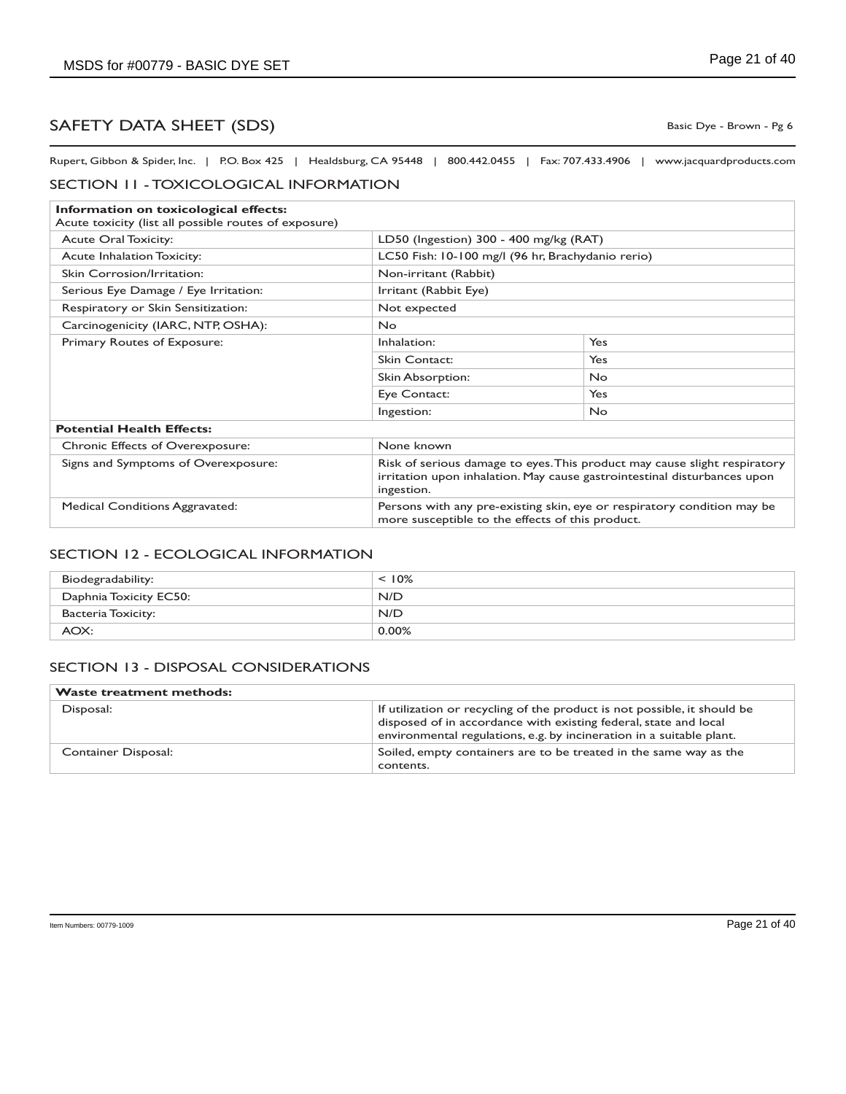Basic Dye - Brown - Pg 6

Rupert, Gibbon & Spider, Inc. | P.O. Box 425 | Healdsburg, CA 95448 | 800.442.0455 | Fax: 707.433.4906 | www.jacquardproducts.com

#### SECTION 11 - TOXICOLOGICAL INFORMATION

| Information on toxicological effects:                 |                                                                                                                                                                     |            |  |
|-------------------------------------------------------|---------------------------------------------------------------------------------------------------------------------------------------------------------------------|------------|--|
| Acute toxicity (list all possible routes of exposure) |                                                                                                                                                                     |            |  |
| <b>Acute Oral Toxicity:</b>                           | LD50 (Ingestion) 300 - 400 mg/kg (RAT)                                                                                                                              |            |  |
| <b>Acute Inhalation Toxicity:</b>                     | LC50 Fish: 10-100 mg/l (96 hr, Brachydanio rerio)                                                                                                                   |            |  |
| Skin Corrosion/Irritation:                            | Non-irritant (Rabbit)                                                                                                                                               |            |  |
| Serious Eye Damage / Eye Irritation:                  | Irritant (Rabbit Eye)                                                                                                                                               |            |  |
| Respiratory or Skin Sensitization:                    | Not expected                                                                                                                                                        |            |  |
| Carcinogenicity (IARC, NTP, OSHA):                    | <b>No</b>                                                                                                                                                           |            |  |
| Primary Routes of Exposure:                           | Inhalation:                                                                                                                                                         | Yes        |  |
|                                                       | <b>Skin Contact:</b>                                                                                                                                                | Yes        |  |
|                                                       | Skin Absorption:                                                                                                                                                    | <b>No</b>  |  |
|                                                       | Eye Contact:                                                                                                                                                        | <b>Yes</b> |  |
|                                                       | Ingestion:                                                                                                                                                          | <b>No</b>  |  |
| <b>Potential Health Effects:</b>                      |                                                                                                                                                                     |            |  |
| Chronic Effects of Overexposure:                      | None known                                                                                                                                                          |            |  |
| Signs and Symptoms of Overexposure:                   | Risk of serious damage to eyes. This product may cause slight respiratory<br>irritation upon inhalation. May cause gastrointestinal disturbances upon<br>ingestion. |            |  |
| <b>Medical Conditions Aggravated:</b>                 | Persons with any pre-existing skin, eye or respiratory condition may be<br>more susceptible to the effects of this product.                                         |            |  |

#### SECTION 12 - ECOLOGICAL INFORMATION

| Biodegradability:      | $< 10\%$ |
|------------------------|----------|
| Daphnia Toxicity EC50: | N/D      |
| Bacteria Toxicity:     | N/D      |
| AOX:                   | $0.00\%$ |

#### SECTION 13 - DISPOSAL CONSIDERATIONS

| <b>Waste treatment methods:</b> |                                                                                                                                                                                                                      |
|---------------------------------|----------------------------------------------------------------------------------------------------------------------------------------------------------------------------------------------------------------------|
| Disposal:                       | If utilization or recycling of the product is not possible, it should be<br>disposed of in accordance with existing federal, state and local<br>environmental regulations, e.g. by incineration in a suitable plant. |
| Container Disposal:             | Soiled, empty containers are to be treated in the same way as the<br>contents.                                                                                                                                       |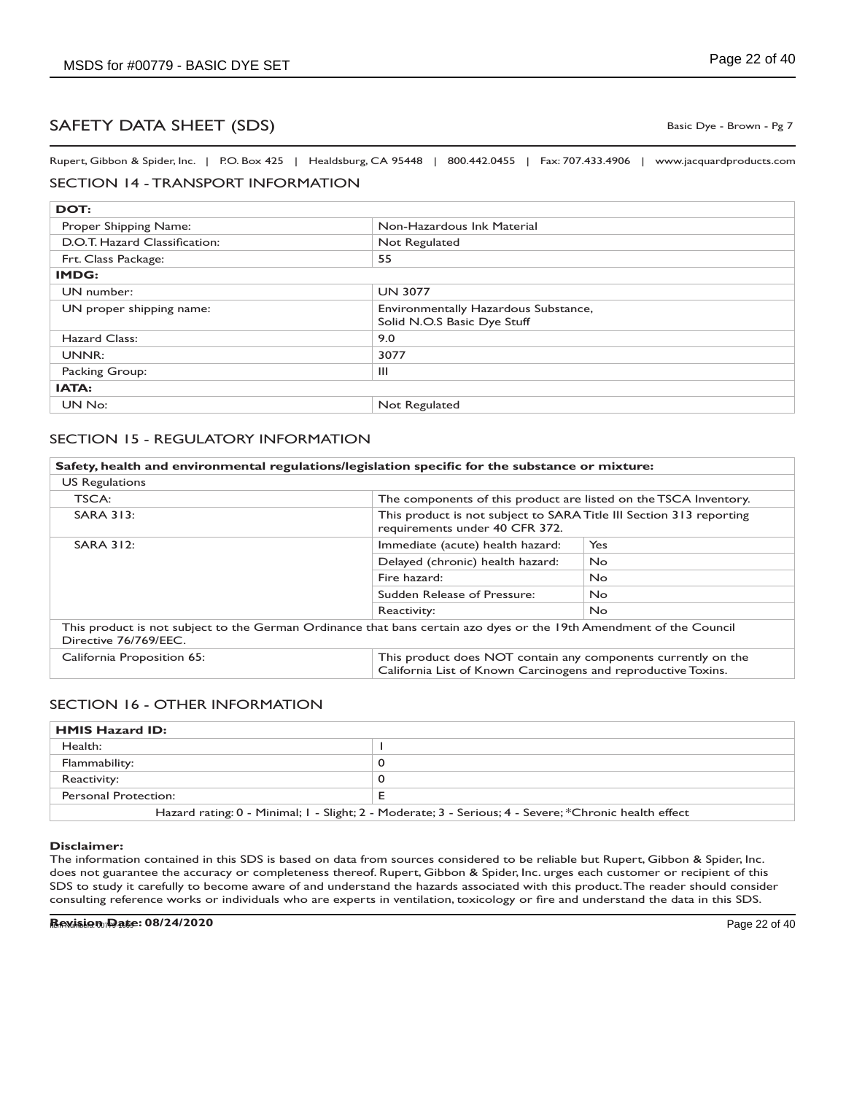Basic Dye - Brown - Pg 7

Rupert, Gibbon & Spider, Inc. | P.O. Box 425 | Healdsburg, CA 95448 | 800.442.0455 | Fax: 707.433.4906 | www.jacquardproducts.com

### SECTION 14 - TRANSPORT INFORMATION

| DOT:                          |                                                                     |
|-------------------------------|---------------------------------------------------------------------|
| Proper Shipping Name:         | Non-Hazardous Ink Material                                          |
| D.O.T. Hazard Classification: | Not Regulated                                                       |
| Frt. Class Package:           | 55                                                                  |
| IMDG:                         |                                                                     |
| UN number:                    | <b>UN 3077</b>                                                      |
| UN proper shipping name:      | Environmentally Hazardous Substance,<br>Solid N.O.S Basic Dye Stuff |
| Hazard Class:                 | 9.0                                                                 |
| UNNR:                         | 3077                                                                |
| Packing Group:                | Ш                                                                   |
| IATA:                         |                                                                     |
| UN No:                        | Not Regulated                                                       |

### SECTION 15 - REGULATORY INFORMATION

| Safety, health and environmental regulations/legislation specific for the substance or mixture: |                                                                                                                     |                                                                                                                                |  |
|-------------------------------------------------------------------------------------------------|---------------------------------------------------------------------------------------------------------------------|--------------------------------------------------------------------------------------------------------------------------------|--|
| <b>US Regulations</b>                                                                           |                                                                                                                     |                                                                                                                                |  |
| TSCA:                                                                                           |                                                                                                                     | The components of this product are listed on the TSCA Inventory.                                                               |  |
| <b>SARA 313:</b>                                                                                | requirements under 40 CFR 372.                                                                                      | This product is not subject to SARA Title III Section 313 reporting                                                            |  |
| <b>SARA 312:</b>                                                                                | Immediate (acute) health hazard:                                                                                    | Yes                                                                                                                            |  |
|                                                                                                 | Delayed (chronic) health hazard:                                                                                    | <b>No</b>                                                                                                                      |  |
|                                                                                                 | Fire hazard:                                                                                                        | <b>No</b>                                                                                                                      |  |
|                                                                                                 | Sudden Release of Pressure:                                                                                         | <b>No</b>                                                                                                                      |  |
|                                                                                                 | Reactivity:                                                                                                         | No.                                                                                                                            |  |
| Directive 76/769/EEC.                                                                           | This product is not subject to the German Ordinance that bans certain azo dyes or the 19th Amendment of the Council |                                                                                                                                |  |
| California Proposition 65:                                                                      |                                                                                                                     | This product does NOT contain any components currently on the<br>California List of Known Carcinogens and reproductive Toxins. |  |

### SECTION 16 - OTHER INFORMATION

| <b>HMIS Hazard ID:</b>                                                                                |  |
|-------------------------------------------------------------------------------------------------------|--|
| Health:                                                                                               |  |
| Flammability:                                                                                         |  |
| Reactivity:                                                                                           |  |
| Personal Protection:                                                                                  |  |
| Hazard rating: 0 - Minimal; I - Slight; 2 - Moderate; 3 - Serious; 4 - Severe; *Chronic health effect |  |

#### **Disclaimer:**

The information contained in this SDS is based on data from sources considered to be reliable but Rupert, Gibbon & Spider, Inc. does not guarantee the accuracy or completeness thereof. Rupert, Gibbon & Spider, Inc. urges each customer or recipient of this SDS to study it carefully to become aware of and understand the hazards associated with this product. The reader should consider consulting reference works or individuals who are experts in ventilation, toxicology or fire and understand the data in this SDS.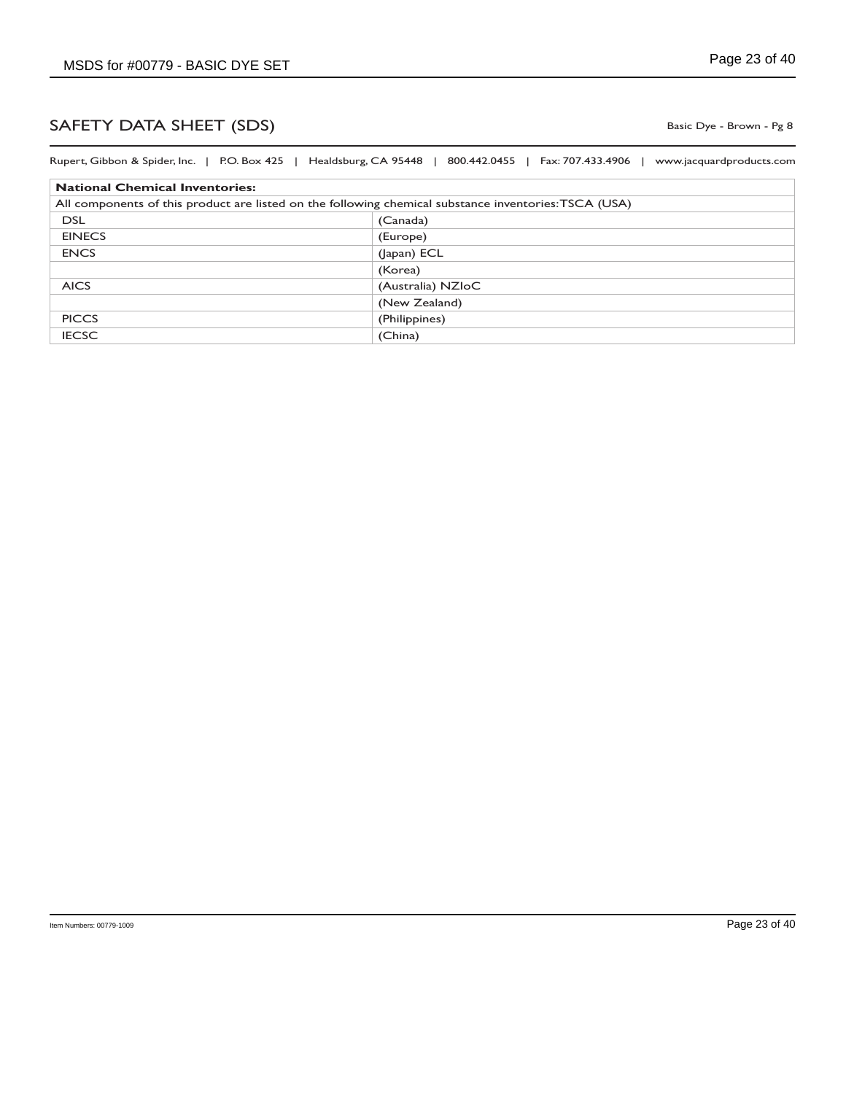Basic Dye - Brown - Pg 8

| Rupert, Gibbon & Spider, Inc.   P.O. Box 425   Healdsburg, CA 95448   800.442.0455   Fax: 707.433.4906 | www.jacquardproducts.com |
|--------------------------------------------------------------------------------------------------------|--------------------------|
| <b>National Chemical Inventories:</b>                                                                  |                          |
| All components of this product are listed on the following chemical substance inventories: TSCA (USA)  |                          |
| <b>DSL</b>                                                                                             | (Canada)                 |
| <b>EINECS</b>                                                                                          | (Europe)                 |
| <b>ENCS</b>                                                                                            | (Japan) ECL              |
|                                                                                                        | (Korea)                  |
| <b>AICS</b>                                                                                            | (Australia) NZIoC        |
|                                                                                                        | (New Zealand)            |
| <b>PICCS</b>                                                                                           | (Philippines)            |
| <b>IECSC</b>                                                                                           | (China)                  |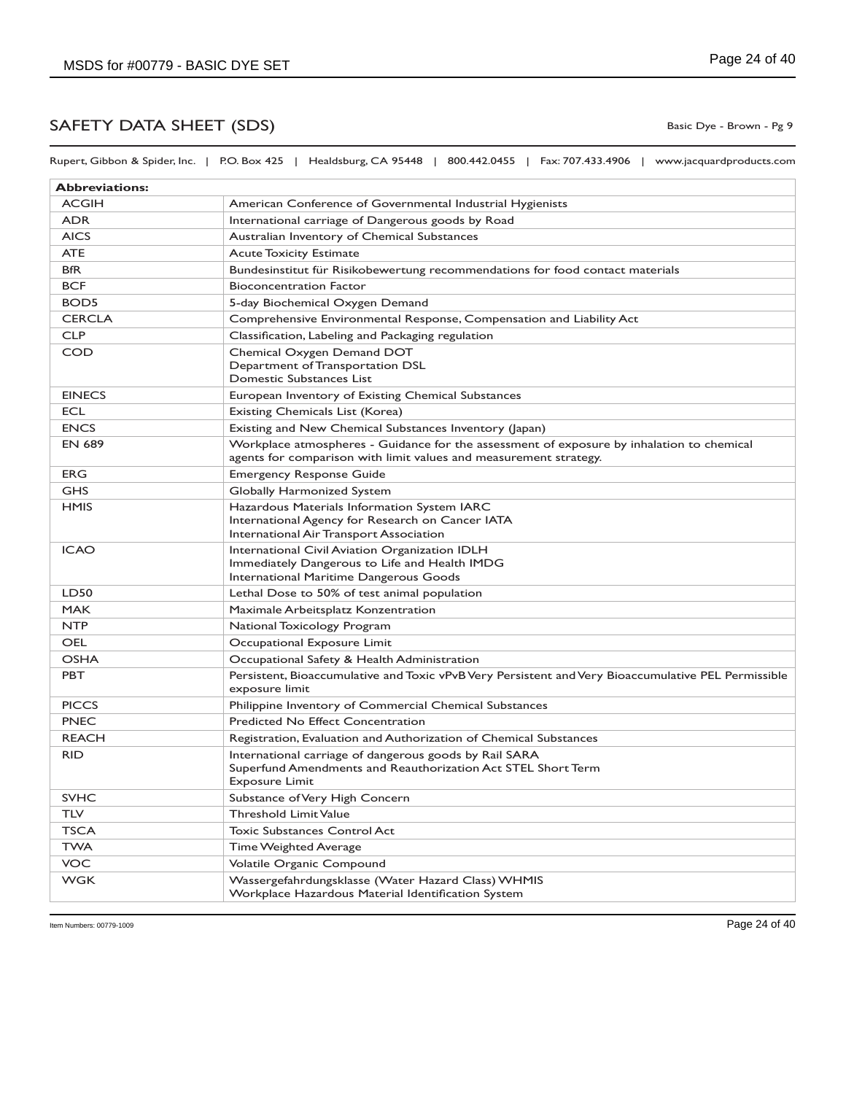Rupert, Gibbon & Spider, Inc. | P.O. Box 425 | Healdsburg, CA 95448 | 800.442.0455 | Fax: 707.433.4906 | www.jacquardproducts.com

| <b>Abbreviations:</b> |                                                                                                                                                                |
|-----------------------|----------------------------------------------------------------------------------------------------------------------------------------------------------------|
| <b>ACGIH</b>          | American Conference of Governmental Industrial Hygienists                                                                                                      |
| <b>ADR</b>            | International carriage of Dangerous goods by Road                                                                                                              |
| <b>AICS</b>           | Australian Inventory of Chemical Substances                                                                                                                    |
| <b>ATE</b>            | <b>Acute Toxicity Estimate</b>                                                                                                                                 |
| <b>BfR</b>            | Bundesinstitut für Risikobewertung recommendations for food contact materials                                                                                  |
| <b>BCF</b>            | <b>Bioconcentration Factor</b>                                                                                                                                 |
| BOD <sub>5</sub>      | 5-day Biochemical Oxygen Demand                                                                                                                                |
| <b>CERCLA</b>         | Comprehensive Environmental Response, Compensation and Liability Act                                                                                           |
| <b>CLP</b>            | Classification, Labeling and Packaging regulation                                                                                                              |
| COD                   | Chemical Oxygen Demand DOT<br>Department of Transportation DSL<br>Domestic Substances List                                                                     |
| <b>EINECS</b>         | European Inventory of Existing Chemical Substances                                                                                                             |
| <b>ECL</b>            | Existing Chemicals List (Korea)                                                                                                                                |
| <b>ENCS</b>           | Existing and New Chemical Substances Inventory (Japan)                                                                                                         |
| <b>EN 689</b>         | Workplace atmospheres - Guidance for the assessment of exposure by inhalation to chemical<br>agents for comparison with limit values and measurement strategy. |
| <b>ERG</b>            | <b>Emergency Response Guide</b>                                                                                                                                |
| <b>GHS</b>            | Globally Harmonized System                                                                                                                                     |
| <b>HMIS</b>           | Hazardous Materials Information System IARC<br>International Agency for Research on Cancer IATA<br>International Air Transport Association                     |
| <b>ICAO</b>           | International Civil Aviation Organization IDLH<br>Immediately Dangerous to Life and Health IMDG<br>International Maritime Dangerous Goods                      |
| LD50                  | Lethal Dose to 50% of test animal population                                                                                                                   |
| <b>MAK</b>            | Maximale Arbeitsplatz Konzentration                                                                                                                            |
| <b>NTP</b>            | National Toxicology Program                                                                                                                                    |
| OEL                   | Occupational Exposure Limit                                                                                                                                    |
| <b>OSHA</b>           | Occupational Safety & Health Administration                                                                                                                    |
| <b>PBT</b>            | Persistent, Bioaccumulative and Toxic vPvB Very Persistent and Very Bioaccumulative PEL Permissible<br>exposure limit                                          |
| <b>PICCS</b>          | Philippine Inventory of Commercial Chemical Substances                                                                                                         |
| <b>PNEC</b>           | Predicted No Effect Concentration                                                                                                                              |
| <b>REACH</b>          | Registration, Evaluation and Authorization of Chemical Substances                                                                                              |
| <b>RID</b>            | International carriage of dangerous goods by Rail SARA<br>Superfund Amendments and Reauthorization Act STEL Short Term<br><b>Exposure Limit</b>                |
| <b>SVHC</b>           | Substance of Very High Concern                                                                                                                                 |
| TLV                   | <b>Threshold Limit Value</b>                                                                                                                                   |
| <b>TSCA</b>           | <b>Toxic Substances Control Act</b>                                                                                                                            |
| TWA                   | <b>Time Weighted Average</b>                                                                                                                                   |
| VOC                   | Volatile Organic Compound                                                                                                                                      |
| <b>WGK</b>            | Wassergefahrdungsklasse (Water Hazard Class) WHMIS<br>Workplace Hazardous Material Identification System                                                       |

Basic Dye - Brown - Pg 9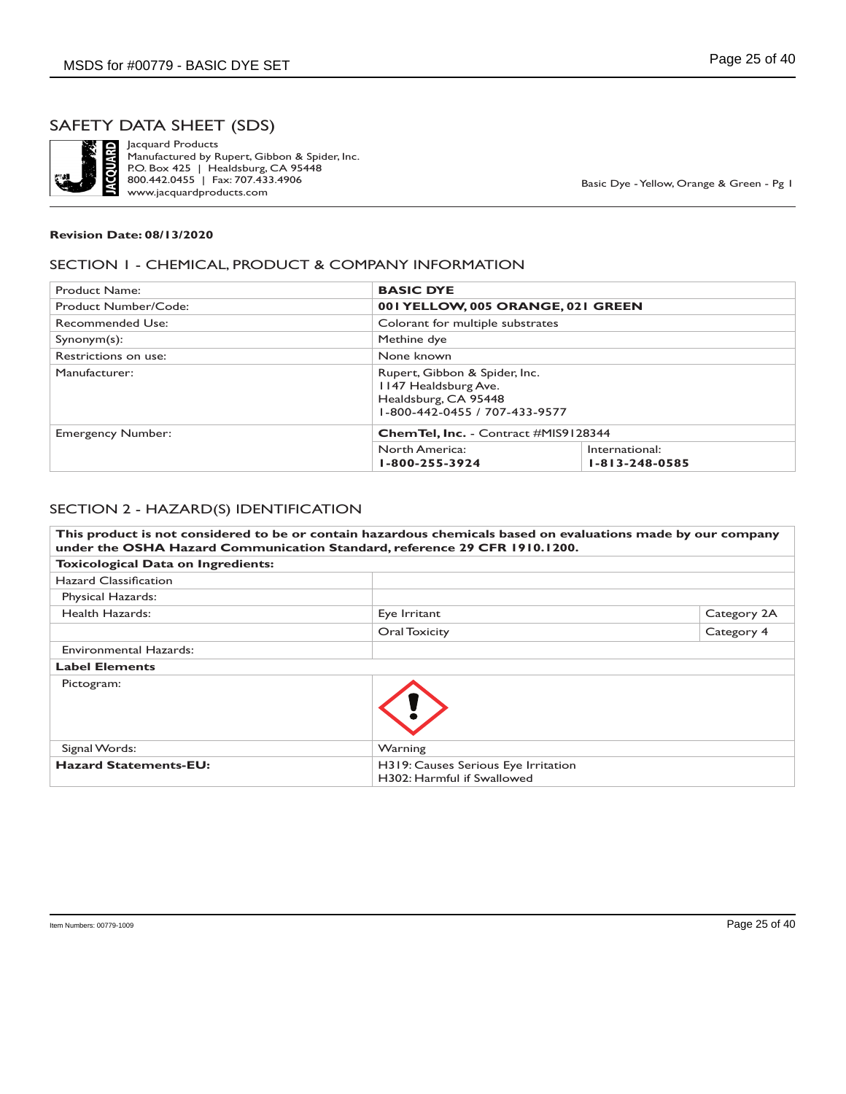

Jacquard Products Manufactured by Rupert, Gibbon & Spider, Inc. P.O. Box 425 | Healdsburg, CA 95448 800.442.0455 | Fax: 707.433.4906 www.jacquardproducts.com

Basic Dye - Yellow, Orange & Green - Pg 1

#### **Revision Date: 08/13/2020**

### SECTION 1 - CHEMICAL, PRODUCT & COMPANY INFORMATION

| Product Name:        | <b>BASIC DYE</b>                                                                                               |                                          |
|----------------------|----------------------------------------------------------------------------------------------------------------|------------------------------------------|
| Product Number/Code: | 001 YELLOW, 005 ORANGE, 021 GREEN                                                                              |                                          |
| Recommended Use:     | Colorant for multiple substrates                                                                               |                                          |
| $Symonym(s)$ :       | Methine dye                                                                                                    |                                          |
| Restrictions on use: | None known                                                                                                     |                                          |
| Manufacturer:        | Rupert, Gibbon & Spider, Inc.<br>1147 Healdsburg Ave.<br>Healdsburg, CA 95448<br>1-800-442-0455 / 707-433-9577 |                                          |
| Emergency Number:    | <b>ChemTel, Inc.</b> - Contract #MIS9128344                                                                    |                                          |
|                      | North America:<br>1-800-255-3924                                                                               | International:<br>$1 - 813 - 248 - 0585$ |

#### SECTION 2 - HAZARD(S) IDENTIFICATION

|                                           | This product is not considered to be or contain hazardous chemicals based on evaluations made by our company<br>under the OSHA Hazard Communication Standard, reference 29 CFR 1910.1200. |             |
|-------------------------------------------|-------------------------------------------------------------------------------------------------------------------------------------------------------------------------------------------|-------------|
| <b>Toxicological Data on Ingredients:</b> |                                                                                                                                                                                           |             |
| Hazard Classification                     |                                                                                                                                                                                           |             |
| Physical Hazards:                         |                                                                                                                                                                                           |             |
| Health Hazards:                           | Eye Irritant                                                                                                                                                                              | Category 2A |
|                                           | Oral Toxicity                                                                                                                                                                             | Category 4  |
| Environmental Hazards:                    |                                                                                                                                                                                           |             |
| <b>Label Elements</b>                     |                                                                                                                                                                                           |             |
| Pictogram:                                |                                                                                                                                                                                           |             |
| Signal Words:                             | Warning                                                                                                                                                                                   |             |
| <b>Hazard Statements-EU:</b>              | H319: Causes Serious Eye Irritation<br>H302: Harmful if Swallowed                                                                                                                         |             |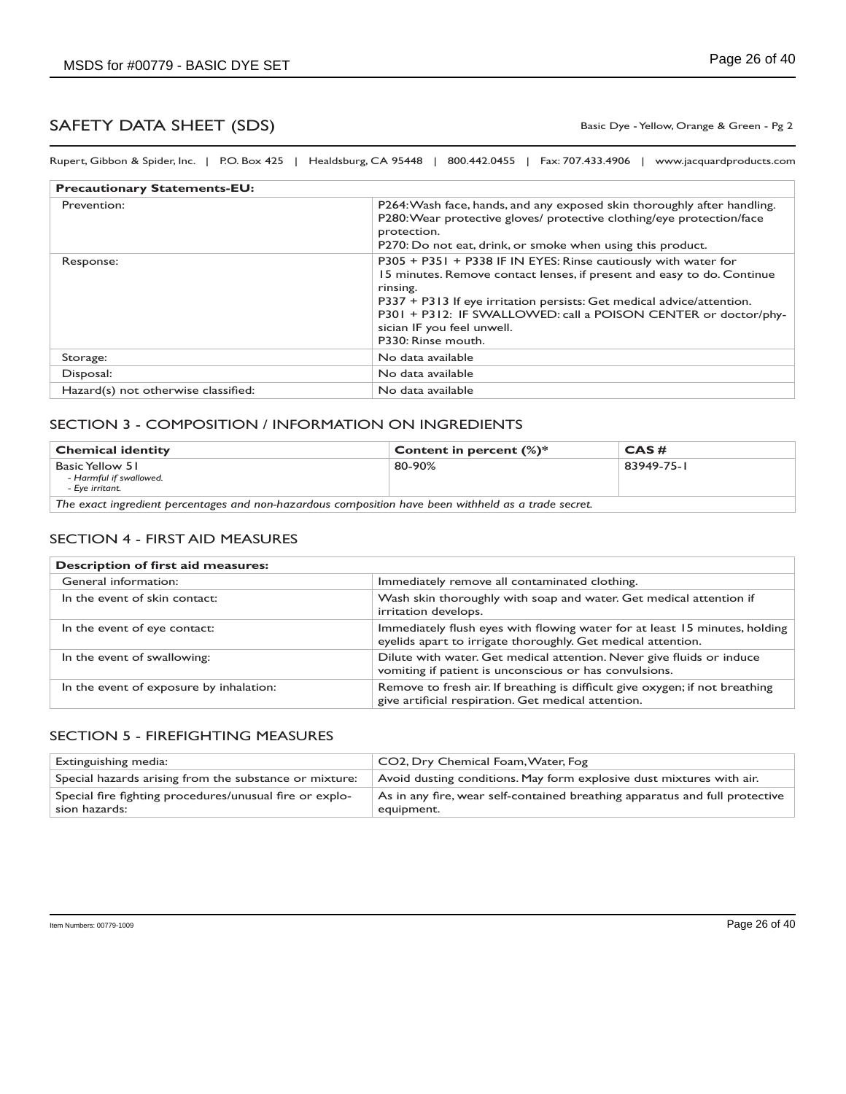Basic Dye - Yellow, Orange & Green - Pg 2

Rupert, Gibbon & Spider, Inc. | P.O. Box 425 | Healdsburg, CA 95448 | 800.442.0455 | Fax: 707.433.4906 | www.jacquardproducts.com

| <b>Precautionary Statements-EU:</b> |                                                                                                                                                                                                                                                                                                                                                     |
|-------------------------------------|-----------------------------------------------------------------------------------------------------------------------------------------------------------------------------------------------------------------------------------------------------------------------------------------------------------------------------------------------------|
| Prevention:                         | P264: Wash face, hands, and any exposed skin thoroughly after handling.<br>P280: Wear protective gloves/ protective clothing/eye protection/face<br>protection.<br>P270: Do not eat, drink, or smoke when using this product.                                                                                                                       |
| Response:                           | P305 + P351 + P338 IF IN EYES: Rinse cautiously with water for<br>15 minutes. Remove contact lenses, if present and easy to do. Continue<br>rinsing.<br>P337 + P313 If eye irritation persists: Get medical advice/attention.<br>P301 + P312: IF SWALLOWED: call a POISON CENTER or doctor/phy-<br>sician IF you feel unwell.<br>P330: Rinse mouth. |
| Storage:                            | No data available                                                                                                                                                                                                                                                                                                                                   |
| Disposal:                           | No data available                                                                                                                                                                                                                                                                                                                                   |
| Hazard(s) not otherwise classified: | No data available                                                                                                                                                                                                                                                                                                                                   |

#### SECTION 3 - COMPOSITION / INFORMATION ON INGREDIENTS

| <b>Chemical identity</b>                                                                              | Content in percent $(\%)^*$ | CAS#       |
|-------------------------------------------------------------------------------------------------------|-----------------------------|------------|
| ' Basic Yellow 51<br>- Harmful if swallowed.<br>- Eve irritant.                                       | 80-90%                      | 83949-75-1 |
| The coreal to medicing processions and new hamanders acceptables have have conditied as a grade count |                             |            |

*The exact ingredient percentages and non-hazardous composition have been withheld as a trade secret.*

#### SECTION 4 - FIRST AID MEASURES

| <b>Description of first aid measures:</b> |                                                                                                                                            |
|-------------------------------------------|--------------------------------------------------------------------------------------------------------------------------------------------|
| General information:                      | Immediately remove all contaminated clothing.                                                                                              |
| In the event of skin contact:             | Wash skin thoroughly with soap and water. Get medical attention if<br>irritation develops.                                                 |
| In the event of eye contact:              | Immediately flush eyes with flowing water for at least 15 minutes, holding<br>eyelids apart to irrigate thoroughly. Get medical attention. |
| In the event of swallowing:               | Dilute with water. Get medical attention. Never give fluids or induce<br>vomiting if patient is unconscious or has convulsions.            |
| In the event of exposure by inhalation:   | Remove to fresh air. If breathing is difficult give oxygen; if not breathing<br>give artificial respiration. Get medical attention.        |

#### SECTION 5 - FIREFIGHTING MEASURES

| Extinguishing media:                                                     | CO2, Dry Chemical Foam, Water, Fog                                                        |
|--------------------------------------------------------------------------|-------------------------------------------------------------------------------------------|
| Special hazards arising from the substance or mixture:                   | Avoid dusting conditions. May form explosive dust mixtures with air.                      |
| Special fire fighting procedures/unusual fire or explo-<br>sion hazards: | As in any fire, wear self-contained breathing apparatus and full protective<br>equipment. |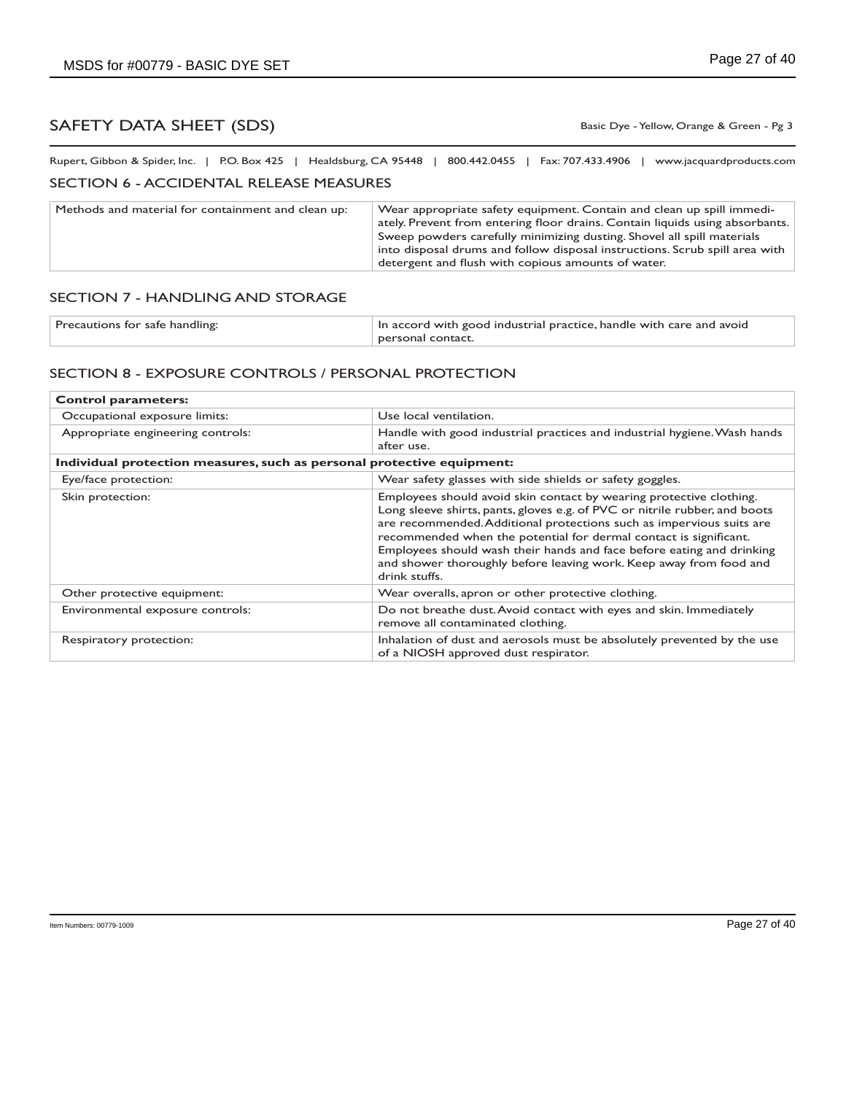Basic Dye - Yellow, Orange & Green - Pg 3

Rupert, Gibbon & Spider, Inc. | P.O. Box 425 | Healdsburg, CA 95448 | 800.442.0455 | Fax: 707.433.4906 | www.jacquardproducts.com

## SECTION 6 - ACCIDENTAL RELEASE MEASURES

| Methods and material for containment and clean up: | Wear appropriate safety equipment. Contain and clean up spill immedi-<br>ately. Prevent from entering floor drains. Contain liquids using absorbants.<br>Sweep powders carefully minimizing dusting. Shovel all spill materials<br>into disposal drums and follow disposal instructions. Scrub spill area with<br>detergent and flush with copious amounts of water. |
|----------------------------------------------------|----------------------------------------------------------------------------------------------------------------------------------------------------------------------------------------------------------------------------------------------------------------------------------------------------------------------------------------------------------------------|
|----------------------------------------------------|----------------------------------------------------------------------------------------------------------------------------------------------------------------------------------------------------------------------------------------------------------------------------------------------------------------------------------------------------------------------|

### SECTION 7 - HANDLING AND STORAGE

| Precautions for safe handling: | In accord with good industrial practice, handle with care and avoid |
|--------------------------------|---------------------------------------------------------------------|
|                                | personal contact.                                                   |

### SECTION 8 - EXPOSURE CONTROLS / PERSONAL PROTECTION

| <b>Control parameters:</b>                                             |                                                                                                                                                                                                                                                                                                                                                                                                                                                                |  |
|------------------------------------------------------------------------|----------------------------------------------------------------------------------------------------------------------------------------------------------------------------------------------------------------------------------------------------------------------------------------------------------------------------------------------------------------------------------------------------------------------------------------------------------------|--|
| Occupational exposure limits:                                          | Use local ventilation.                                                                                                                                                                                                                                                                                                                                                                                                                                         |  |
| Appropriate engineering controls:                                      | Handle with good industrial practices and industrial hygiene. Wash hands<br>after use.                                                                                                                                                                                                                                                                                                                                                                         |  |
| Individual protection measures, such as personal protective equipment: |                                                                                                                                                                                                                                                                                                                                                                                                                                                                |  |
| Eye/face protection:                                                   | Wear safety glasses with side shields or safety goggles.                                                                                                                                                                                                                                                                                                                                                                                                       |  |
| Skin protection:                                                       | Employees should avoid skin contact by wearing protective clothing.<br>Long sleeve shirts, pants, gloves e.g. of PVC or nitrile rubber, and boots<br>are recommended. Additional protections such as impervious suits are<br>recommended when the potential for dermal contact is significant.<br>Employees should wash their hands and face before eating and drinking<br>and shower thoroughly before leaving work. Keep away from food and<br>drink stuffs. |  |
| Other protective equipment:                                            | Wear overalls, apron or other protective clothing.                                                                                                                                                                                                                                                                                                                                                                                                             |  |
| Environmental exposure controls:                                       | Do not breathe dust. Avoid contact with eyes and skin. Immediately<br>remove all contaminated clothing.                                                                                                                                                                                                                                                                                                                                                        |  |
| Respiratory protection:                                                | Inhalation of dust and aerosols must be absolutely prevented by the use<br>of a NIOSH approved dust respirator.                                                                                                                                                                                                                                                                                                                                                |  |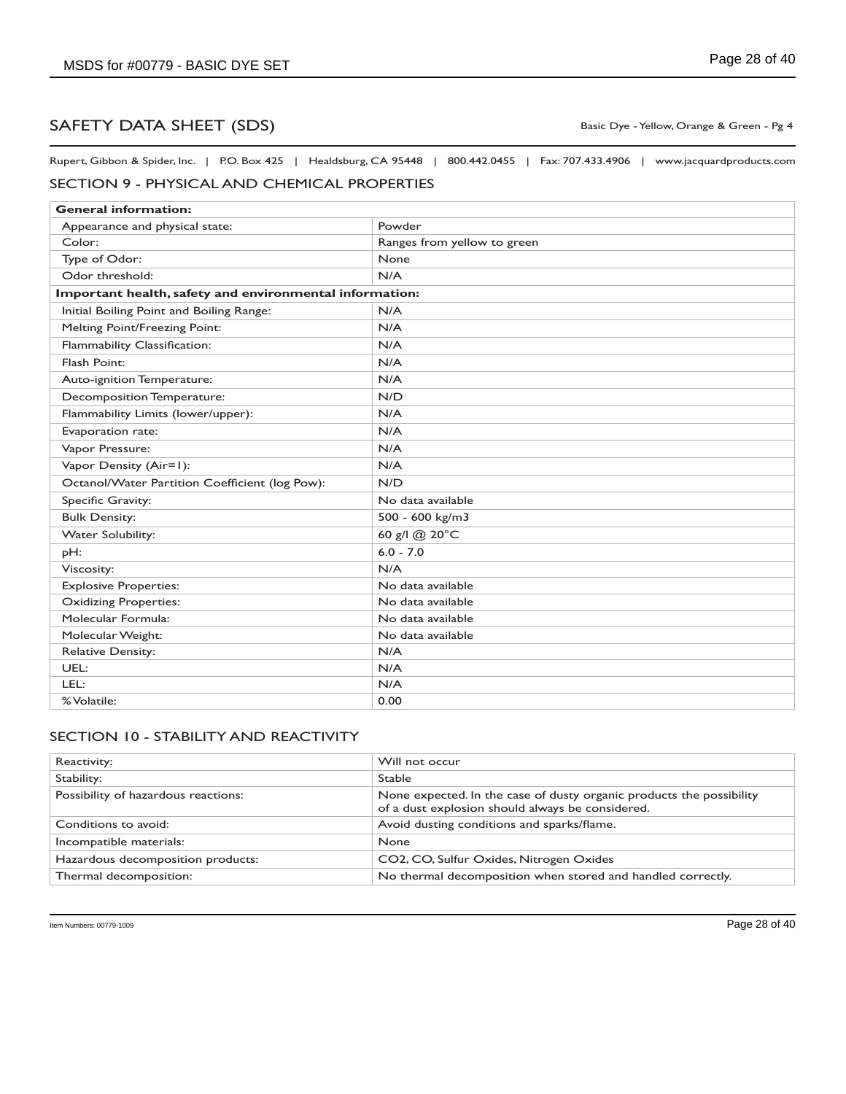Basic Dye - Yellow, Orange & Green - Pg 4

Rupert, Gibbon & Spider, Inc. | P.O. Box 425 | Healdsburg, CA 95448 | 800.442.0455 | Fax: 707.433.4906 | www.jacquardproducts.com

### SECTION 9 - PHYSICAL AND CHEMICAL PROPERTIES

| <b>General information:</b>                             |                             |
|---------------------------------------------------------|-----------------------------|
| Appearance and physical state:                          | Powder                      |
| Color:                                                  | Ranges from yellow to green |
| Type of Odor:                                           | None                        |
| Odor threshold:                                         | N/A                         |
| Important health, safety and environmental information: |                             |
| Initial Boiling Point and Boiling Range:                | N/A                         |
| Melting Point/Freezing Point:                           | N/A                         |
| Flammability Classification:                            | N/A                         |
| Flash Point:                                            | N/A                         |
| Auto-ignition Temperature:                              | N/A                         |
| Decomposition Temperature:                              | N/D                         |
| Flammability Limits (lower/upper):                      | N/A                         |
| Evaporation rate:                                       | N/A                         |
| Vapor Pressure:                                         | N/A                         |
| Vapor Density (Air=1):                                  | N/A                         |
| Octanol/Water Partition Coefficient (log Pow):          | N/D                         |
| Specific Gravity:                                       | No data available           |
| <b>Bulk Density:</b>                                    | 500 - 600 kg/m3             |
| <b>Water Solubility:</b>                                | 60 g/l @ 20°C               |
| pH:                                                     | $6.0 - 7.0$                 |
| Viscosity:                                              | N/A                         |
| <b>Explosive Properties:</b>                            | No data available           |
| <b>Oxidizing Properties:</b>                            | No data available           |
| Molecular Formula:                                      | No data available           |
| Molecular Weight:                                       | No data available           |
| <b>Relative Density:</b>                                | N/A                         |
| UEL:                                                    | N/A                         |
| LEL:                                                    | N/A                         |
| % Volatile:                                             | 0.00                        |

## SECTION 10 - STABILITY AND REACTIVITY

| Reactivity:                         | Will not occur                                                                                                           |
|-------------------------------------|--------------------------------------------------------------------------------------------------------------------------|
| Stability:                          | <b>Stable</b>                                                                                                            |
| Possibility of hazardous reactions: | None expected. In the case of dusty organic products the possibility<br>of a dust explosion should always be considered. |
| Conditions to avoid:                | Avoid dusting conditions and sparks/flame.                                                                               |
| Incompatible materials:             | <b>None</b>                                                                                                              |
| Hazardous decomposition products:   | CO2, CO, Sulfur Oxides, Nitrogen Oxides                                                                                  |
| Thermal decomposition:              | No thermal decomposition when stored and handled correctly.                                                              |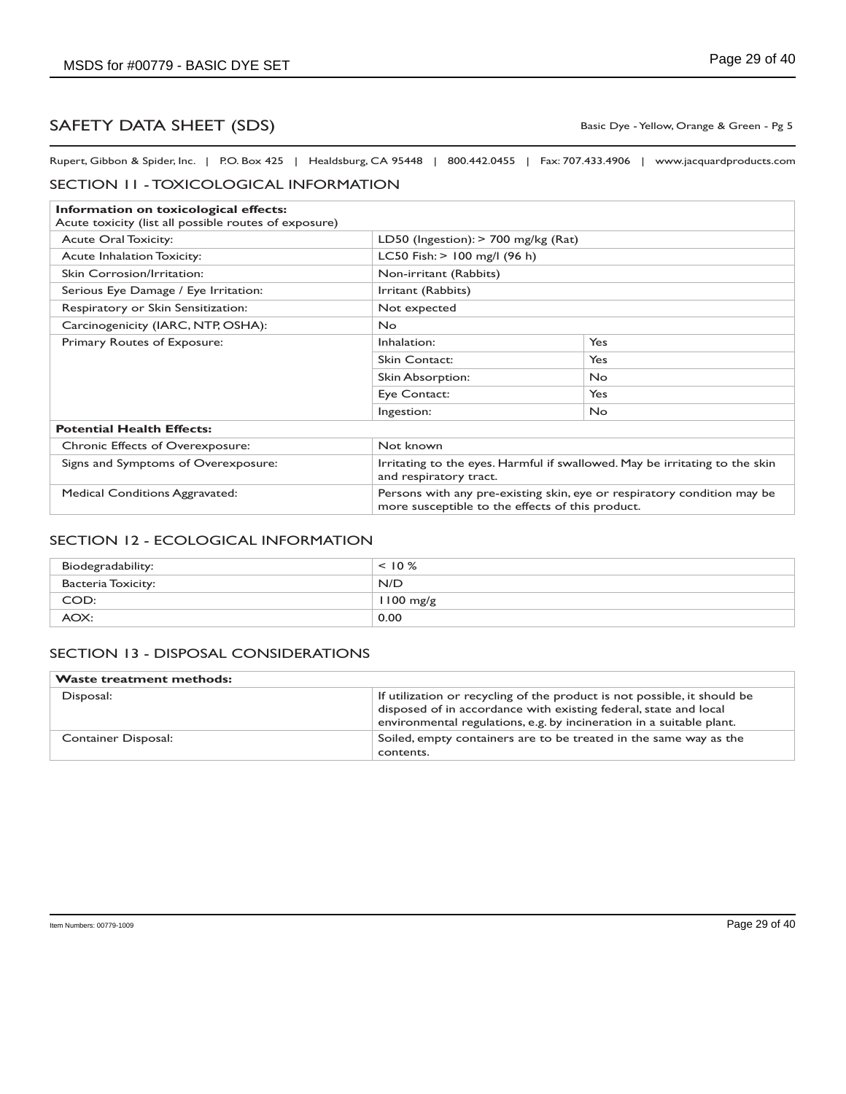Basic Dye - Yellow, Orange & Green - Pg 5

Rupert, Gibbon & Spider, Inc. | P.O. Box 425 | Healdsburg, CA 95448 | 800.442.0455 | Fax: 707.433.4906 | www.jacquardproducts.com

#### SECTION 11 - TOXICOLOGICAL INFORMATION

| Information on toxicological effects:<br>Acute toxicity (list all possible routes of exposure) |                                                                                                                             |           |
|------------------------------------------------------------------------------------------------|-----------------------------------------------------------------------------------------------------------------------------|-----------|
| <b>Acute Oral Toxicity:</b>                                                                    | LD50 (Ingestion): $>$ 700 mg/kg (Rat)                                                                                       |           |
| <b>Acute Inhalation Toxicity:</b>                                                              | LC50 Fish: $> 100$ mg/l (96 h)                                                                                              |           |
| Skin Corrosion/Irritation:                                                                     | Non-irritant (Rabbits)                                                                                                      |           |
| Serious Eye Damage / Eye Irritation:                                                           | Irritant (Rabbits)                                                                                                          |           |
| Respiratory or Skin Sensitization:                                                             | Not expected                                                                                                                |           |
| Carcinogenicity (IARC, NTP, OSHA):                                                             | No.                                                                                                                         |           |
| Primary Routes of Exposure:                                                                    | Inhalation:                                                                                                                 | Yes       |
|                                                                                                | Skin Contact:                                                                                                               | Yes       |
|                                                                                                | Skin Absorption:                                                                                                            | <b>No</b> |
|                                                                                                | Eye Contact:                                                                                                                | Yes       |
|                                                                                                | Ingestion:                                                                                                                  | <b>No</b> |
| <b>Potential Health Effects:</b>                                                               |                                                                                                                             |           |
| <b>Chronic Effects of Overexposure:</b>                                                        | Not known                                                                                                                   |           |
| Signs and Symptoms of Overexposure:                                                            | Irritating to the eyes. Harmful if swallowed. May be irritating to the skin<br>and respiratory tract.                       |           |
| <b>Medical Conditions Aggravated:</b>                                                          | Persons with any pre-existing skin, eye or respiratory condition may be<br>more susceptible to the effects of this product. |           |

### SECTION 12 - ECOLOGICAL INFORMATION

| Biodegradability:  | $< 10 \%$           |
|--------------------|---------------------|
| Bacteria Toxicity: | N/D                 |
| COD:               | $1100 \text{ mg/g}$ |
| AOX:               | 0.00                |

### SECTION 13 - DISPOSAL CONSIDERATIONS

| <b>Waste treatment methods:</b> |                                                                                                                                                                                                                      |
|---------------------------------|----------------------------------------------------------------------------------------------------------------------------------------------------------------------------------------------------------------------|
| Disposal:                       | If utilization or recycling of the product is not possible, it should be<br>disposed of in accordance with existing federal, state and local<br>environmental regulations, e.g. by incineration in a suitable plant. |
| Container Disposal:             | Soiled, empty containers are to be treated in the same way as the<br>contents.                                                                                                                                       |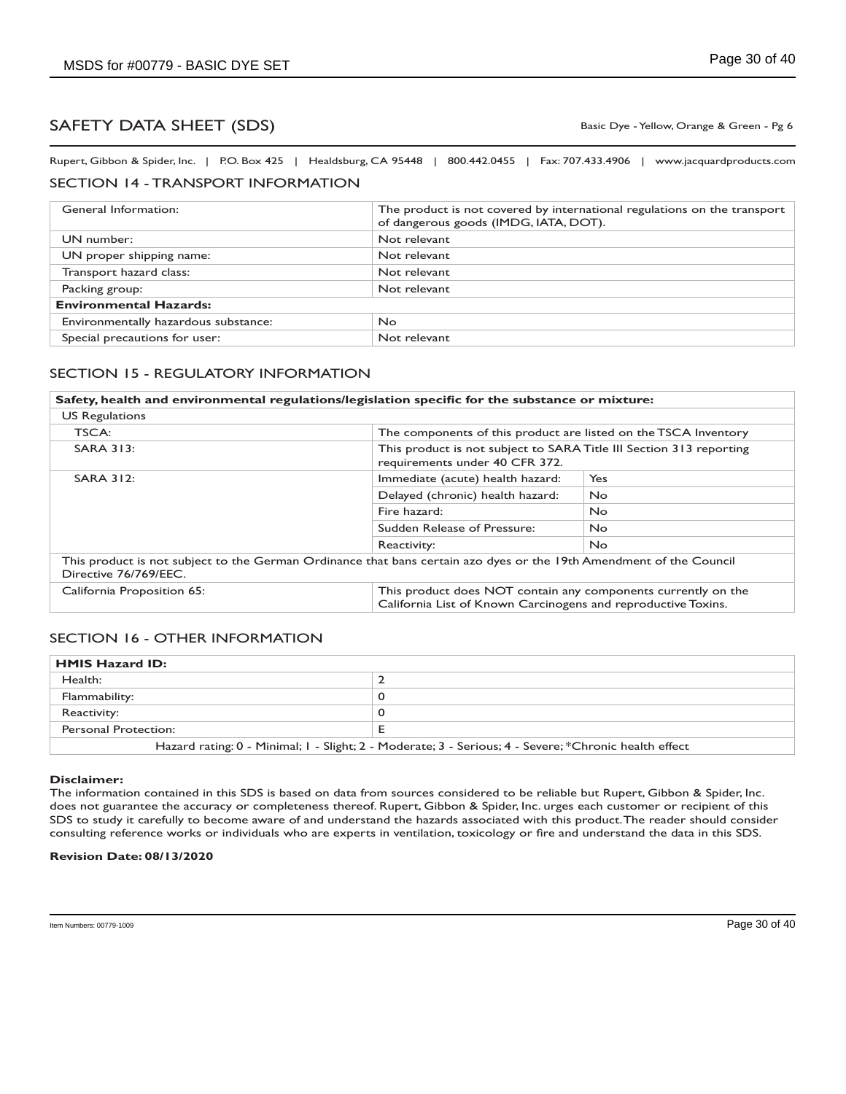Basic Dye - Yellow, Orange & Green - Pg 6

Rupert, Gibbon & Spider, Inc. | P.O. Box 425 | Healdsburg, CA 95448 | 800.442.0455 | Fax: 707.433.4906 | www.jacquardproducts.com

### SECTION 14 - TRANSPORT INFORMATION

| General Information:                 | The product is not covered by international regulations on the transport<br>of dangerous goods (IMDG, IATA, DOT). |  |
|--------------------------------------|-------------------------------------------------------------------------------------------------------------------|--|
| UN number:                           | Not relevant                                                                                                      |  |
| UN proper shipping name:             | Not relevant                                                                                                      |  |
| Transport hazard class:              | Not relevant                                                                                                      |  |
| Packing group:                       | Not relevant                                                                                                      |  |
| <b>Environmental Hazards:</b>        |                                                                                                                   |  |
| Environmentally hazardous substance: | No.                                                                                                               |  |
| Special precautions for user:        | Not relevant                                                                                                      |  |

### SECTION 15 - REGULATORY INFORMATION

| Safety, health and environmental regulations/legislation specific for the substance or mixture:                                              |                                                                                                                                |           |
|----------------------------------------------------------------------------------------------------------------------------------------------|--------------------------------------------------------------------------------------------------------------------------------|-----------|
| <b>US Regulations</b>                                                                                                                        |                                                                                                                                |           |
| TSCA:                                                                                                                                        | The components of this product are listed on the TSCA Inventory                                                                |           |
| <b>SARA 313:</b>                                                                                                                             | This product is not subject to SARA Title III Section 313 reporting<br>requirements under 40 CFR 372.                          |           |
| <b>SARA 312:</b>                                                                                                                             | Immediate (acute) health hazard:                                                                                               | Yes       |
|                                                                                                                                              | Delayed (chronic) health hazard:                                                                                               | <b>No</b> |
|                                                                                                                                              | Fire hazard:                                                                                                                   | No.       |
|                                                                                                                                              | Sudden Release of Pressure:                                                                                                    | No.       |
|                                                                                                                                              | Reactivity:                                                                                                                    | No.       |
| This product is not subject to the German Ordinance that bans certain azo dyes or the 19th Amendment of the Council<br>Directive 76/769/EEC. |                                                                                                                                |           |
| California Proposition 65:                                                                                                                   | This product does NOT contain any components currently on the<br>California List of Known Carcinogens and reproductive Toxins. |           |

#### SECTION 16 - OTHER INFORMATION

| <b>HMIS Hazard ID:</b>                                                                                |  |
|-------------------------------------------------------------------------------------------------------|--|
| Health:                                                                                               |  |
| Flammability:                                                                                         |  |
| Reactivity:                                                                                           |  |
| Personal Protection:                                                                                  |  |
| Hazard rating: 0 - Minimal; 1 - Slight; 2 - Moderate; 3 - Serious; 4 - Severe; *Chronic health effect |  |

#### **Disclaimer:**

The information contained in this SDS is based on data from sources considered to be reliable but Rupert, Gibbon & Spider, Inc. does not guarantee the accuracy or completeness thereof. Rupert, Gibbon & Spider, Inc. urges each customer or recipient of this SDS to study it carefully to become aware of and understand the hazards associated with this product. The reader should consider consulting reference works or individuals who are experts in ventilation, toxicology or fire and understand the data in this SDS.

#### **Revision Date: 08/13/2020**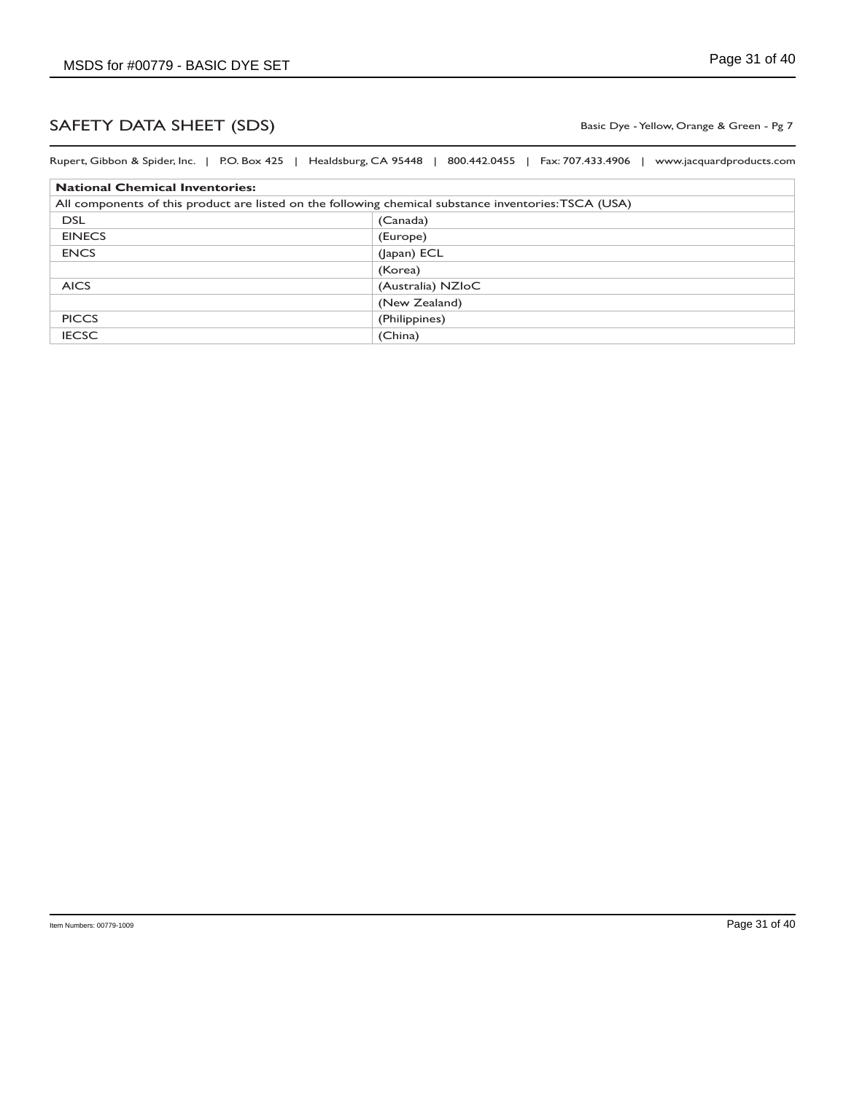Basic Dye - Yellow, Orange & Green - Pg 7

| All components of this product are listed on the following chemical substance inventories: TSCA (USA) |
|-------------------------------------------------------------------------------------------------------|
|                                                                                                       |
|                                                                                                       |
|                                                                                                       |
|                                                                                                       |
|                                                                                                       |
|                                                                                                       |
| (Australia) NZIoC                                                                                     |
| (New Zealand)                                                                                         |
|                                                                                                       |
|                                                                                                       |
|                                                                                                       |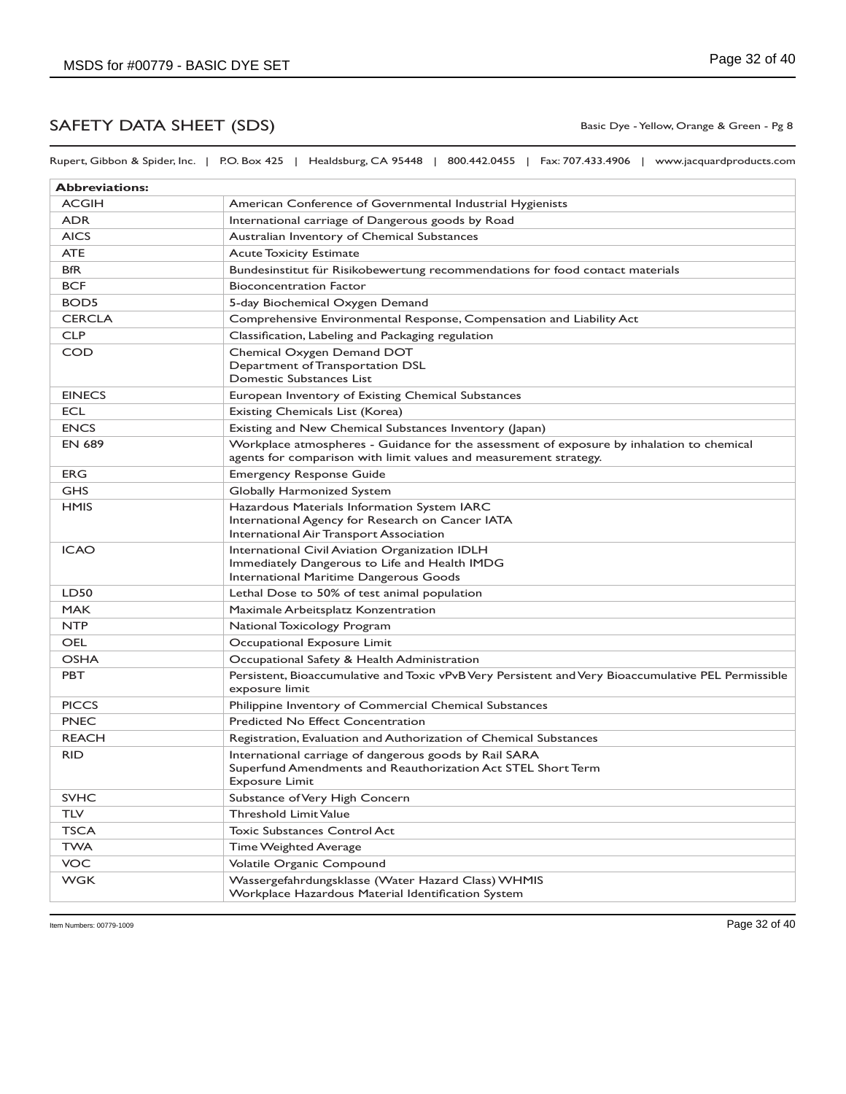Rupert, Gibbon & Spider, Inc. | P.O. Box 425 | Healdsburg, CA 95448 | 800.442.0455 | Fax: 707.433.4906 | www.jacquardproducts.com

| <b>Abbreviations:</b> |                                                                                                                                                                |
|-----------------------|----------------------------------------------------------------------------------------------------------------------------------------------------------------|
| <b>ACGIH</b>          | American Conference of Governmental Industrial Hygienists                                                                                                      |
| <b>ADR</b>            | International carriage of Dangerous goods by Road                                                                                                              |
| <b>AICS</b>           | Australian Inventory of Chemical Substances                                                                                                                    |
| <b>ATE</b>            | <b>Acute Toxicity Estimate</b>                                                                                                                                 |
| <b>BfR</b>            | Bundesinstitut für Risikobewertung recommendations for food contact materials                                                                                  |
| <b>BCF</b>            | <b>Bioconcentration Factor</b>                                                                                                                                 |
| BOD <sub>5</sub>      | 5-day Biochemical Oxygen Demand                                                                                                                                |
| <b>CERCLA</b>         | Comprehensive Environmental Response, Compensation and Liability Act                                                                                           |
| <b>CLP</b>            | Classification, Labeling and Packaging regulation                                                                                                              |
| <b>COD</b>            | Chemical Oxygen Demand DOT<br>Department of Transportation DSL<br>Domestic Substances List                                                                     |
| <b>EINECS</b>         | European Inventory of Existing Chemical Substances                                                                                                             |
| <b>ECL</b>            | Existing Chemicals List (Korea)                                                                                                                                |
| <b>ENCS</b>           | Existing and New Chemical Substances Inventory (Japan)                                                                                                         |
| <b>EN 689</b>         | Workplace atmospheres - Guidance for the assessment of exposure by inhalation to chemical<br>agents for comparison with limit values and measurement strategy. |
| <b>ERG</b>            | <b>Emergency Response Guide</b>                                                                                                                                |
| <b>GHS</b>            | Globally Harmonized System                                                                                                                                     |
| <b>HMIS</b>           | Hazardous Materials Information System IARC<br>International Agency for Research on Cancer IATA<br>International Air Transport Association                     |
| <b>ICAO</b>           | International Civil Aviation Organization IDLH<br>Immediately Dangerous to Life and Health IMDG<br>International Maritime Dangerous Goods                      |
| LD50                  | Lethal Dose to 50% of test animal population                                                                                                                   |
| <b>MAK</b>            | Maximale Arbeitsplatz Konzentration                                                                                                                            |
| <b>NTP</b>            | National Toxicology Program                                                                                                                                    |
| <b>OEL</b>            | Occupational Exposure Limit                                                                                                                                    |
| <b>OSHA</b>           | Occupational Safety & Health Administration                                                                                                                    |
| PBT                   | Persistent, Bioaccumulative and Toxic vPvB Very Persistent and Very Bioaccumulative PEL Permissible<br>exposure limit                                          |
| <b>PICCS</b>          | Philippine Inventory of Commercial Chemical Substances                                                                                                         |
| <b>PNEC</b>           | <b>Predicted No Effect Concentration</b>                                                                                                                       |
| <b>REACH</b>          | Registration, Evaluation and Authorization of Chemical Substances                                                                                              |
| <b>RID</b>            | International carriage of dangerous goods by Rail SARA<br>Superfund Amendments and Reauthorization Act STEL Short Term<br><b>Exposure Limit</b>                |
| <b>SVHC</b>           | Substance of Very High Concern                                                                                                                                 |
| <b>TLV</b>            | Threshold Limit Value                                                                                                                                          |
| <b>TSCA</b>           | <b>Toxic Substances Control Act</b>                                                                                                                            |
| <b>TWA</b>            | Time Weighted Average                                                                                                                                          |
| VOC                   | Volatile Organic Compound                                                                                                                                      |
| <b>WGK</b>            | Wassergefahrdungsklasse (Water Hazard Class) WHMIS<br>Workplace Hazardous Material Identification System                                                       |

Basic Dye - Yellow, Orange & Green - Pg 8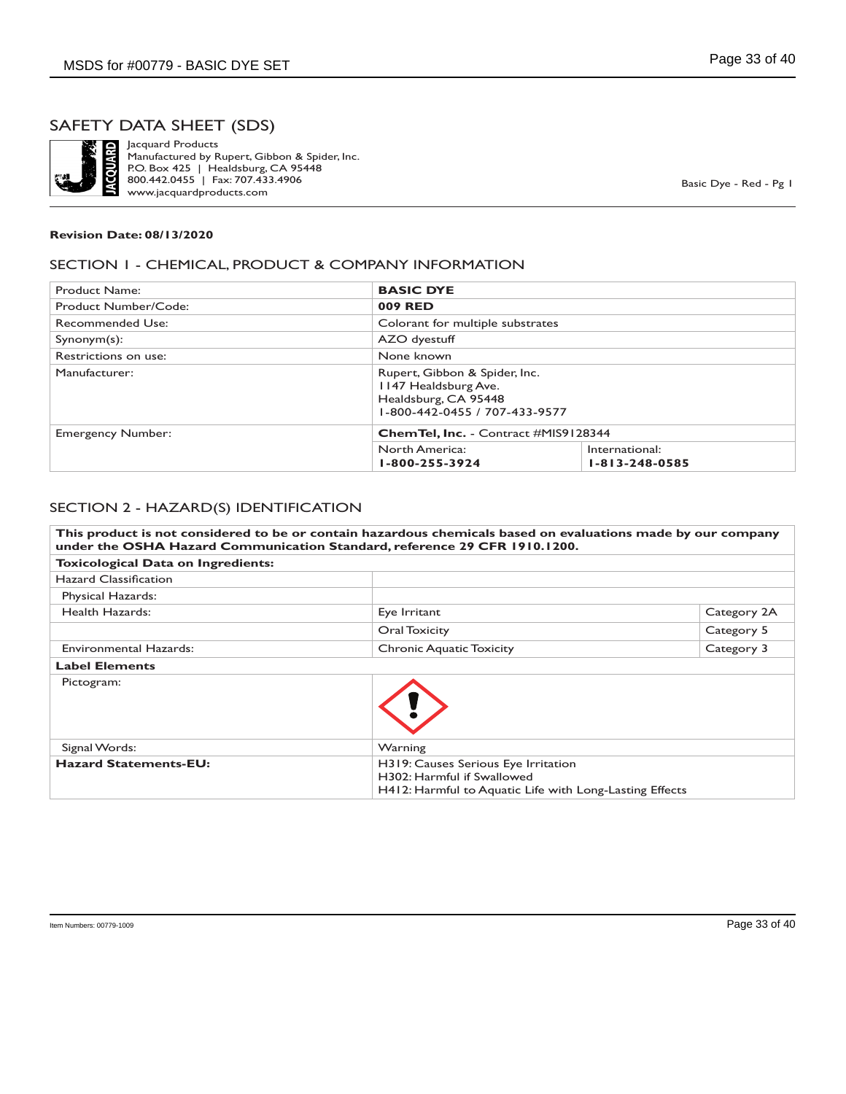

Jacquard Products Manufactured by Rupert, Gibbon & Spider, Inc. P.O. Box 425 | Healdsburg, CA 95448 800.442.0455 | Fax: 707.433.4906 www.jacquardproducts.com

Basic Dye - Red - Pg 1

#### **Revision Date: 08/13/2020**

#### SECTION 1 - CHEMICAL, PRODUCT & COMPANY INFORMATION

| Product Name:            | <b>BASIC DYE</b>                                                                                               |                                          |
|--------------------------|----------------------------------------------------------------------------------------------------------------|------------------------------------------|
| Product Number/Code:     | 009 RED                                                                                                        |                                          |
| <b>Recommended Use:</b>  | Colorant for multiple substrates                                                                               |                                          |
| $Symonym(s)$ :           | AZO dyestuff                                                                                                   |                                          |
| Restrictions on use:     | None known                                                                                                     |                                          |
| Manufacturer:            | Rupert, Gibbon & Spider, Inc.<br>1147 Healdsburg Ave.<br>Healdsburg, CA 95448<br>1-800-442-0455 / 707-433-9577 |                                          |
| <b>Emergency Number:</b> | <b>ChemTel, Inc.</b> - Contract #MIS9128344                                                                    |                                          |
|                          | North America:<br>1-800-255-3924                                                                               | International:<br>$1 - 813 - 248 - 0585$ |

#### SECTION 2 - HAZARD(S) IDENTIFICATION

| This product is not considered to be or contain hazardous chemicals based on evaluations made by our company<br>under the OSHA Hazard Communication Standard, reference 29 CFR 1910.1200. |                                                                                                                              |             |
|-------------------------------------------------------------------------------------------------------------------------------------------------------------------------------------------|------------------------------------------------------------------------------------------------------------------------------|-------------|
| <b>Toxicological Data on Ingredients:</b>                                                                                                                                                 |                                                                                                                              |             |
| Hazard Classification                                                                                                                                                                     |                                                                                                                              |             |
| Physical Hazards:                                                                                                                                                                         |                                                                                                                              |             |
| Health Hazards:                                                                                                                                                                           | Eye Irritant                                                                                                                 | Category 2A |
|                                                                                                                                                                                           | Oral Toxicity                                                                                                                | Category 5  |
| Environmental Hazards:                                                                                                                                                                    | <b>Chronic Aquatic Toxicity</b>                                                                                              | Category 3  |
| <b>Label Elements</b>                                                                                                                                                                     |                                                                                                                              |             |
| Pictogram:                                                                                                                                                                                |                                                                                                                              |             |
| Signal Words:                                                                                                                                                                             | Warning                                                                                                                      |             |
| <b>Hazard Statements-EU:</b>                                                                                                                                                              | H319: Causes Serious Eye Irritation<br>H302: Harmful if Swallowed<br>H412: Harmful to Aquatic Life with Long-Lasting Effects |             |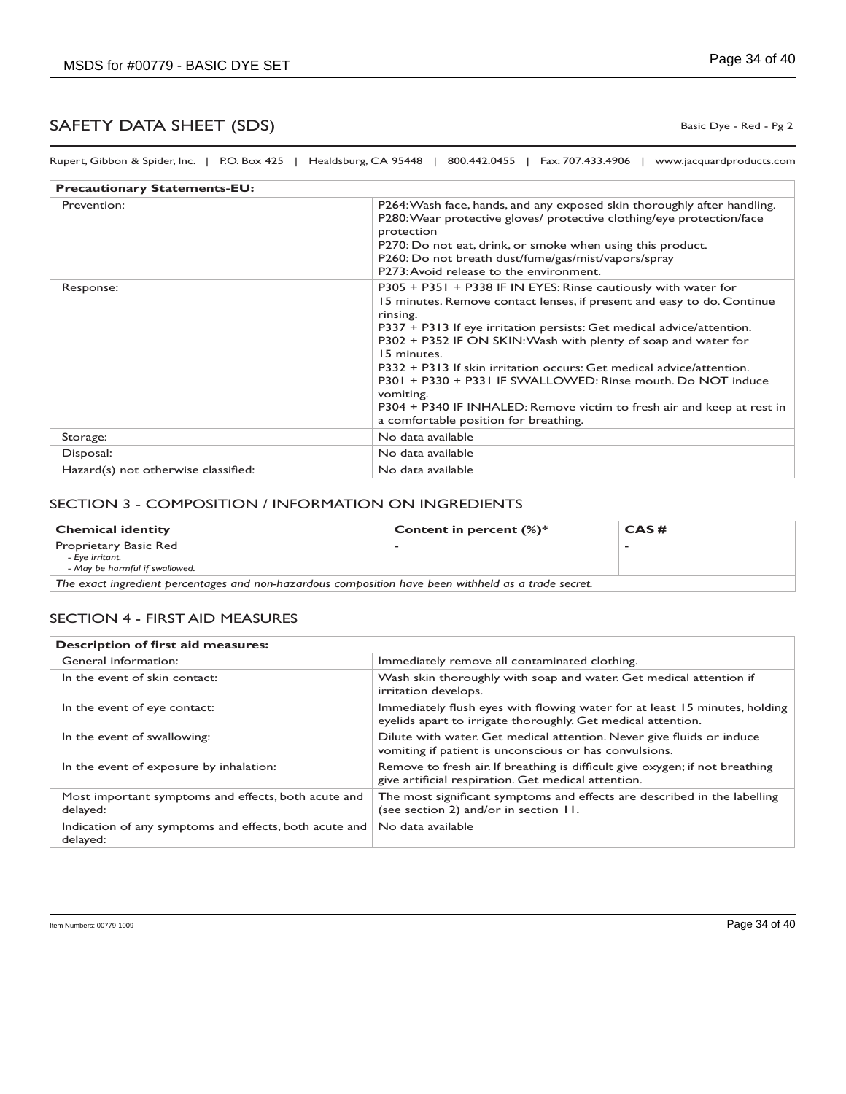Rupert, Gibbon & Spider, Inc. | P.O. Box 425 | Healdsburg, CA 95448 | 800.442.0455 | Fax: 707.433.4906 | www.jacquardproducts.com

| <b>Precautionary Statements-EU:</b> |                                                                                                                                                                                                                                                                                                                                                                                                                                                                                                                                                                                       |  |
|-------------------------------------|---------------------------------------------------------------------------------------------------------------------------------------------------------------------------------------------------------------------------------------------------------------------------------------------------------------------------------------------------------------------------------------------------------------------------------------------------------------------------------------------------------------------------------------------------------------------------------------|--|
| Prevention:                         | P264: Wash face, hands, and any exposed skin thoroughly after handling.<br>P280: Wear protective gloves/ protective clothing/eye protection/face<br>protection<br>P270: Do not eat, drink, or smoke when using this product.<br>P260: Do not breath dust/fume/gas/mist/vapors/spray<br>P273: Avoid release to the environment.                                                                                                                                                                                                                                                        |  |
| Response:                           | P305 + P351 + P338 IF IN EYES: Rinse cautiously with water for<br>15 minutes. Remove contact lenses, if present and easy to do. Continue<br>rinsing.<br>P337 + P313 If eye irritation persists: Get medical advice/attention.<br>P302 + P352 IF ON SKIN: Wash with plenty of soap and water for<br>15 minutes.<br>P332 + P313 If skin irritation occurs: Get medical advice/attention.<br>P301 + P330 + P331 IF SWALLOWED: Rinse mouth, Do NOT induce<br>vomiting.<br>P304 + P340 IF INHALED: Remove victim to fresh air and keep at rest in<br>a comfortable position for breathing. |  |
| Storage:                            | No data available                                                                                                                                                                                                                                                                                                                                                                                                                                                                                                                                                                     |  |
| Disposal:                           | No data available                                                                                                                                                                                                                                                                                                                                                                                                                                                                                                                                                                     |  |
| Hazard(s) not otherwise classified: | No data available                                                                                                                                                                                                                                                                                                                                                                                                                                                                                                                                                                     |  |

#### SECTION 3 - COMPOSITION / INFORMATION ON INGREDIENTS

| <b>Chemical identity</b>                                                                            | Content in percent $(\%)^*$ | CAS# |
|-----------------------------------------------------------------------------------------------------|-----------------------------|------|
| Proprietary Basic Red<br>- Eve irritant.<br>- May be harmful if swallowed.                          |                             |      |
| The exact ingredient percentages and non-hazardous composition have been withheld as a trade secret |                             |      |

*The exact ingredient percentages and non-hazardous composition have been withheld as a trade secret.*

#### SECTION 4 - FIRST AID MEASURES

| Description of first aid measures:                                 |                                                                                                                                            |  |
|--------------------------------------------------------------------|--------------------------------------------------------------------------------------------------------------------------------------------|--|
| General information:                                               | Immediately remove all contaminated clothing.                                                                                              |  |
| In the event of skin contact:                                      | Wash skin thoroughly with soap and water. Get medical attention if<br>irritation develops.                                                 |  |
| In the event of eye contact:                                       | Immediately flush eyes with flowing water for at least 15 minutes, holding<br>eyelids apart to irrigate thoroughly. Get medical attention. |  |
| In the event of swallowing:                                        | Dilute with water. Get medical attention. Never give fluids or induce<br>vomiting if patient is unconscious or has convulsions.            |  |
| In the event of exposure by inhalation:                            | Remove to fresh air. If breathing is difficult give oxygen; if not breathing<br>give artificial respiration. Get medical attention.        |  |
| Most important symptoms and effects, both acute and<br>delayed:    | The most significant symptoms and effects are described in the labelling<br>(see section 2) and/or in section 11.                          |  |
| Indication of any symptoms and effects, both acute and<br>delayed: | No data available                                                                                                                          |  |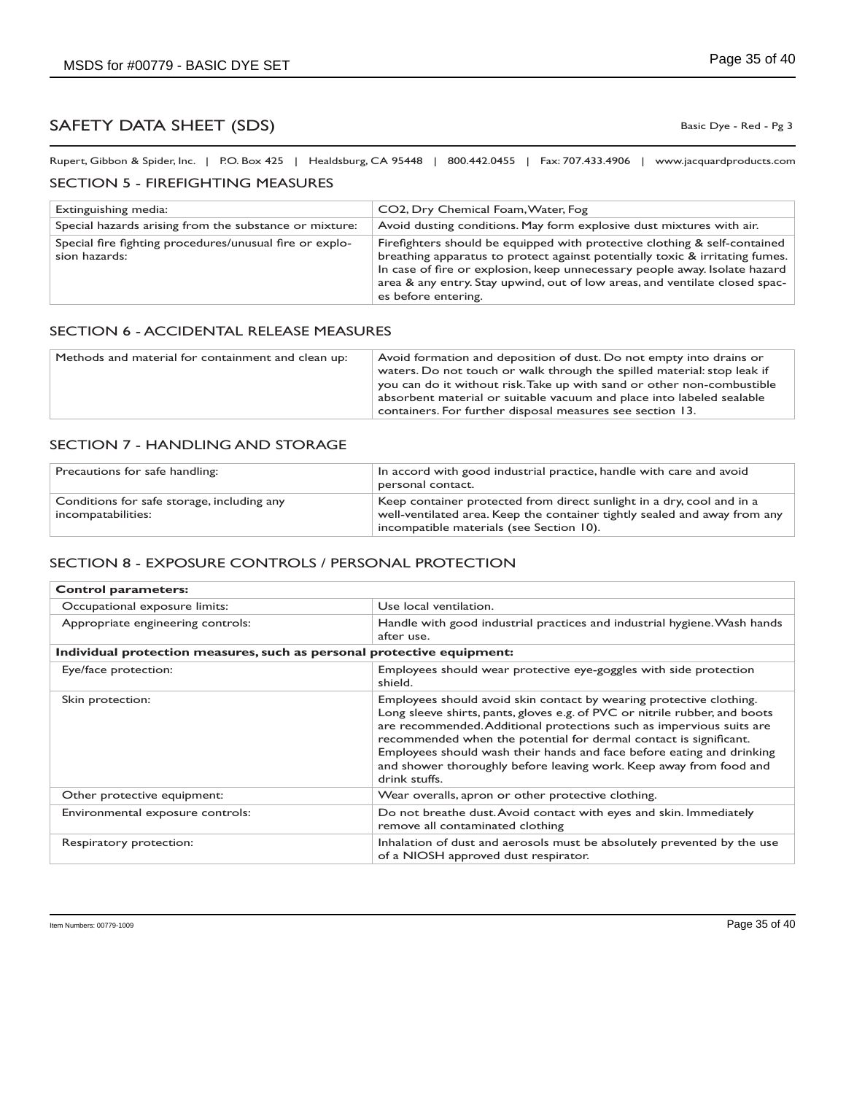Basic Dye - Red - Pg 3

Rupert, Gibbon & Spider, Inc. | P.O. Box 425 | Healdsburg, CA 95448 | 800.442.0455 | Fax: 707.433.4906 | www.jacquardproducts.com

#### SECTION 5 - FIREFIGHTING MEASURES

| Extinguishing media:                                                     | CO2, Dry Chemical Foam, Water, Fog                                                                                                                                                                                                                                                                                                            |
|--------------------------------------------------------------------------|-----------------------------------------------------------------------------------------------------------------------------------------------------------------------------------------------------------------------------------------------------------------------------------------------------------------------------------------------|
| Special hazards arising from the substance or mixture:                   | Avoid dusting conditions. May form explosive dust mixtures with air.                                                                                                                                                                                                                                                                          |
| Special fire fighting procedures/unusual fire or explo-<br>sion hazards: | Firefighters should be equipped with protective clothing & self-contained<br>breathing apparatus to protect against potentially toxic & irritating fumes.<br>In case of fire or explosion, keep unnecessary people away. Isolate hazard<br>area & any entry. Stay upwind, out of low areas, and ventilate closed spac-<br>es before entering. |

#### SECTION 6 - ACCIDENTAL RELEASE MEASURES

| waters. Do not touch or walk through the spilled material: stop leak if<br>you can do it without risk. Take up with sand or other non-combustible<br>absorbent material or suitable vacuum and place into labeled sealable<br>containers. For further disposal measures see section 13. |
|-----------------------------------------------------------------------------------------------------------------------------------------------------------------------------------------------------------------------------------------------------------------------------------------|
|                                                                                                                                                                                                                                                                                         |

#### SECTION 7 - HANDLING AND STORAGE

| Precautions for safe handling:                                   | In accord with good industrial practice, handle with care and avoid<br>personal contact.                                                                                                       |
|------------------------------------------------------------------|------------------------------------------------------------------------------------------------------------------------------------------------------------------------------------------------|
| Conditions for safe storage, including any<br>incompatabilities: | Keep container protected from direct sunlight in a dry, cool and in a<br>well-ventilated area. Keep the container tightly sealed and away from any<br>incompatible materials (see Section 10). |

### SECTION 8 - EXPOSURE CONTROLS / PERSONAL PROTECTION

| <b>Control parameters:</b>                                             |                                                                                                                                                                                                                                                                                                                                                                                                                                                                |  |
|------------------------------------------------------------------------|----------------------------------------------------------------------------------------------------------------------------------------------------------------------------------------------------------------------------------------------------------------------------------------------------------------------------------------------------------------------------------------------------------------------------------------------------------------|--|
| Occupational exposure limits:                                          | Use local ventilation.                                                                                                                                                                                                                                                                                                                                                                                                                                         |  |
| Appropriate engineering controls:                                      | Handle with good industrial practices and industrial hygiene. Wash hands<br>after use.                                                                                                                                                                                                                                                                                                                                                                         |  |
| Individual protection measures, such as personal protective equipment: |                                                                                                                                                                                                                                                                                                                                                                                                                                                                |  |
| Eye/face protection:                                                   | Employees should wear protective eye-goggles with side protection<br>shield.                                                                                                                                                                                                                                                                                                                                                                                   |  |
| Skin protection:                                                       | Employees should avoid skin contact by wearing protective clothing.<br>Long sleeve shirts, pants, gloves e.g. of PVC or nitrile rubber, and boots<br>are recommended. Additional protections such as impervious suits are<br>recommended when the potential for dermal contact is significant.<br>Employees should wash their hands and face before eating and drinking<br>and shower thoroughly before leaving work. Keep away from food and<br>drink stuffs. |  |
| Other protective equipment:                                            | Wear overalls, apron or other protective clothing.                                                                                                                                                                                                                                                                                                                                                                                                             |  |
| Environmental exposure controls:                                       | Do not breathe dust. Avoid contact with eyes and skin. Immediately<br>remove all contaminated clothing                                                                                                                                                                                                                                                                                                                                                         |  |
| Respiratory protection:                                                | Inhalation of dust and aerosols must be absolutely prevented by the use<br>of a NIOSH approved dust respirator.                                                                                                                                                                                                                                                                                                                                                |  |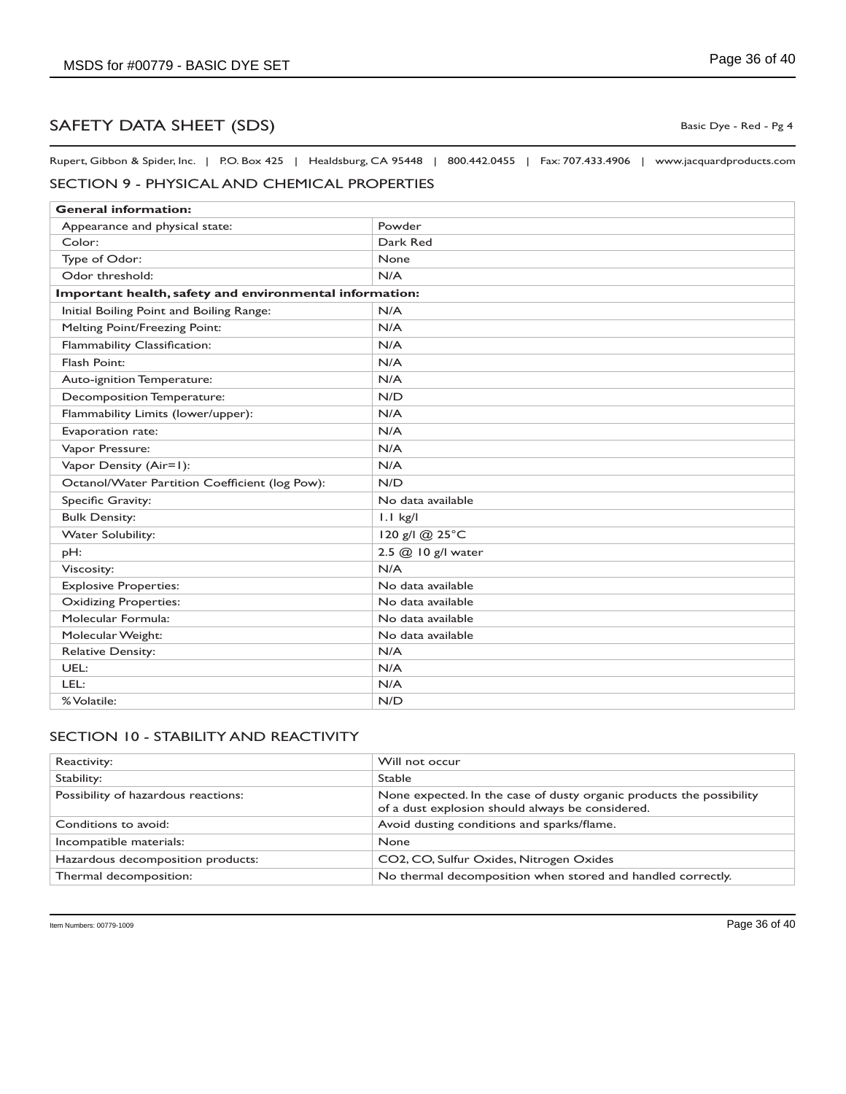Rupert, Gibbon & Spider, Inc. | P.O. Box 425 | Healdsburg, CA 95448 | 800.442.0455 | Fax: 707.433.4906 | www.jacquardproducts.com

## SECTION 9 - PHYSICAL AND CHEMICAL PROPERTIES

| <b>General information:</b>                             |                    |
|---------------------------------------------------------|--------------------|
| Appearance and physical state:                          | Powder             |
| Color:                                                  | Dark Red           |
| Type of Odor:                                           | None               |
| Odor threshold:                                         | N/A                |
| Important health, safety and environmental information: |                    |
| Initial Boiling Point and Boiling Range:                | N/A                |
| Melting Point/Freezing Point:                           | N/A                |
| Flammability Classification:                            | N/A                |
| Flash Point:                                            | N/A                |
| Auto-ignition Temperature:                              | N/A                |
| Decomposition Temperature:                              | N/D                |
| Flammability Limits (lower/upper):                      | N/A                |
| Evaporation rate:                                       | N/A                |
| Vapor Pressure:                                         | N/A                |
| Vapor Density (Air=1):                                  | N/A                |
| Octanol/Water Partition Coefficient (log Pow):          | N/D                |
| Specific Gravity:                                       | No data available  |
| <b>Bulk Density:</b>                                    | $1.1$ kg/l         |
| <b>Water Solubility:</b>                                | 120 g/l @ 25°C     |
| pH:                                                     | 2.5 @ 10 g/l water |
| Viscosity:                                              | N/A                |
| <b>Explosive Properties:</b>                            | No data available  |
| <b>Oxidizing Properties:</b>                            | No data available  |
| Molecular Formula:                                      | No data available  |
| Molecular Weight:                                       | No data available  |
| <b>Relative Density:</b>                                | N/A                |
| UEL:                                                    | N/A                |
| LEL:                                                    | N/A                |
| % Volatile:                                             | N/D                |

### SECTION 10 - STABILITY AND REACTIVITY

| Reactivity:                         | Will not occur                                                                                                           |
|-------------------------------------|--------------------------------------------------------------------------------------------------------------------------|
| Stability:                          | <b>Stable</b>                                                                                                            |
| Possibility of hazardous reactions: | None expected. In the case of dusty organic products the possibility<br>of a dust explosion should always be considered. |
| Conditions to avoid:                | Avoid dusting conditions and sparks/flame.                                                                               |
| Incompatible materials:             | <b>None</b>                                                                                                              |
| Hazardous decomposition products:   | CO2, CO, Sulfur Oxides, Nitrogen Oxides                                                                                  |
| Thermal decomposition:              | No thermal decomposition when stored and handled correctly.                                                              |

Basic Dye - Red - Pg 4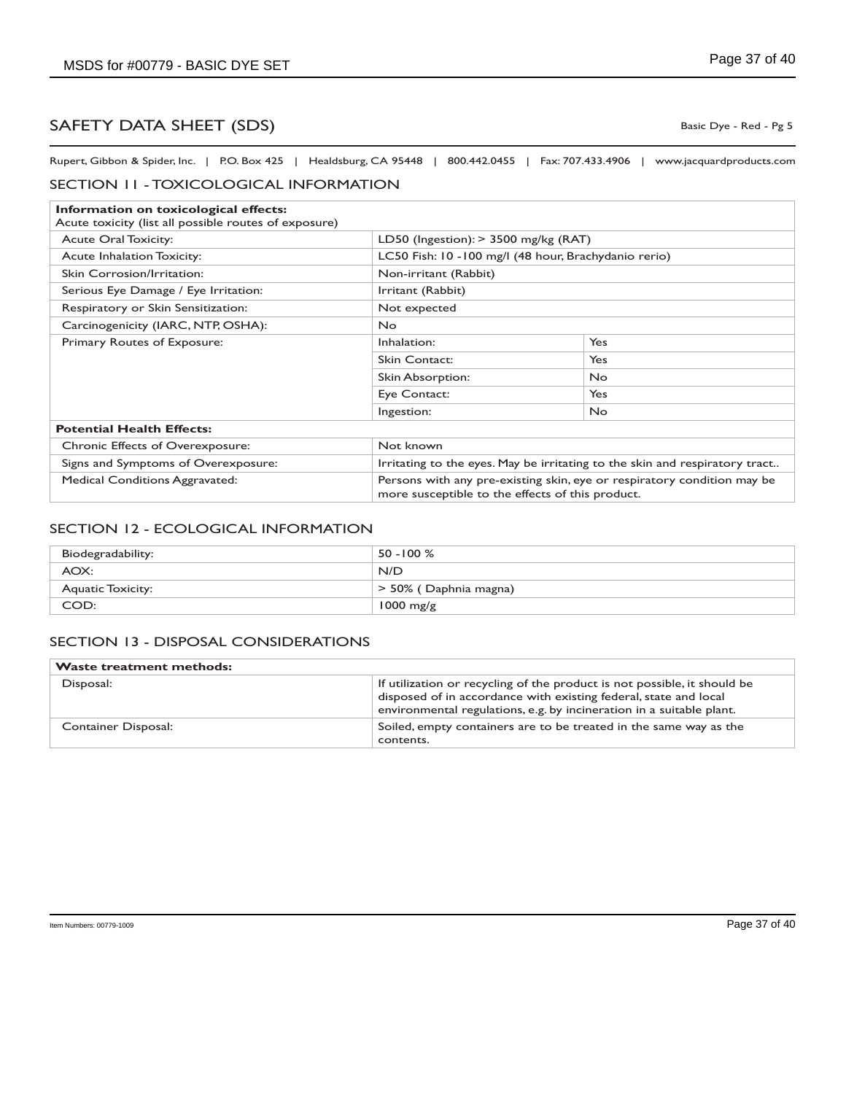Basic Dye - Red - Pg 5

Rupert, Gibbon & Spider, Inc. | P.O. Box 425 | Healdsburg, CA 95448 | 800.442.0455 | Fax: 707.433.4906 | www.jacquardproducts.com

#### SECTION 11 - TOXICOLOGICAL INFORMATION

| Information on toxicological effects:                 |                       |                                                                                                                             |  |
|-------------------------------------------------------|-----------------------|-----------------------------------------------------------------------------------------------------------------------------|--|
| Acute toxicity (list all possible routes of exposure) |                       |                                                                                                                             |  |
| <b>Acute Oral Toxicity:</b>                           |                       | LD50 (Ingestion): $>$ 3500 mg/kg (RAT)                                                                                      |  |
| <b>Acute Inhalation Toxicity:</b>                     |                       | LC50 Fish: 10 -100 mg/l (48 hour, Brachydanio rerio)                                                                        |  |
| Skin Corrosion/Irritation:                            | Non-irritant (Rabbit) |                                                                                                                             |  |
| Serious Eye Damage / Eye Irritation:                  | Irritant (Rabbit)     |                                                                                                                             |  |
| Respiratory or Skin Sensitization:                    | Not expected          |                                                                                                                             |  |
| Carcinogenicity (IARC, NTP, OSHA):                    | <b>No</b>             |                                                                                                                             |  |
| Primary Routes of Exposure:                           | Inhalation:           | Yes                                                                                                                         |  |
|                                                       | Skin Contact:         | <b>Yes</b>                                                                                                                  |  |
|                                                       | Skin Absorption:      | <b>No</b>                                                                                                                   |  |
|                                                       | Eye Contact:          | Yes                                                                                                                         |  |
|                                                       | Ingestion:            | <b>No</b>                                                                                                                   |  |
| <b>Potential Health Effects:</b>                      |                       |                                                                                                                             |  |
| <b>Chronic Effects of Overexposure:</b>               | Not known             |                                                                                                                             |  |
| Signs and Symptoms of Overexposure:                   |                       | Irritating to the eyes. May be irritating to the skin and respiratory tract                                                 |  |
| <b>Medical Conditions Aggravated:</b>                 |                       | Persons with any pre-existing skin, eye or respiratory condition may be<br>more susceptible to the effects of this product. |  |

#### SECTION 12 - ECOLOGICAL INFORMATION

| Biodegradability:        | $50 - 100 %$          |
|--------------------------|-----------------------|
| AOX:                     | N/D                   |
| <b>Aquatic Toxicity:</b> | > 50% (Daphnia magna) |
| COD:                     | $1000$ mg/g           |

#### SECTION 13 - DISPOSAL CONSIDERATIONS

| <b>Waste treatment methods:</b> |                                                                                                                                                                                                                      |
|---------------------------------|----------------------------------------------------------------------------------------------------------------------------------------------------------------------------------------------------------------------|
| Disposal:                       | If utilization or recycling of the product is not possible, it should be<br>disposed of in accordance with existing federal, state and local<br>environmental regulations, e.g. by incineration in a suitable plant. |
| Container Disposal:             | Soiled, empty containers are to be treated in the same way as the<br>contents.                                                                                                                                       |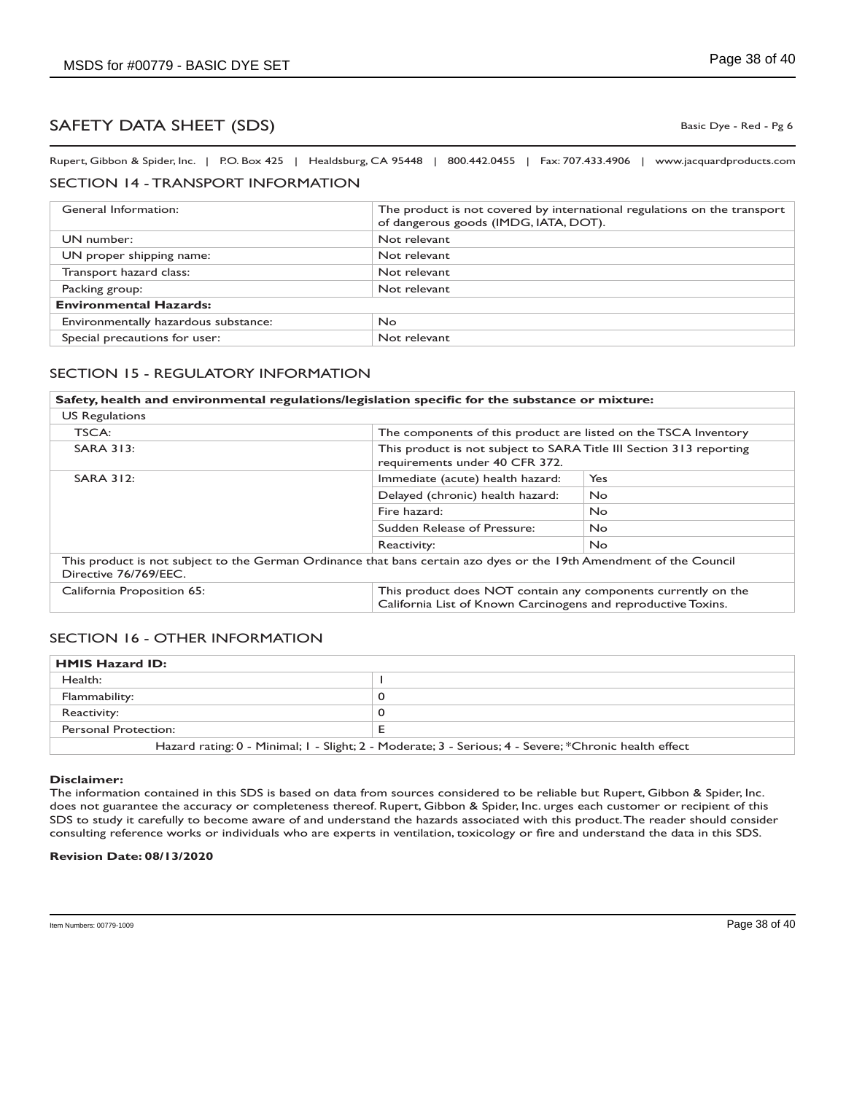Basic Dye - Red - Pg 6

Rupert, Gibbon & Spider, Inc. | P.O. Box 425 | Healdsburg, CA 95448 | 800.442.0455 | Fax: 707.433.4906 | www.jacquardproducts.com

### SECTION 14 - TRANSPORT INFORMATION

| General Information:                 | The product is not covered by international regulations on the transport<br>of dangerous goods (IMDG, IATA, DOT). |
|--------------------------------------|-------------------------------------------------------------------------------------------------------------------|
| UN number:                           | Not relevant                                                                                                      |
| UN proper shipping name:             | Not relevant                                                                                                      |
| Transport hazard class:              | Not relevant                                                                                                      |
| Packing group:                       | Not relevant                                                                                                      |
| <b>Environmental Hazards:</b>        |                                                                                                                   |
| Environmentally hazardous substance: | No.                                                                                                               |
| Special precautions for user:        | Not relevant                                                                                                      |

### SECTION 15 - REGULATORY INFORMATION

| Safety, health and environmental regulations/legislation specific for the substance or mixture:                                              |                                                                                                                                |           |
|----------------------------------------------------------------------------------------------------------------------------------------------|--------------------------------------------------------------------------------------------------------------------------------|-----------|
| <b>US Regulations</b>                                                                                                                        |                                                                                                                                |           |
| TSCA:                                                                                                                                        | The components of this product are listed on the TSCA Inventory                                                                |           |
| <b>SARA 313:</b>                                                                                                                             | This product is not subject to SARA Title III Section 313 reporting<br>requirements under 40 CFR 372.                          |           |
| <b>SARA 312:</b>                                                                                                                             | Immediate (acute) health hazard:                                                                                               | Yes       |
|                                                                                                                                              | Delayed (chronic) health hazard:                                                                                               | <b>No</b> |
|                                                                                                                                              | Fire hazard:                                                                                                                   | <b>No</b> |
|                                                                                                                                              | Sudden Release of Pressure:                                                                                                    | No.       |
|                                                                                                                                              | Reactivity:                                                                                                                    | No.       |
| This product is not subject to the German Ordinance that bans certain azo dyes or the 19th Amendment of the Council<br>Directive 76/769/EEC. |                                                                                                                                |           |
| California Proposition 65:                                                                                                                   | This product does NOT contain any components currently on the<br>California List of Known Carcinogens and reproductive Toxins. |           |

### SECTION 16 - OTHER INFORMATION

| <b>HMIS Hazard ID:</b>                                                                                |  |
|-------------------------------------------------------------------------------------------------------|--|
| Health:                                                                                               |  |
| Flammability:                                                                                         |  |
| Reactivity:                                                                                           |  |
| Personal Protection:                                                                                  |  |
| Hazard rating: 0 - Minimal; 1 - Slight; 2 - Moderate; 3 - Serious; 4 - Severe; *Chronic health effect |  |

#### **Disclaimer:**

The information contained in this SDS is based on data from sources considered to be reliable but Rupert, Gibbon & Spider, Inc. does not guarantee the accuracy or completeness thereof. Rupert, Gibbon & Spider, Inc. urges each customer or recipient of this SDS to study it carefully to become aware of and understand the hazards associated with this product. The reader should consider consulting reference works or individuals who are experts in ventilation, toxicology or fire and understand the data in this SDS.

#### **Revision Date: 08/13/2020**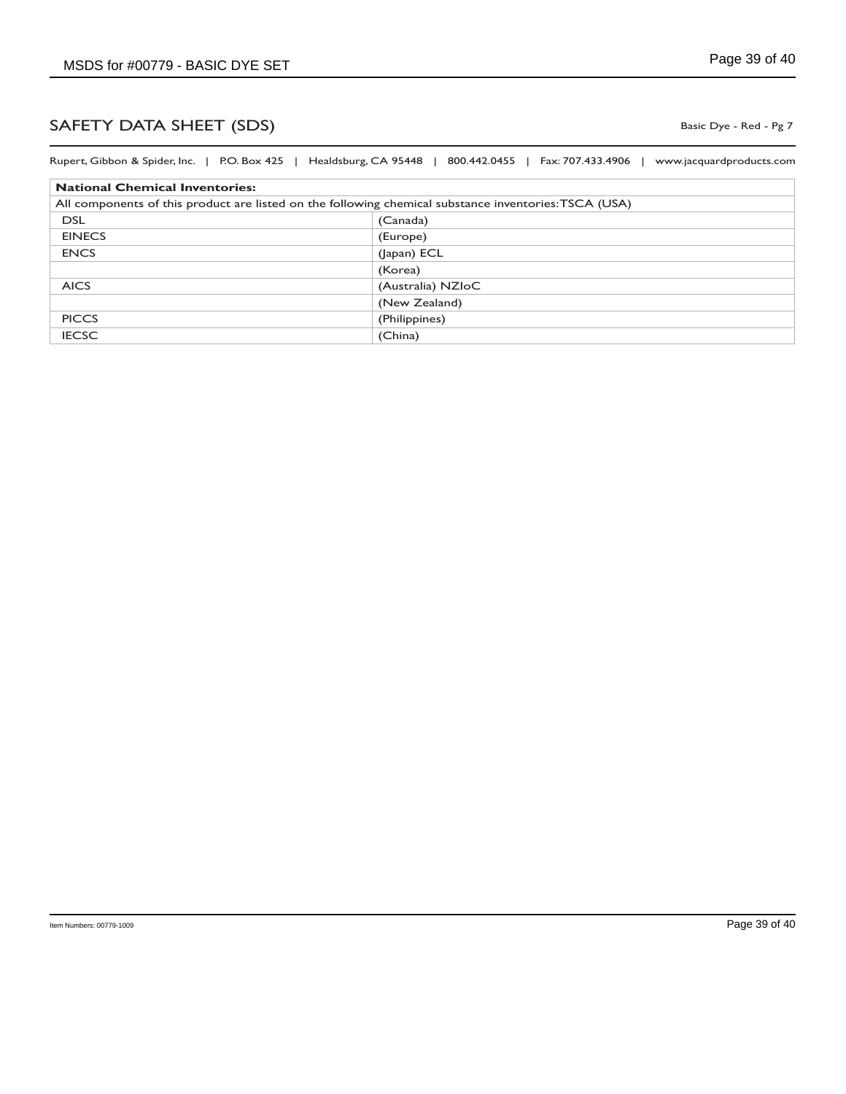Basic Dye - Red - Pg 7

| Rupert, Gibbon & Spider, Inc.   P.O. Box 425   Healdsburg, CA 95448   800.442.0455   Fax: 707.433.4906 | www.jacquardproducts.com |
|--------------------------------------------------------------------------------------------------------|--------------------------|
| <b>National Chemical Inventories:</b>                                                                  |                          |
| All components of this product are listed on the following chemical substance inventories: TSCA (USA)  |                          |
| <b>DSL</b>                                                                                             | (Canada)                 |
| <b>EINECS</b>                                                                                          | (Europe)                 |
| <b>ENCS</b>                                                                                            | (Japan) ECL              |
|                                                                                                        | (Korea)                  |
| <b>AICS</b>                                                                                            | (Australia) NZIoC        |
|                                                                                                        | (New Zealand)            |
| <b>PICCS</b>                                                                                           | (Philippines)            |
| <b>IECSC</b>                                                                                           | (China)                  |